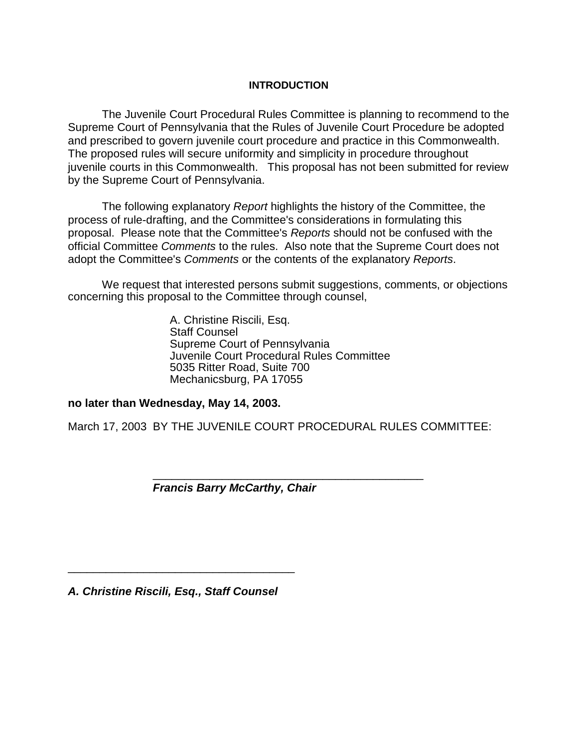#### **INTRODUCTION**

The Juvenile Court Procedural Rules Committee is planning to recommend to the Supreme Court of Pennsylvania that the Rules of Juvenile Court Procedure be adopted and prescribed to govern juvenile court procedure and practice in this Commonwealth. The proposed rules will secure uniformity and simplicity in procedure throughout juvenile courts in this Commonwealth. This proposal has not been submitted for review by the Supreme Court of Pennsylvania.

The following explanatory *Report* highlights the history of the Committee, the process of rule-drafting, and the Committee's considerations in formulating this proposal. Please note that the Committee's *Reports* should not be confused with the official Committee *Comments* to the rules. Also note that the Supreme Court does not adopt the Committee's *Comments* or the contents of the explanatory *Reports*.

We request that interested persons submit suggestions, comments, or objections concerning this proposal to the Committee through counsel,

> A. Christine Riscili, Esq. Staff Counsel Supreme Court of Pennsylvania Juvenile Court Procedural Rules Committee 5035 Ritter Road, Suite 700 Mechanicsburg, PA 17055

**no later than Wednesday, May 14, 2003.** 

March 17, 2003 BY THE JUVENILE COURT PROCEDURAL RULES COMMITTEE:

\_\_\_\_\_\_\_\_\_\_\_\_\_\_\_\_\_\_\_\_\_\_\_\_\_\_\_\_\_\_\_\_\_\_\_\_\_\_\_\_\_\_\_

*Francis Barry McCarthy, Chair* 

*A. Christine Riscili, Esq., Staff Counsel*

\_\_\_\_\_\_\_\_\_\_\_\_\_\_\_\_\_\_\_\_\_\_\_\_\_\_\_\_\_\_\_\_\_\_\_\_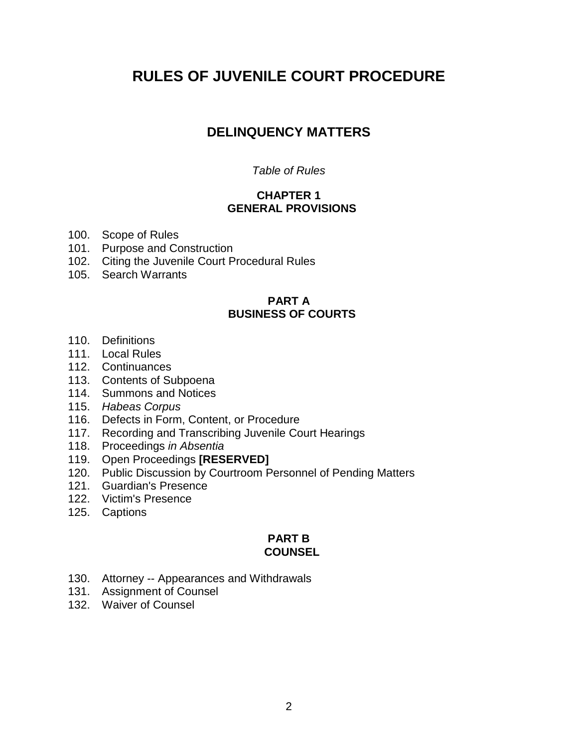# **RULES OF JUVENILE COURT PROCEDURE**

## **DELINQUENCY MATTERS**

#### *Table of Rules*

#### **CHAPTER 1 GENERAL PROVISIONS**

- 100. Scope of Rules
- 101. Purpose and Construction
- 102. Citing the Juvenile Court Procedural Rules
- 105. Search Warrants

#### **PART A BUSINESS OF COURTS**

- 110. Definitions
- 111. Local Rules
- 112. Continuances
- 113. Contents of Subpoena
- 114. Summons and Notices
- 115. *Habeas Corpus*
- 116. Defects in Form, Content, or Procedure
- 117. Recording and Transcribing Juvenile Court Hearings
- 118. Proceedings *in Absentia*
- 119. Open Proceedings **[RESERVED]**
- 120. Public Discussion by Courtroom Personnel of Pending Matters
- 121. Guardian's Presence
- 122. Victim's Presence
- 125. Captions

#### **PART B COUNSEL**

- 130. Attorney -- Appearances and Withdrawals
- 131. Assignment of Counsel
- 132. Waiver of Counsel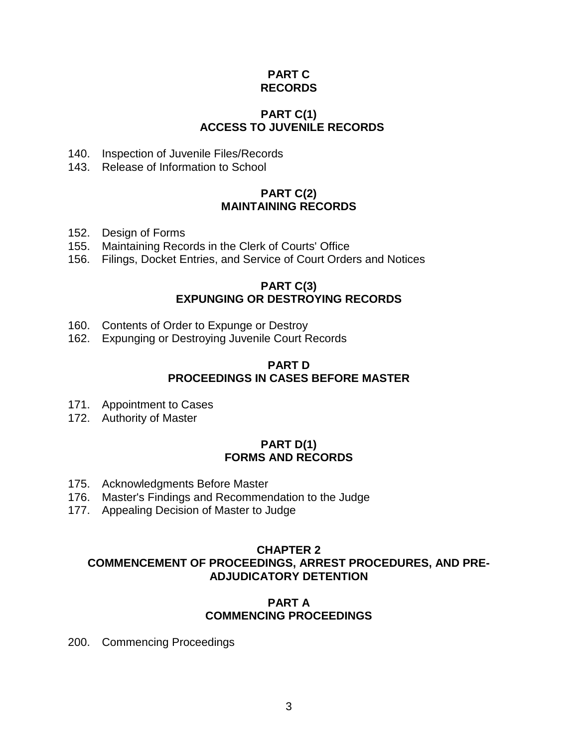### **PART C RECORDS**

### **PART C(1) ACCESS TO JUVENILE RECORDS**

- 140. Inspection of Juvenile Files/Records
- 143. Release of Information to School

#### **PART C(2) MAINTAINING RECORDS**

- 152. Design of Forms
- 155. Maintaining Records in the Clerk of Courts' Office
- 156. Filings, Docket Entries, and Service of Court Orders and Notices

#### **PART C(3) EXPUNGING OR DESTROYING RECORDS**

- 160. Contents of Order to Expunge or Destroy
- 162. Expunging or Destroying Juvenile Court Records

#### **PART D PROCEEDINGS IN CASES BEFORE MASTER**

- 171. Appointment to Cases
- 172. Authority of Master

#### **PART D(1) FORMS AND RECORDS**

- 175. Acknowledgments Before Master
- 176. Master's Findings and Recommendation to the Judge
- 177. Appealing Decision of Master to Judge

#### **CHAPTER 2 COMMENCEMENT OF PROCEEDINGS, ARREST PROCEDURES, AND PRE-ADJUDICATORY DETENTION**

#### **PART A COMMENCING PROCEEDINGS**

200. Commencing Proceedings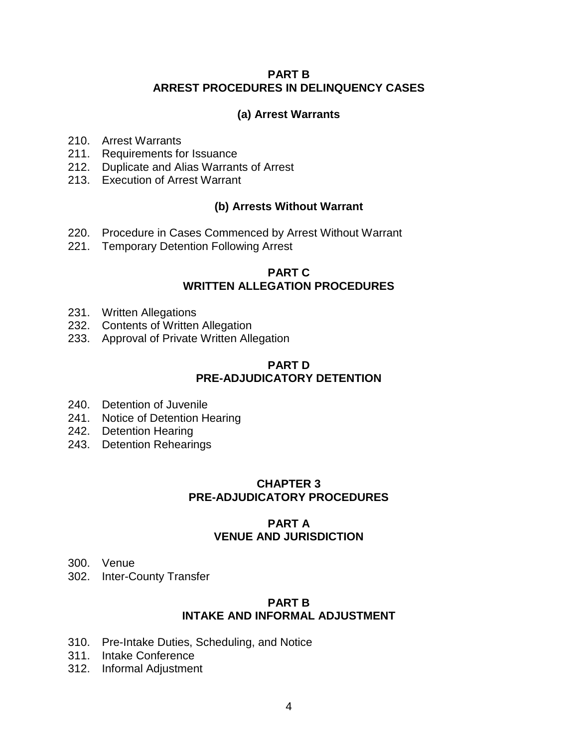#### **PART B ARREST PROCEDURES IN DELINQUENCY CASES**

### **(a) Arrest Warrants**

- 210. Arrest Warrants
- 211. Requirements for Issuance
- 212. Duplicate and Alias Warrants of Arrest
- 213. Execution of Arrest Warrant

### **(b) Arrests Without Warrant**

- 220. Procedure in Cases Commenced by Arrest Without Warrant
- 221. Temporary Detention Following Arrest

#### **PART C WRITTEN ALLEGATION PROCEDURES**

- 231. Written Allegations
- 232. Contents of Written Allegation
- 233. Approval of Private Written Allegation

#### **PART D PRE-ADJUDICATORY DETENTION**

- 240. Detention of Juvenile
- 241. Notice of Detention Hearing
- 242. Detention Hearing
- 243. Detention Rehearings

### **CHAPTER 3 PRE-ADJUDICATORY PROCEDURES**

### **PART A VENUE AND JURISDICTION**

- 300. Venue
- 302. Inter-County Transfer

#### **PART B INTAKE AND INFORMAL ADJUSTMENT**

- 310. Pre-Intake Duties, Scheduling, and Notice
- 311. Intake Conference
- 312. Informal Adjustment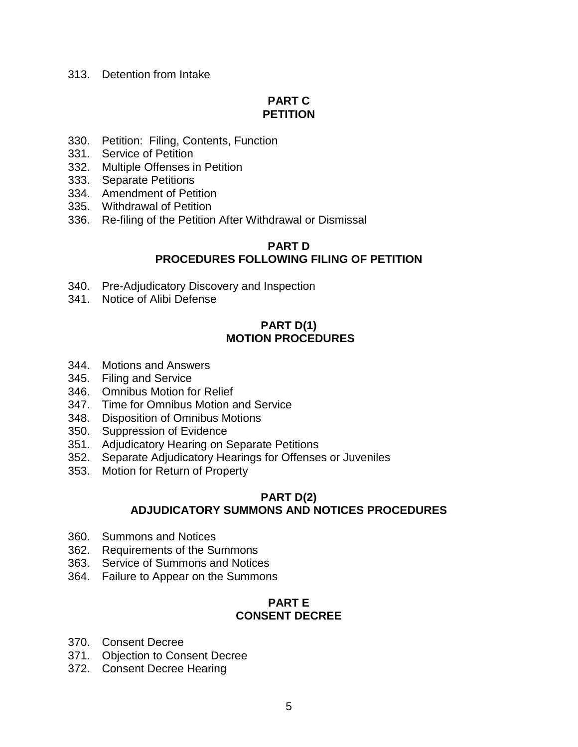#### 313. Detention from Intake

### **PART C PETITION**

- 330. Petition: Filing, Contents, Function
- 331. Service of Petition
- 332. Multiple Offenses in Petition
- 333. Separate Petitions
- 334. Amendment of Petition
- 335. Withdrawal of Petition
- 336. Re-filing of the Petition After Withdrawal or Dismissal

#### **PART D PROCEDURES FOLLOWING FILING OF PETITION**

- 340. Pre-Adjudicatory Discovery and Inspection
- 341. Notice of Alibi Defense

#### **PART D(1) MOTION PROCEDURES**

- 344. Motions and Answers
- 345. Filing and Service
- 346. Omnibus Motion for Relief
- 347. Time for Omnibus Motion and Service
- 348. Disposition of Omnibus Motions
- 350. Suppression of Evidence
- 351. Adjudicatory Hearing on Separate Petitions
- 352. Separate Adjudicatory Hearings for Offenses or Juveniles
- 353. Motion for Return of Property

### **PART D(2) ADJUDICATORY SUMMONS AND NOTICES PROCEDURES**

- 360. Summons and Notices
- 362. Requirements of the Summons
- 363. Service of Summons and Notices
- 364. Failure to Appear on the Summons

#### **PART E CONSENT DECREE**

- 370. Consent Decree
- 371. Objection to Consent Decree
- 372. Consent Decree Hearing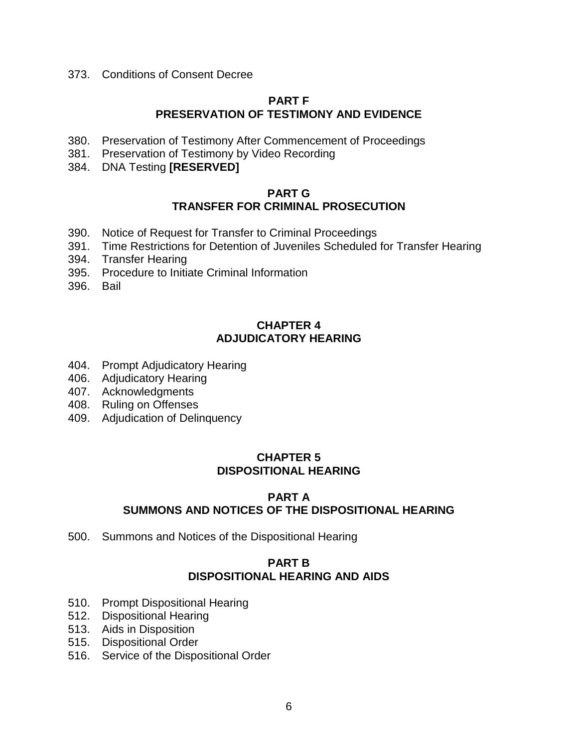373. Conditions of Consent Decree

#### **PART F PRESERVATION OF TESTIMONY AND EVIDENCE**

- 380. Preservation of Testimony After Commencement of Proceedings
- 381. Preservation of Testimony by Video Recording
- 384. DNA Testing **[RESERVED]**

#### **PART G TRANSFER FOR CRIMINAL PROSECUTION**

- 390. Notice of Request for Transfer to Criminal Proceedings
- 391. Time Restrictions for Detention of Juveniles Scheduled for Transfer Hearing
- 394. Transfer Hearing
- 395. Procedure to Initiate Criminal Information
- 396. Bail

#### **CHAPTER 4 ADJUDICATORY HEARING**

- 404. Prompt Adjudicatory Hearing
- 406. Adjudicatory Hearing
- 407. Acknowledgments
- 408. Ruling on Offenses
- 409. Adjudication of Delinquency

### **CHAPTER 5 DISPOSITIONAL HEARING**

#### **PART A SUMMONS AND NOTICES OF THE DISPOSITIONAL HEARING**

500. Summons and Notices of the Dispositional Hearing

#### **PART B DISPOSITIONAL HEARING AND AIDS**

- 510. Prompt Dispositional Hearing
- 512. Dispositional Hearing
- 513. Aids in Disposition
- 515. Dispositional Order
- 516. Service of the Dispositional Order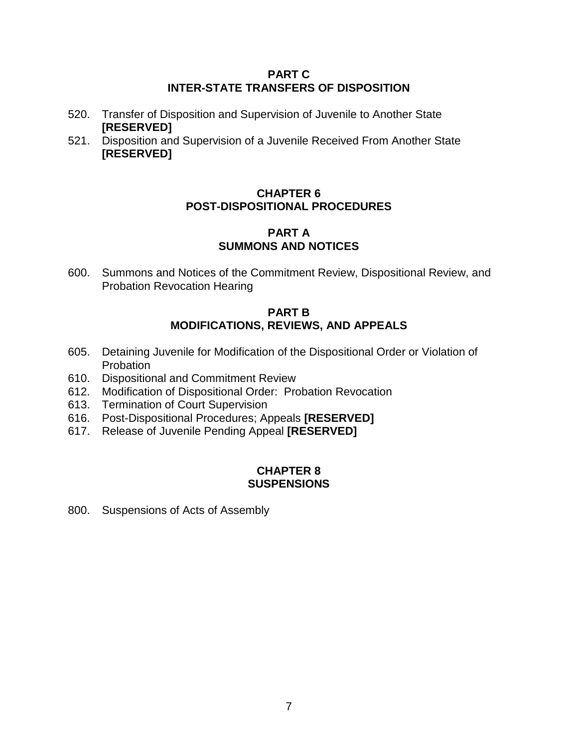#### **PART C INTER-STATE TRANSFERS OF DISPOSITION**

- 520. Transfer of Disposition and Supervision of Juvenile to Another State **[RESERVED]**
- 521. Disposition and Supervision of a Juvenile Received From Another State **[RESERVED]**

### **CHAPTER 6 POST-DISPOSITIONAL PROCEDURES**

#### **PART A SUMMONS AND NOTICES**

600. Summons and Notices of the Commitment Review, Dispositional Review, and Probation Revocation Hearing

#### **PART B MODIFICATIONS, REVIEWS, AND APPEALS**

- 605. Detaining Juvenile for Modification of the Dispositional Order or Violation of **Probation**
- 610. Dispositional and Commitment Review
- 612. Modification of Dispositional Order: Probation Revocation
- 613. Termination of Court Supervision
- 616. Post-Dispositional Procedures; Appeals **[RESERVED]**
- 617. Release of Juvenile Pending Appeal **[RESERVED]**

### **CHAPTER 8 SUSPENSIONS**

800. Suspensions of Acts of Assembly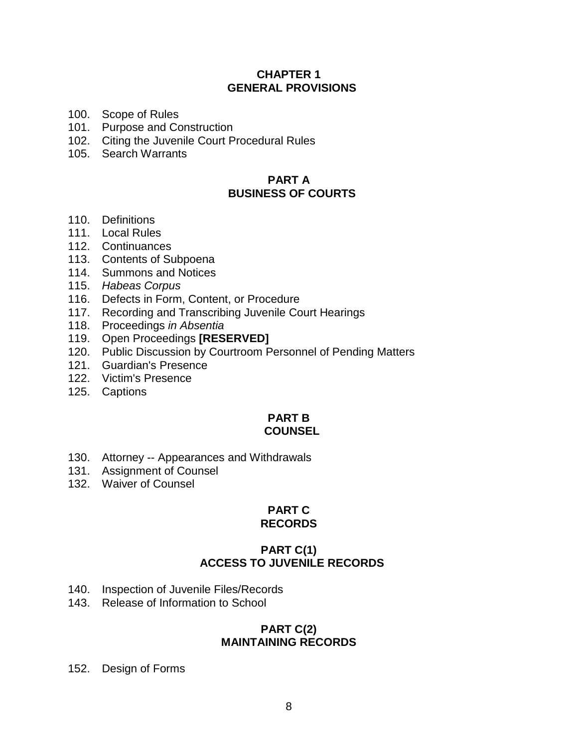#### **CHAPTER 1 GENERAL PROVISIONS**

- 100. Scope of Rules
- 101. Purpose and Construction
- 102. Citing the Juvenile Court Procedural Rules
- 105. Search Warrants

#### **PART A BUSINESS OF COURTS**

- 110. Definitions
- 111. Local Rules
- 112. Continuances
- 113. Contents of Subpoena
- 114. Summons and Notices
- 115. *Habeas Corpus*
- 116. Defects in Form, Content, or Procedure
- 117. Recording and Transcribing Juvenile Court Hearings
- 118. Proceedings *in Absentia*
- 119. Open Proceedings **[RESERVED]**
- 120. Public Discussion by Courtroom Personnel of Pending Matters
- 121. Guardian's Presence
- 122. Victim's Presence
- 125. Captions

#### **PART B COUNSEL**

- 130. Attorney -- Appearances and Withdrawals
- 131. Assignment of Counsel
- 132. Waiver of Counsel

# **PART C**

# **RECORDS**

#### **PART C(1) ACCESS TO JUVENILE RECORDS**

- 140. Inspection of Juvenile Files/Records
- 143. Release of Information to School

#### **PART C(2) MAINTAINING RECORDS**

152. Design of Forms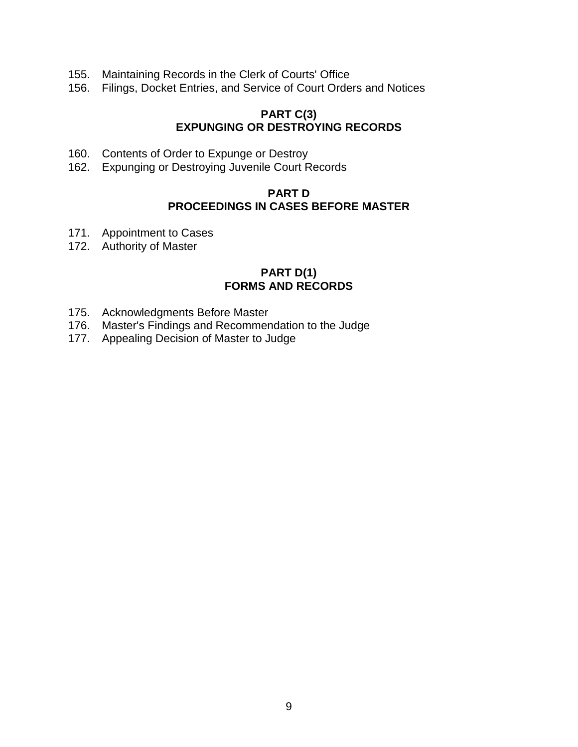- 155. Maintaining Records in the Clerk of Courts' Office
- 156. Filings, Docket Entries, and Service of Court Orders and Notices

#### **PART C(3) EXPUNGING OR DESTROYING RECORDS**

- 160. Contents of Order to Expunge or Destroy
- 162. Expunging or Destroying Juvenile Court Records

#### **PART D PROCEEDINGS IN CASES BEFORE MASTER**

- 171. Appointment to Cases
- 172. Authority of Master

#### **PART D(1) FORMS AND RECORDS**

- 175. Acknowledgments Before Master
- 176. Master's Findings and Recommendation to the Judge
- 177. Appealing Decision of Master to Judge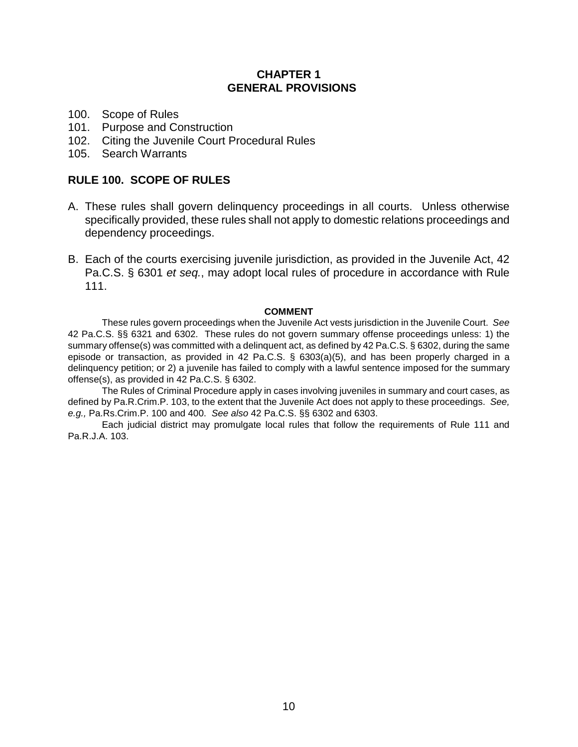#### **CHAPTER 1 GENERAL PROVISIONS**

- 100. Scope of Rules
- 101. Purpose and Construction
- 102. Citing the Juvenile Court Procedural Rules
- 105. Search Warrants

#### **RULE 100. SCOPE OF RULES**

- A. These rules shall govern delinquency proceedings in all courts. Unless otherwise specifically provided, these rules shall not apply to domestic relations proceedings and dependency proceedings.
- B. Each of the courts exercising juvenile jurisdiction, as provided in the Juvenile Act, 42 Pa.C.S. § 6301 *et seq.*, may adopt local rules of procedure in accordance with Rule 111.

#### **COMMENT**

These rules govern proceedings when the Juvenile Act vests jurisdiction in the Juvenile Court. *See* 42 Pa.C.S. §§ 6321 and 6302. These rules do not govern summary offense proceedings unless: 1) the summary offense(s) was committed with a delinquent act, as defined by 42 Pa.C.S. § 6302, during the same episode or transaction, as provided in 42 Pa.C.S. § 6303(a)(5), and has been properly charged in a delinquency petition; or 2) a juvenile has failed to comply with a lawful sentence imposed for the summary offense(s), as provided in 42 Pa.C.S. § 6302.

The Rules of Criminal Procedure apply in cases involving juveniles in summary and court cases, as defined by Pa.R.Crim.P. 103, to the extent that the Juvenile Act does not apply to these proceedings. *See, e.g.,* Pa.Rs.Crim.P. 100 and 400. *See also* 42 Pa.C.S. §§ 6302 and 6303.

Each judicial district may promulgate local rules that follow the requirements of Rule 111 and Pa.R.J.A. 103.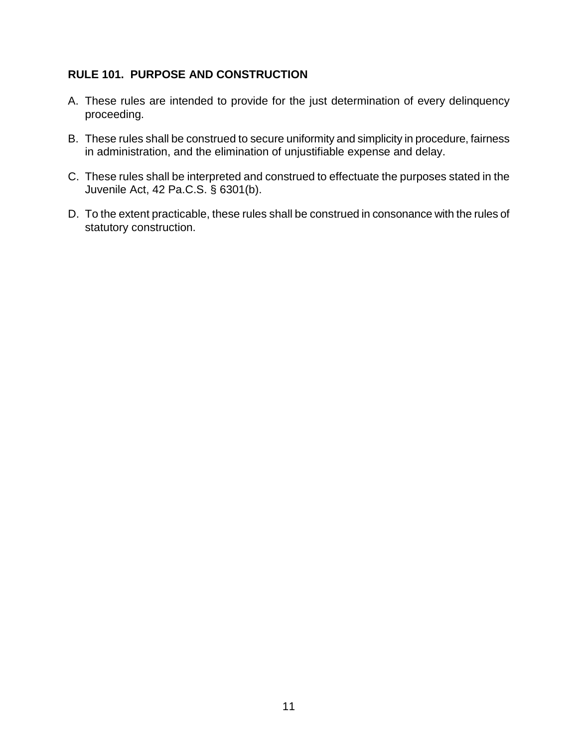### **RULE 101. PURPOSE AND CONSTRUCTION**

- A. These rules are intended to provide for the just determination of every delinquency proceeding.
- B. These rules shall be construed to secure uniformity and simplicity in procedure, fairness in administration, and the elimination of unjustifiable expense and delay.
- C. These rules shall be interpreted and construed to effectuate the purposes stated in the Juvenile Act, 42 Pa.C.S. § 6301(b).
- D. To the extent practicable, these rules shall be construed in consonance with the rules of statutory construction.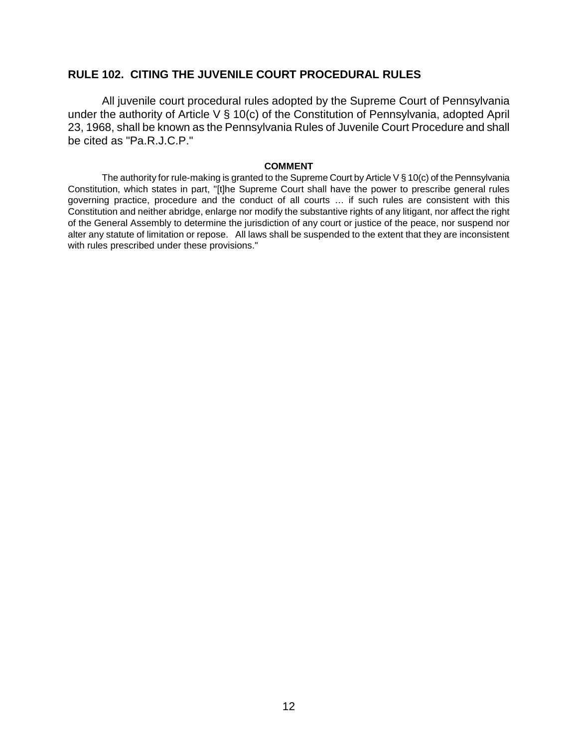#### **RULE 102. CITING THE JUVENILE COURT PROCEDURAL RULES**

All juvenile court procedural rules adopted by the Supreme Court of Pennsylvania under the authority of Article V § 10(c) of the Constitution of Pennsylvania, adopted April 23, 1968, shall be known as the Pennsylvania Rules of Juvenile Court Procedure and shall be cited as "Pa.R.J.C.P."

#### **COMMENT**

The authority for rule-making is granted to the Supreme Court by Article V  $\S$  10(c) of the Pennsylvania Constitution, which states in part, "[t]he Supreme Court shall have the power to prescribe general rules governing practice, procedure and the conduct of all courts … if such rules are consistent with this Constitution and neither abridge, enlarge nor modify the substantive rights of any litigant, nor affect the right of the General Assembly to determine the jurisdiction of any court or justice of the peace, nor suspend nor alter any statute of limitation or repose. All laws shall be suspended to the extent that they are inconsistent with rules prescribed under these provisions."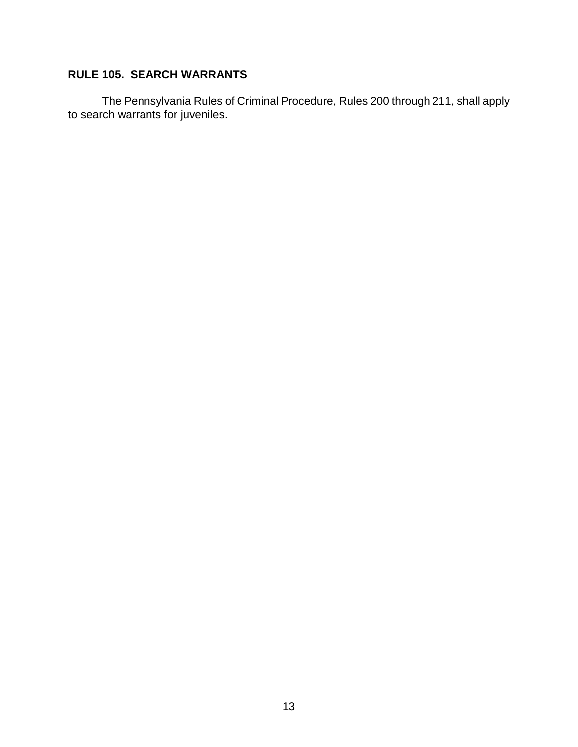### **RULE 105. SEARCH WARRANTS**

The Pennsylvania Rules of Criminal Procedure, Rules 200 through 211, shall apply to search warrants for juveniles.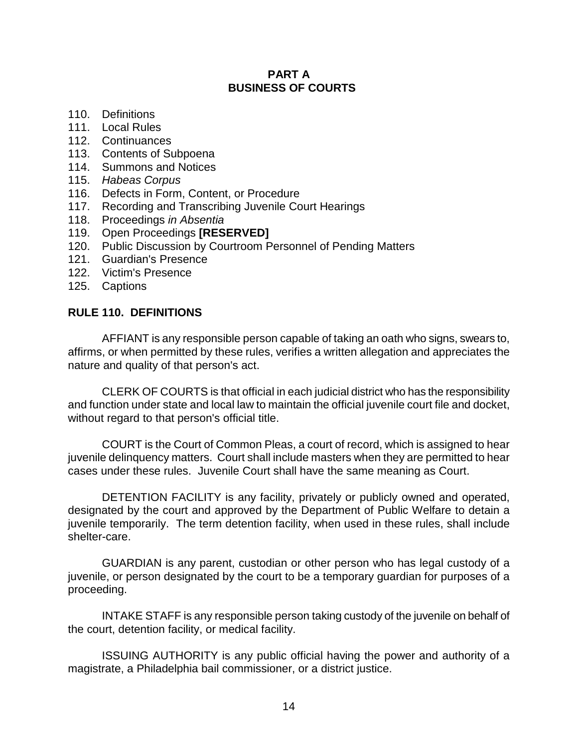#### **PART A BUSINESS OF COURTS**

- 110. Definitions
- 111. Local Rules
- 112. Continuances
- 113. Contents of Subpoena
- 114. Summons and Notices
- 115. *Habeas Corpus*
- 116. Defects in Form, Content, or Procedure
- 117. Recording and Transcribing Juvenile Court Hearings
- 118. Proceedings *in Absentia*
- 119. Open Proceedings **[RESERVED]**
- 120. Public Discussion by Courtroom Personnel of Pending Matters
- 121. Guardian's Presence
- 122. Victim's Presence
- 125. Captions

#### **RULE 110. DEFINITIONS**

AFFIANT is any responsible person capable of taking an oath who signs, swears to, affirms, or when permitted by these rules, verifies a written allegation and appreciates the nature and quality of that person's act.

CLERK OF COURTS is that official in each judicial district who has the responsibility and function under state and local law to maintain the official juvenile court file and docket, without regard to that person's official title.

COURT is the Court of Common Pleas, a court of record, which is assigned to hear juvenile delinquency matters. Court shall include masters when they are permitted to hear cases under these rules. Juvenile Court shall have the same meaning as Court.

DETENTION FACILITY is any facility, privately or publicly owned and operated, designated by the court and approved by the Department of Public Welfare to detain a juvenile temporarily. The term detention facility, when used in these rules, shall include shelter-care.

GUARDIAN is any parent, custodian or other person who has legal custody of a juvenile, or person designated by the court to be a temporary guardian for purposes of a proceeding.

INTAKE STAFF is any responsible person taking custody of the juvenile on behalf of the court, detention facility, or medical facility.

ISSUING AUTHORITY is any public official having the power and authority of a magistrate, a Philadelphia bail commissioner, or a district justice.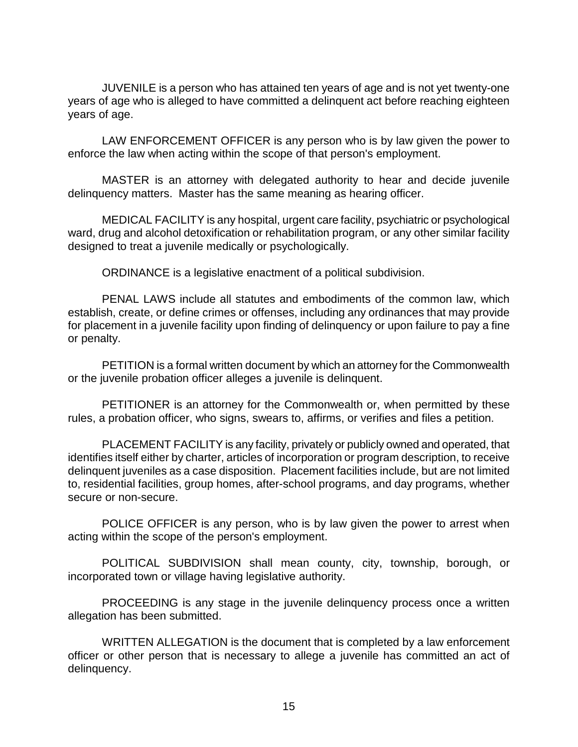JUVENILE is a person who has attained ten years of age and is not yet twenty-one years of age who is alleged to have committed a delinquent act before reaching eighteen years of age.

LAW ENFORCEMENT OFFICER is any person who is by law given the power to enforce the law when acting within the scope of that person's employment.

MASTER is an attorney with delegated authority to hear and decide juvenile delinquency matters. Master has the same meaning as hearing officer.

MEDICAL FACILITY is any hospital, urgent care facility, psychiatric or psychological ward, drug and alcohol detoxification or rehabilitation program, or any other similar facility designed to treat a juvenile medically or psychologically.

ORDINANCE is a legislative enactment of a political subdivision.

PENAL LAWS include all statutes and embodiments of the common law, which establish, create, or define crimes or offenses, including any ordinances that may provide for placement in a juvenile facility upon finding of delinquency or upon failure to pay a fine or penalty.

PETITION is a formal written document by which an attorney for the Commonwealth or the juvenile probation officer alleges a juvenile is delinquent.

PETITIONER is an attorney for the Commonwealth or, when permitted by these rules, a probation officer, who signs, swears to, affirms, or verifies and files a petition.

PLACEMENT FACILITY is any facility, privately or publicly owned and operated, that identifies itself either by charter, articles of incorporation or program description, to receive delinquent juveniles as a case disposition. Placement facilities include, but are not limited to, residential facilities, group homes, after-school programs, and day programs, whether secure or non-secure.

POLICE OFFICER is any person, who is by law given the power to arrest when acting within the scope of the person's employment.

POLITICAL SUBDIVISION shall mean county, city, township, borough, or incorporated town or village having legislative authority.

PROCEEDING is any stage in the juvenile delinquency process once a written allegation has been submitted.

WRITTEN ALLEGATION is the document that is completed by a law enforcement officer or other person that is necessary to allege a juvenile has committed an act of delinquency.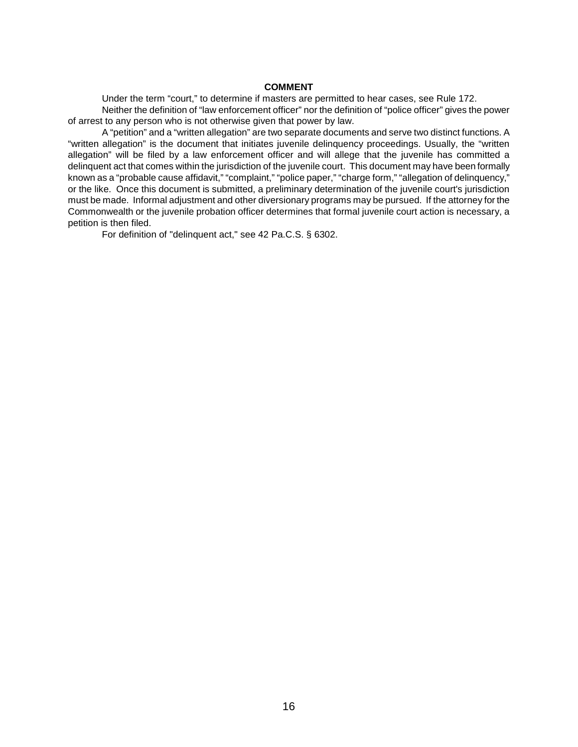#### **COMMENT**

Under the term "court," to determine if masters are permitted to hear cases, see Rule 172. Neither the definition of "law enforcement officer" nor the definition of "police officer" gives the power of arrest to any person who is not otherwise given that power by law.

A "petition" and a "written allegation" are two separate documents and serve two distinct functions. A "written allegation" is the document that initiates juvenile delinquency proceedings. Usually, the "written allegation" will be filed by a law enforcement officer and will allege that the juvenile has committed a delinquent act that comes within the jurisdiction of the juvenile court. This document may have been formally known as a "probable cause affidavit," "complaint," "police paper," "charge form," "allegation of delinquency," or the like. Once this document is submitted, a preliminary determination of the juvenile court's jurisdiction must be made. Informal adjustment and other diversionary programs may be pursued. If the attorney for the Commonwealth or the juvenile probation officer determines that formal juvenile court action is necessary, a petition is then filed.

For definition of "delinquent act," see 42 Pa.C.S. § 6302.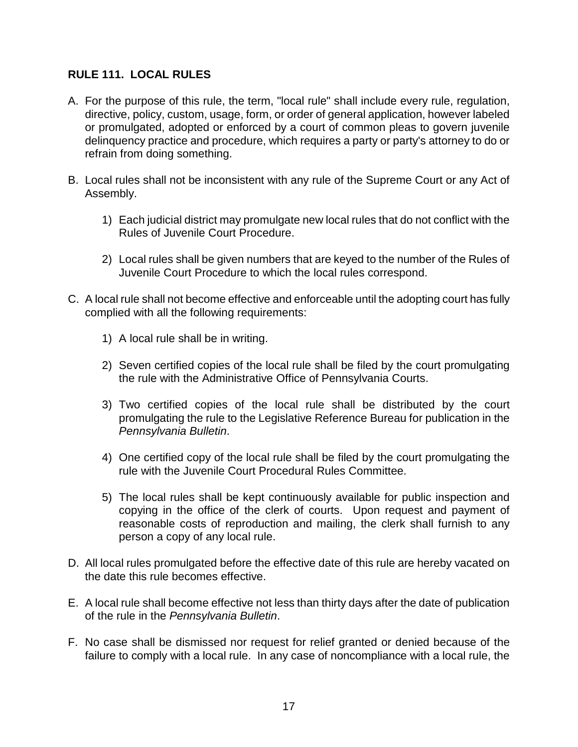### **RULE 111. LOCAL RULES**

- A. For the purpose of this rule, the term, "local rule" shall include every rule, regulation, directive, policy, custom, usage, form, or order of general application, however labeled or promulgated, adopted or enforced by a court of common pleas to govern juvenile delinquency practice and procedure, which requires a party or party's attorney to do or refrain from doing something.
- B. Local rules shall not be inconsistent with any rule of the Supreme Court or any Act of Assembly.
	- 1) Each judicial district may promulgate new local rules that do not conflict with the Rules of Juvenile Court Procedure.
	- 2) Local rules shall be given numbers that are keyed to the number of the Rules of Juvenile Court Procedure to which the local rules correspond.
- C. A local rule shall not become effective and enforceable until the adopting court has fully complied with all the following requirements:
	- 1) A local rule shall be in writing.
	- 2) Seven certified copies of the local rule shall be filed by the court promulgating the rule with the Administrative Office of Pennsylvania Courts.
	- 3) Two certified copies of the local rule shall be distributed by the court promulgating the rule to the Legislative Reference Bureau for publication in the *Pennsylvania Bulletin*.
	- 4) One certified copy of the local rule shall be filed by the court promulgating the rule with the Juvenile Court Procedural Rules Committee.
	- 5) The local rules shall be kept continuously available for public inspection and copying in the office of the clerk of courts. Upon request and payment of reasonable costs of reproduction and mailing, the clerk shall furnish to any person a copy of any local rule.
- D. All local rules promulgated before the effective date of this rule are hereby vacated on the date this rule becomes effective.
- E. A local rule shall become effective not less than thirty days after the date of publication of the rule in the *Pennsylvania Bulletin*.
- F. No case shall be dismissed nor request for relief granted or denied because of the failure to comply with a local rule. In any case of noncompliance with a local rule, the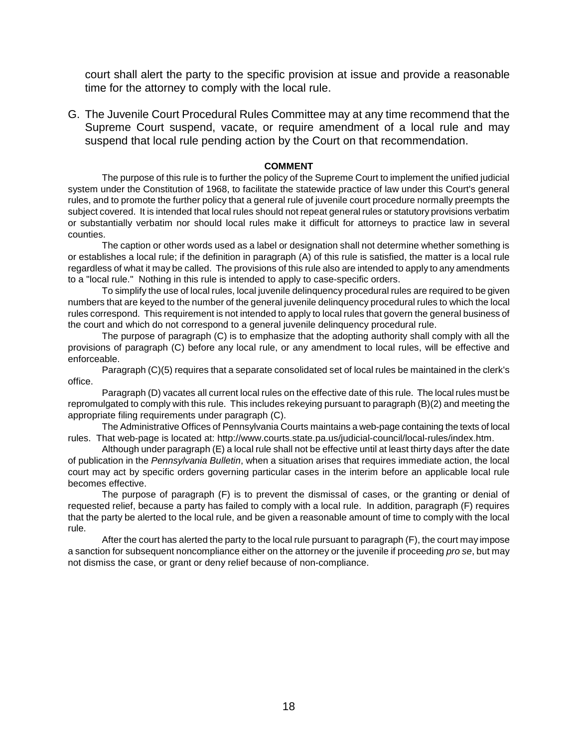court shall alert the party to the specific provision at issue and provide a reasonable time for the attorney to comply with the local rule.

G. The Juvenile Court Procedural Rules Committee may at any time recommend that the Supreme Court suspend, vacate, or require amendment of a local rule and may suspend that local rule pending action by the Court on that recommendation.

#### **COMMENT**

The purpose of this rule is to further the policy of the Supreme Court to implement the unified judicial system under the Constitution of 1968, to facilitate the statewide practice of law under this Court's general rules, and to promote the further policy that a general rule of juvenile court procedure normally preempts the subject covered. It is intended that local rules should not repeat general rules or statutory provisions verbatim or substantially verbatim nor should local rules make it difficult for attorneys to practice law in several counties.

The caption or other words used as a label or designation shall not determine whether something is or establishes a local rule; if the definition in paragraph (A) of this rule is satisfied, the matter is a local rule regardless of what it may be called. The provisions of this rule also are intended to apply to any amendments to a "local rule." Nothing in this rule is intended to apply to case-specific orders.

To simplify the use of local rules, local juvenile delinquency procedural rules are required to be given numbers that are keyed to the number of the general juvenile delinquency procedural rules to which the local rules correspond. This requirement is not intended to apply to local rules that govern the general business of the court and which do not correspond to a general juvenile delinquency procedural rule.

The purpose of paragraph (C) is to emphasize that the adopting authority shall comply with all the provisions of paragraph (C) before any local rule, or any amendment to local rules, will be effective and enforceable.

Paragraph (C)(5) requires that a separate consolidated set of local rules be maintained in the clerk's office.

Paragraph (D) vacates all current local rules on the effective date of this rule. The local rules must be repromulgated to comply with this rule. This includes rekeying pursuant to paragraph (B)(2) and meeting the appropriate filing requirements under paragraph (C).

The Administrative Offices of Pennsylvania Courts maintains a web-page containing the texts of local rules. That web-page is located at: http://www.courts.state.pa.us/judicial-council/local-rules/index.htm.

Although under paragraph (E) a local rule shall not be effective until at least thirty days after the date of publication in the *Pennsylvania Bulletin*, when a situation arises that requires immediate action, the local court may act by specific orders governing particular cases in the interim before an applicable local rule becomes effective.

The purpose of paragraph (F) is to prevent the dismissal of cases, or the granting or denial of requested relief, because a party has failed to comply with a local rule. In addition, paragraph (F) requires that the party be alerted to the local rule, and be given a reasonable amount of time to comply with the local rule.

After the court has alerted the party to the local rule pursuant to paragraph (F), the court may impose a sanction for subsequent noncompliance either on the attorney or the juvenile if proceeding *pro se*, but may not dismiss the case, or grant or deny relief because of non-compliance.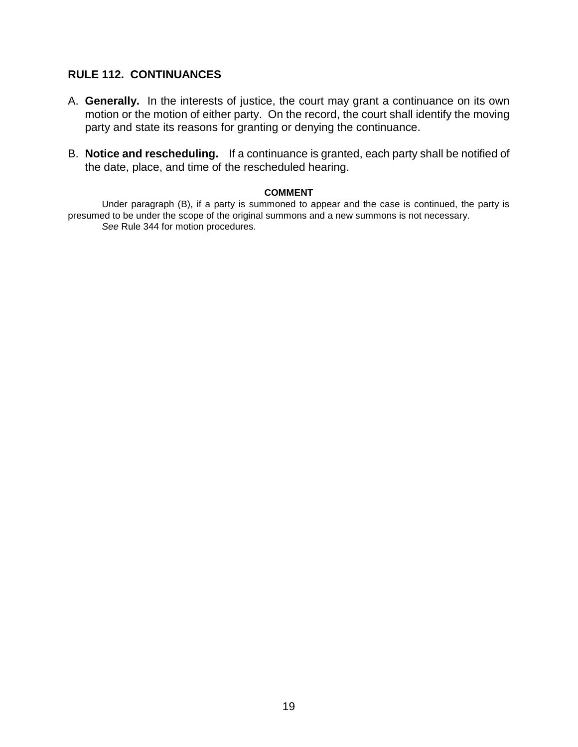#### **RULE 112. CONTINUANCES**

- A. **Generally.** In the interests of justice, the court may grant a continuance on its own motion or the motion of either party. On the record, the court shall identify the moving party and state its reasons for granting or denying the continuance.
- B. **Notice and rescheduling.** If a continuance is granted, each party shall be notified of the date, place, and time of the rescheduled hearing.

#### **COMMENT**

Under paragraph (B), if a party is summoned to appear and the case is continued, the party is presumed to be under the scope of the original summons and a new summons is not necessary. *See* Rule 344 for motion procedures.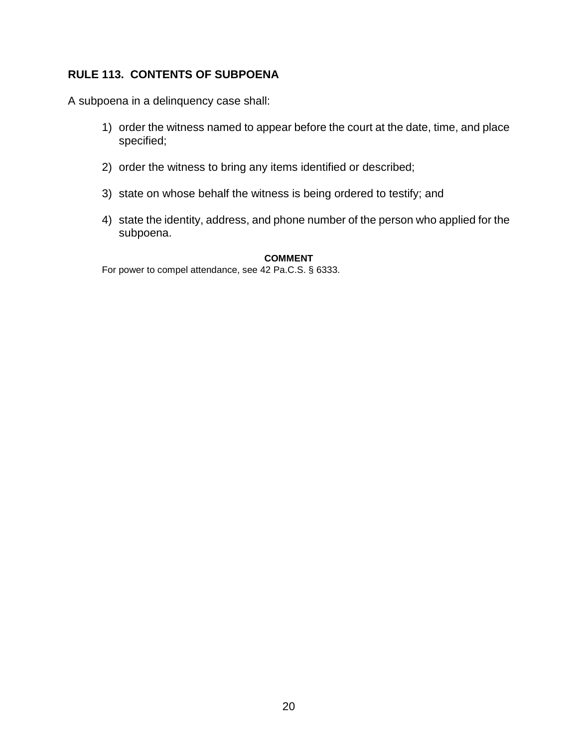### **RULE 113. CONTENTS OF SUBPOENA**

A subpoena in a delinquency case shall:

- 1) order the witness named to appear before the court at the date, time, and place specified;
- 2) order the witness to bring any items identified or described;
- 3) state on whose behalf the witness is being ordered to testify; and
- 4) state the identity, address, and phone number of the person who applied for the subpoena.

#### **COMMENT**

For power to compel attendance, see 42 Pa.C.S. § 6333.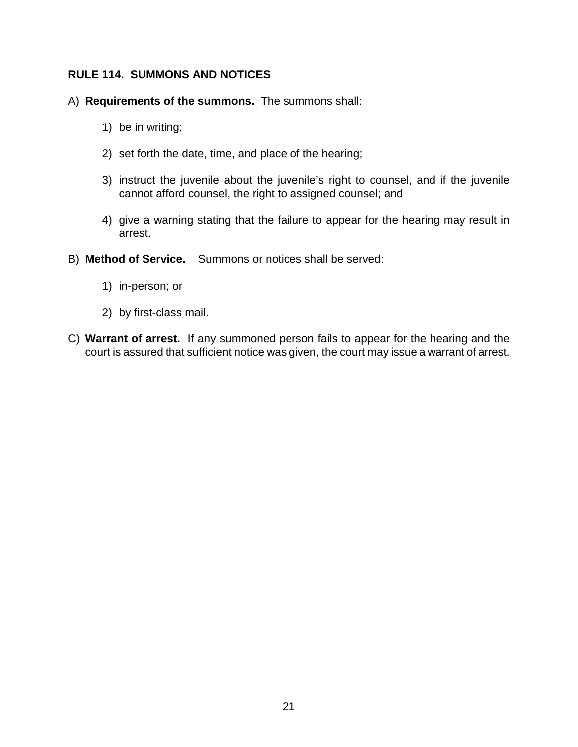### **RULE 114. SUMMONS AND NOTICES**

- A) **Requirements of the summons.** The summons shall:
	- 1) be in writing;
	- 2) set forth the date, time, and place of the hearing;
	- 3) instruct the juvenile about the juvenile's right to counsel, and if the juvenile cannot afford counsel, the right to assigned counsel; and
	- 4) give a warning stating that the failure to appear for the hearing may result in arrest.
- B) **Method of Service.** Summons or notices shall be served:
	- 1) in-person; or
	- 2) by first-class mail.
- C) **Warrant of arrest.** If any summoned person fails to appear for the hearing and the court is assured that sufficient notice was given, the court may issue a warrant of arrest.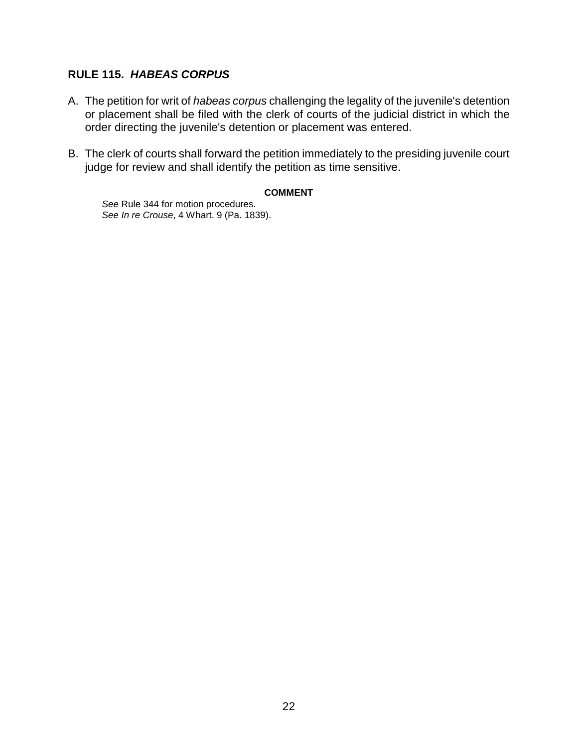### **RULE 115.** *HABEAS CORPUS*

- A. The petition for writ of *habeas corpus* challenging the legality of the juvenile's detention or placement shall be filed with the clerk of courts of the judicial district in which the order directing the juvenile's detention or placement was entered.
- B. The clerk of courts shall forward the petition immediately to the presiding juvenile court judge for review and shall identify the petition as time sensitive.

#### **COMMENT**

*See* Rule 344 for motion procedures. *See In re Crouse*, 4 Whart. 9 (Pa. 1839).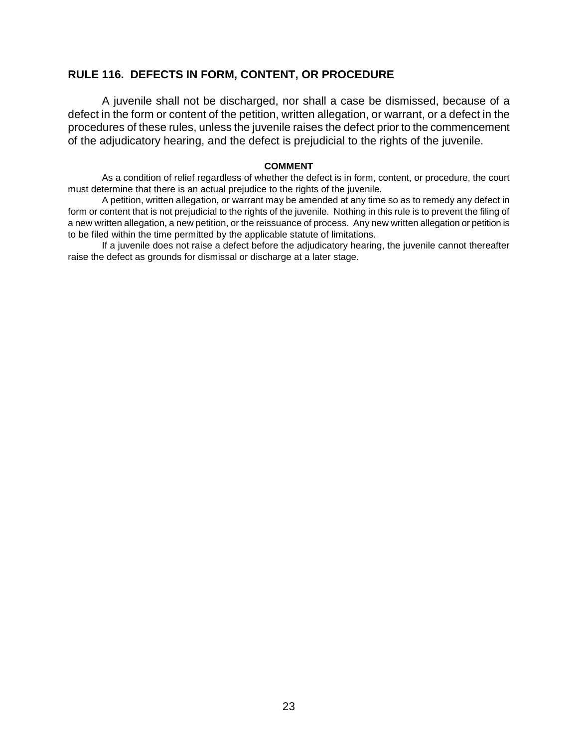#### **RULE 116. DEFECTS IN FORM, CONTENT, OR PROCEDURE**

A juvenile shall not be discharged, nor shall a case be dismissed, because of a defect in the form or content of the petition, written allegation, or warrant, or a defect in the procedures of these rules, unless the juvenile raises the defect prior to the commencement of the adjudicatory hearing, and the defect is prejudicial to the rights of the juvenile.

#### **COMMENT**

As a condition of relief regardless of whether the defect is in form, content, or procedure, the court must determine that there is an actual prejudice to the rights of the juvenile.

A petition, written allegation, or warrant may be amended at any time so as to remedy any defect in form or content that is not prejudicial to the rights of the juvenile. Nothing in this rule is to prevent the filing of a new written allegation, a new petition, or the reissuance of process. Any new written allegation or petition is to be filed within the time permitted by the applicable statute of limitations.

If a juvenile does not raise a defect before the adjudicatory hearing, the juvenile cannot thereafter raise the defect as grounds for dismissal or discharge at a later stage.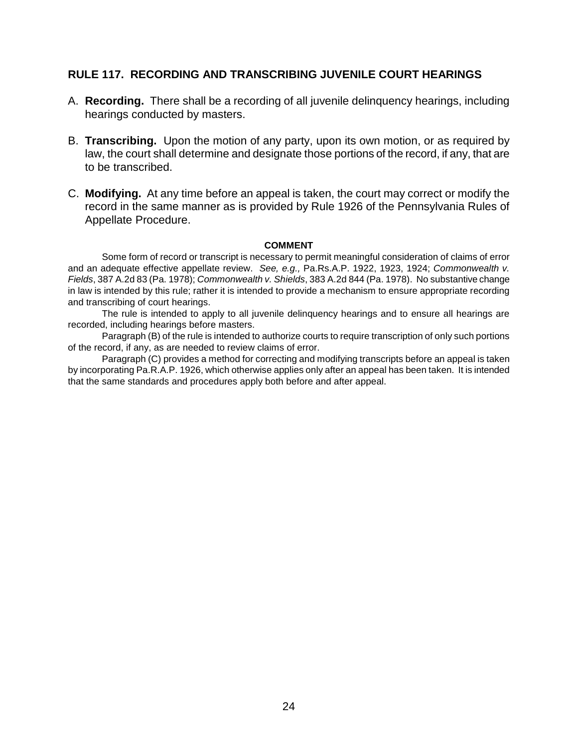#### **RULE 117. RECORDING AND TRANSCRIBING JUVENILE COURT HEARINGS**

- A. **Recording.** There shall be a recording of all juvenile delinquency hearings, including hearings conducted by masters.
- B. **Transcribing.** Upon the motion of any party, upon its own motion, or as required by law, the court shall determine and designate those portions of the record, if any, that are to be transcribed.
- C. **Modifying.** At any time before an appeal is taken, the court may correct or modify the record in the same manner as is provided by Rule 1926 of the Pennsylvania Rules of Appellate Procedure.

#### **COMMENT**

Some form of record or transcript is necessary to permit meaningful consideration of claims of error and an adequate effective appellate review. *See, e.g.,* Pa.Rs.A.P. 1922, 1923, 1924; *Commonwealth v. Fields*, 387 A.2d 83 (Pa. 1978); *Commonwealth v. Shields*, 383 A.2d 844 (Pa. 1978). No substantive change in law is intended by this rule; rather it is intended to provide a mechanism to ensure appropriate recording and transcribing of court hearings.

The rule is intended to apply to all juvenile delinquency hearings and to ensure all hearings are recorded, including hearings before masters.

Paragraph (B) of the rule is intended to authorize courts to require transcription of only such portions of the record, if any, as are needed to review claims of error.

Paragraph (C) provides a method for correcting and modifying transcripts before an appeal is taken by incorporating Pa.R.A.P. 1926, which otherwise applies only after an appeal has been taken. It is intended that the same standards and procedures apply both before and after appeal.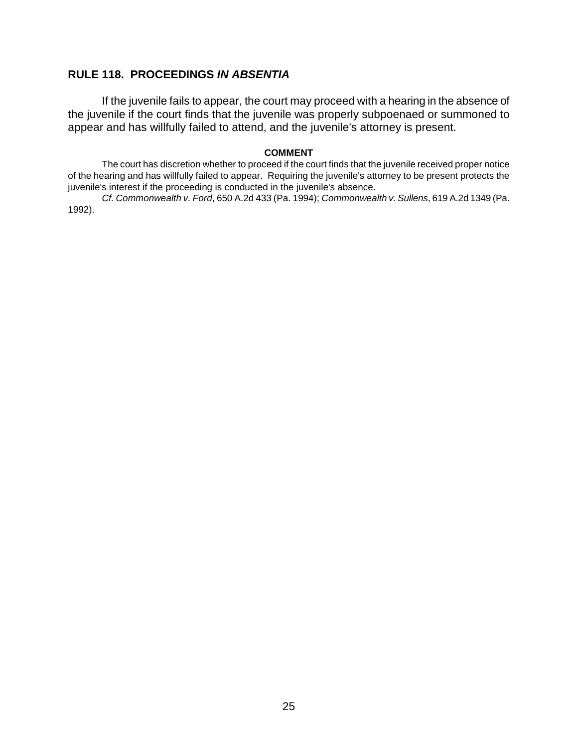#### **RULE 118. PROCEEDINGS** *IN ABSENTIA*

If the juvenile fails to appear, the court may proceed with a hearing in the absence of the juvenile if the court finds that the juvenile was properly subpoenaed or summoned to appear and has willfully failed to attend, and the juvenile's attorney is present.

#### **COMMENT**

The court has discretion whether to proceed if the court finds that the juvenile received proper notice of the hearing and has willfully failed to appear. Requiring the juvenile's attorney to be present protects the juvenile's interest if the proceeding is conducted in the juvenile's absence.

*Cf. Commonwealth v. Ford*, 650 A.2d 433 (Pa. 1994); *Commonwealth v. Sullens*, 619 A.2d 1349 (Pa. 1992).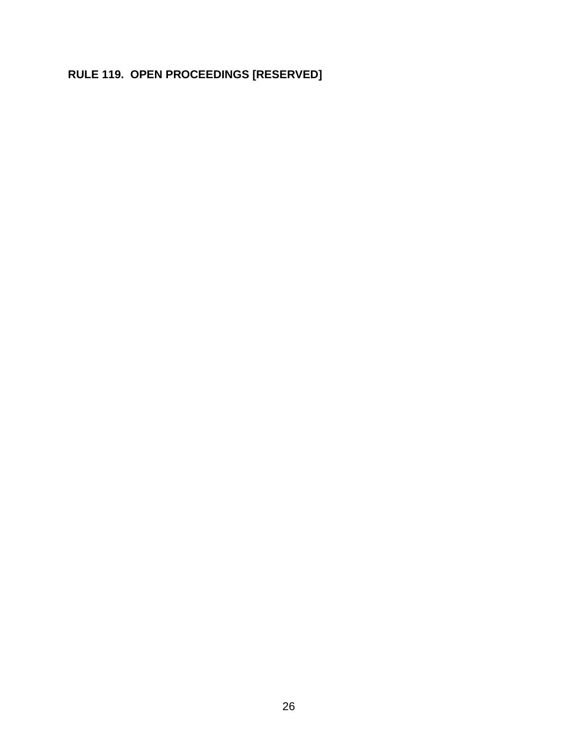# **RULE 119. OPEN PROCEEDINGS [RESERVED]**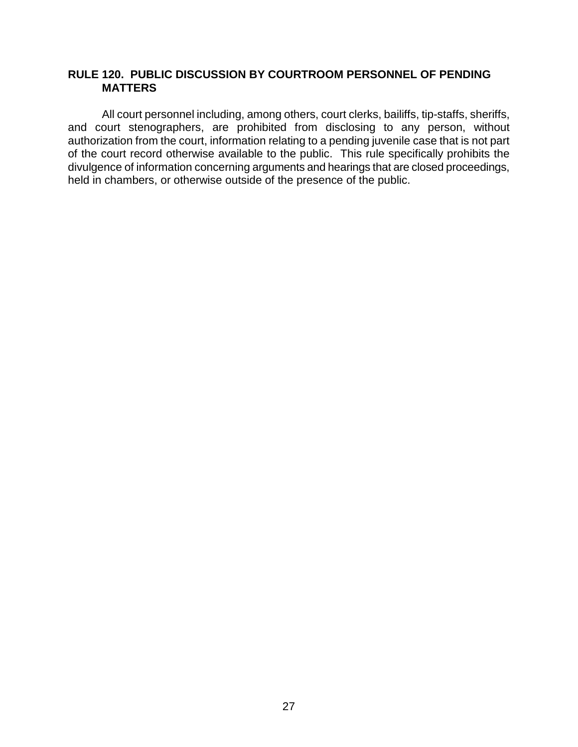### **RULE 120. PUBLIC DISCUSSION BY COURTROOM PERSONNEL OF PENDING MATTERS**

All court personnel including, among others, court clerks, bailiffs, tip-staffs, sheriffs, and court stenographers, are prohibited from disclosing to any person, without authorization from the court, information relating to a pending juvenile case that is not part of the court record otherwise available to the public. This rule specifically prohibits the divulgence of information concerning arguments and hearings that are closed proceedings, held in chambers, or otherwise outside of the presence of the public.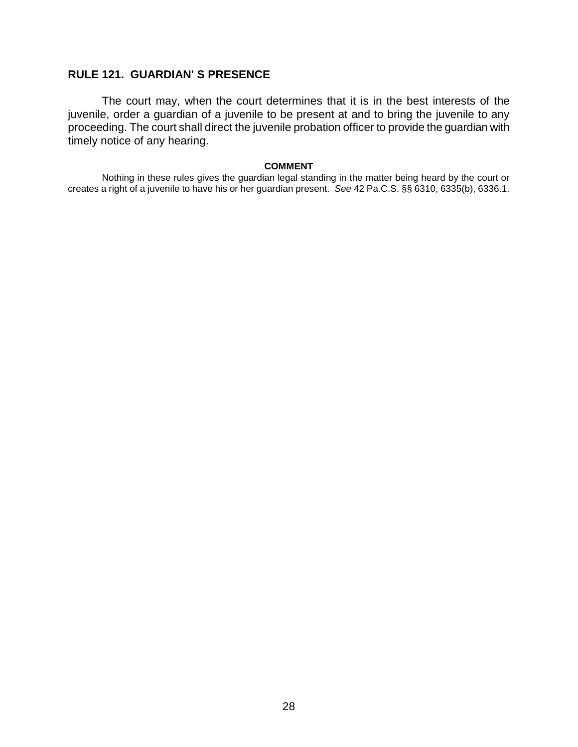#### **RULE 121. GUARDIAN' S PRESENCE**

The court may, when the court determines that it is in the best interests of the juvenile, order a guardian of a juvenile to be present at and to bring the juvenile to any proceeding. The court shall direct the juvenile probation officer to provide the guardian with timely notice of any hearing.

#### **COMMENT**

Nothing in these rules gives the guardian legal standing in the matter being heard by the court or creates a right of a juvenile to have his or her guardian present. *See* 42 Pa.C.S. §§ 6310, 6335(b), 6336.1.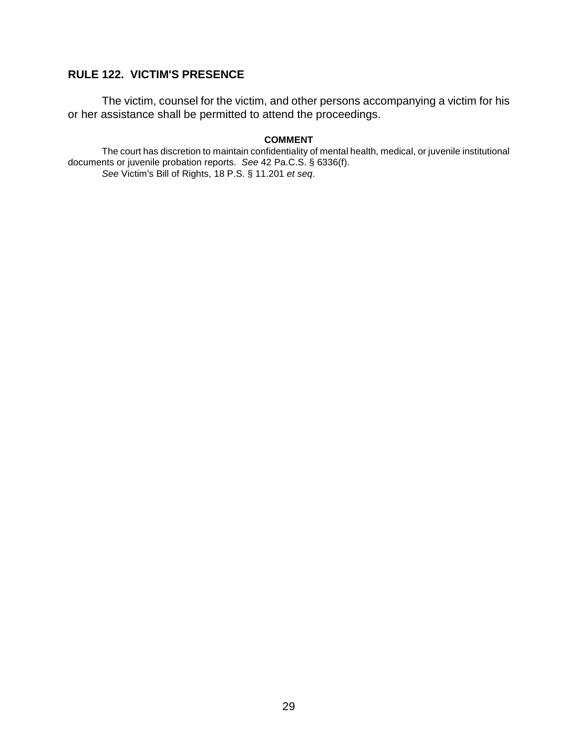### **RULE 122. VICTIM'S PRESENCE**

The victim, counsel for the victim, and other persons accompanying a victim for his or her assistance shall be permitted to attend the proceedings.

#### **COMMENT**

The court has discretion to maintain confidentiality of mental health, medical, or juvenile institutional documents or juvenile probation reports. *See* 42 Pa.C.S. § 6336(f). *See* Victim's Bill of Rights, 18 P.S. § 11.201 *et seq*.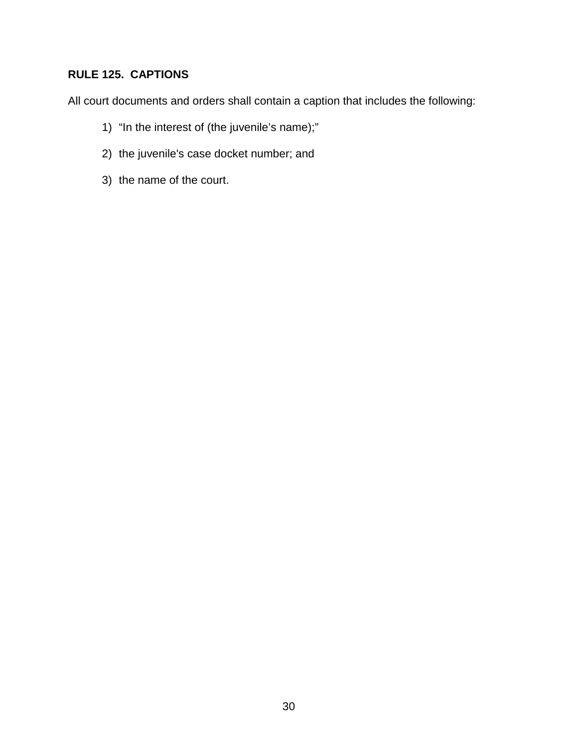### **RULE 125. CAPTIONS**

All court documents and orders shall contain a caption that includes the following:

- 1) "In the interest of (the juvenile's name);"
- 2) the juvenile's case docket number; and
- 3) the name of the court.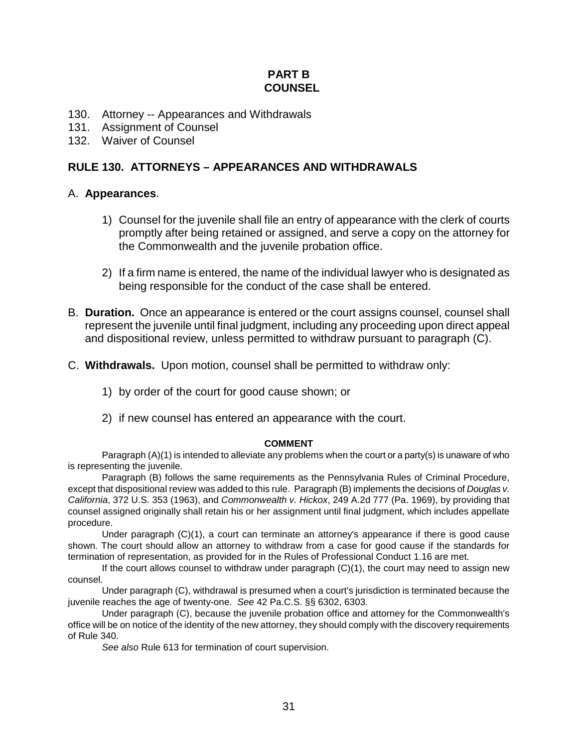#### **PART B COUNSEL**

- 130. Attorney -- Appearances and Withdrawals
- 131. Assignment of Counsel
- 132. Waiver of Counsel

#### **RULE 130. ATTORNEYS – APPEARANCES AND WITHDRAWALS**

#### A. **Appearances**.

- 1) Counsel for the juvenile shall file an entry of appearance with the clerk of courts promptly after being retained or assigned, and serve a copy on the attorney for the Commonwealth and the juvenile probation office.
- 2) If a firm name is entered, the name of the individual lawyer who is designated as being responsible for the conduct of the case shall be entered.
- B. **Duration.** Once an appearance is entered or the court assigns counsel, counsel shall represent the juvenile until final judgment, including any proceeding upon direct appeal and dispositional review, unless permitted to withdraw pursuant to paragraph (C).
- C. **Withdrawals.** Upon motion, counsel shall be permitted to withdraw only:
	- 1) by order of the court for good cause shown; or
	- 2) if new counsel has entered an appearance with the court.

#### **COMMENT**

Paragraph (A)(1) is intended to alleviate any problems when the court or a party(s) is unaware of who is representing the juvenile.

Paragraph (B) follows the same requirements as the Pennsylvania Rules of Criminal Procedure, except that dispositional review was added to this rule. Paragraph (B) implements the decisions of *Douglas v. California*, 372 U.S. 353 (1963), and *Commonwealth v. Hickox*, 249 A.2d 777 (Pa. 1969), by providing that counsel assigned originally shall retain his or her assignment until final judgment, which includes appellate procedure.

Under paragraph (C)(1), a court can terminate an attorney's appearance if there is good cause shown. The court should allow an attorney to withdraw from a case for good cause if the standards for termination of representation, as provided for in the Rules of Professional Conduct 1.16 are met.

If the court allows counsel to withdraw under paragraph  $(C)(1)$ , the court may need to assign new counsel.

Under paragraph (C), withdrawal is presumed when a court's jurisdiction is terminated because the juvenile reaches the age of twenty-one. *See* 42 Pa.C.S. §§ 6302, 6303*.* 

Under paragraph (C), because the juvenile probation office and attorney for the Commonwealth's office will be on notice of the identity of the new attorney, they should comply with the discovery requirements of Rule 340.

*See also* Rule 613 for termination of court supervision.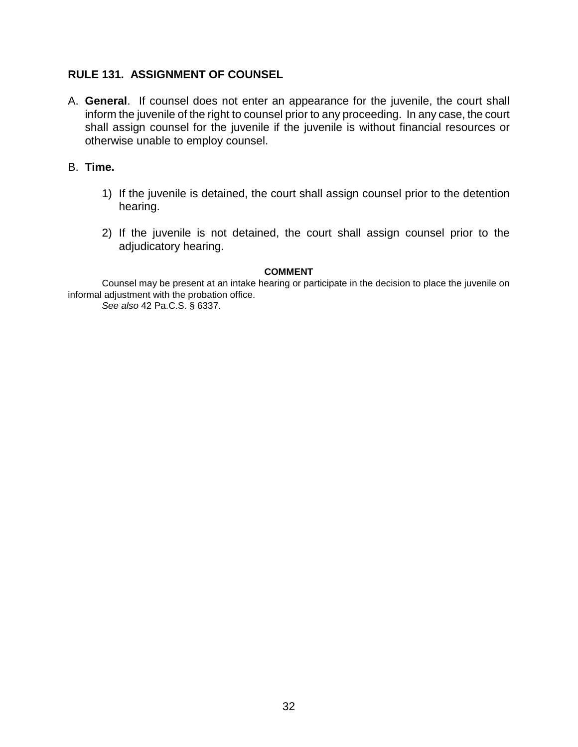#### **RULE 131. ASSIGNMENT OF COUNSEL**

- A. **General**. If counsel does not enter an appearance for the juvenile, the court shall inform the juvenile of the right to counsel prior to any proceeding. In any case, the court shall assign counsel for the juvenile if the juvenile is without financial resources or otherwise unable to employ counsel.
- B. **Time.** 
	- 1) If the juvenile is detained, the court shall assign counsel prior to the detention hearing.
	- 2) If the juvenile is not detained, the court shall assign counsel prior to the adjudicatory hearing.

#### **COMMENT**

Counsel may be present at an intake hearing or participate in the decision to place the juvenile on informal adjustment with the probation office.

*See also* 42 Pa.C.S. § 6337.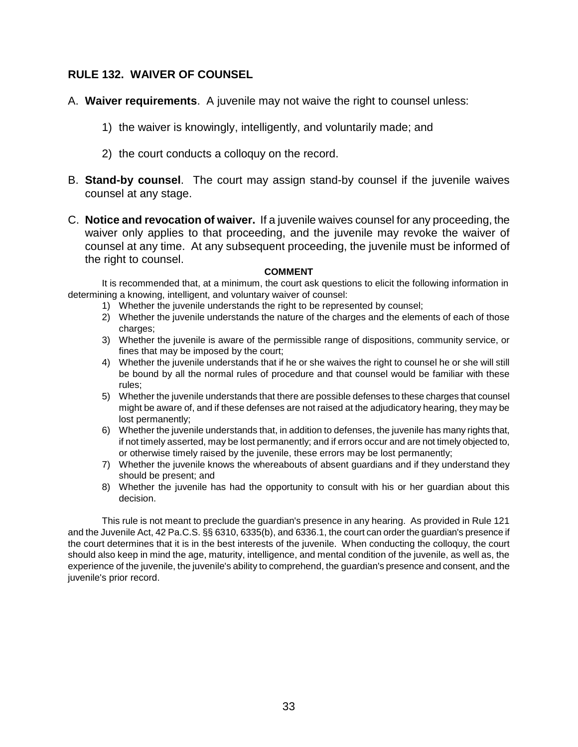#### **RULE 132. WAIVER OF COUNSEL**

- A. **Waiver requirements**. A juvenile may not waive the right to counsel unless:
	- 1) the waiver is knowingly, intelligently, and voluntarily made; and
	- 2) the court conducts a colloquy on the record.
- B. **Stand-by counsel**. The court may assign stand-by counsel if the juvenile waives counsel at any stage.
- C. **Notice and revocation of waiver.** If a juvenile waives counsel for any proceeding, the waiver only applies to that proceeding, and the juvenile may revoke the waiver of counsel at any time. At any subsequent proceeding, the juvenile must be informed of the right to counsel.

#### **COMMENT**

It is recommended that, at a minimum, the court ask questions to elicit the following information in determining a knowing, intelligent, and voluntary waiver of counsel:

- 1) Whether the juvenile understands the right to be represented by counsel;
- 2) Whether the juvenile understands the nature of the charges and the elements of each of those charges:
- 3) Whether the juvenile is aware of the permissible range of dispositions, community service, or fines that may be imposed by the court;
- 4) Whether the juvenile understands that if he or she waives the right to counsel he or she will still be bound by all the normal rules of procedure and that counsel would be familiar with these rules;
- 5) Whether the juvenile understands that there are possible defenses to these charges that counsel might be aware of, and if these defenses are not raised at the adjudicatory hearing, they may be lost permanently;
- 6) Whether the juvenile understands that, in addition to defenses, the juvenile has many rights that, if not timely asserted, may be lost permanently; and if errors occur and are not timely objected to, or otherwise timely raised by the juvenile, these errors may be lost permanently;
- 7) Whether the juvenile knows the whereabouts of absent guardians and if they understand they should be present; and
- 8) Whether the juvenile has had the opportunity to consult with his or her guardian about this decision.

This rule is not meant to preclude the guardian's presence in any hearing. As provided in Rule 121 and the Juvenile Act, 42 Pa.C.S. §§ 6310, 6335(b), and 6336.1, the court can order the guardian's presence if the court determines that it is in the best interests of the juvenile. When conducting the colloquy, the court should also keep in mind the age, maturity, intelligence, and mental condition of the juvenile, as well as, the experience of the juvenile, the juvenile's ability to comprehend, the guardian's presence and consent, and the juvenile's prior record.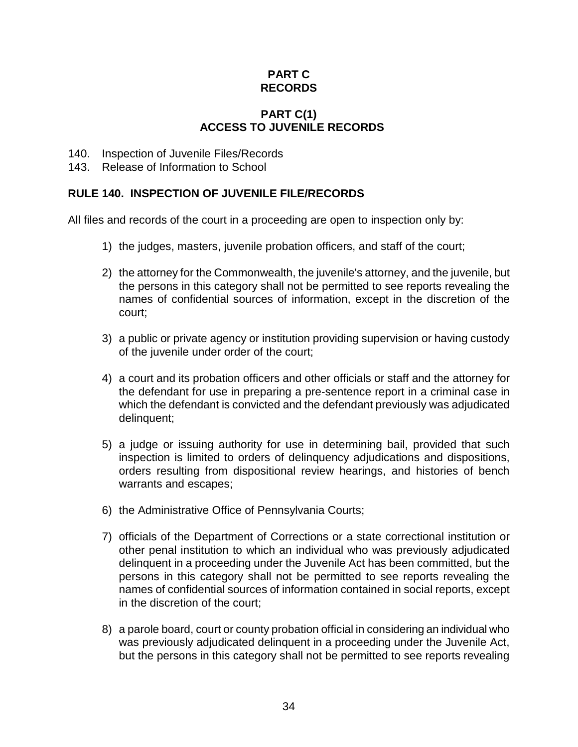### **PART C RECORDS**

### **PART C(1) ACCESS TO JUVENILE RECORDS**

- 140. Inspection of Juvenile Files/Records
- 143. Release of Information to School

### **RULE 140. INSPECTION OF JUVENILE FILE/RECORDS**

All files and records of the court in a proceeding are open to inspection only by:

- 1) the judges, masters, juvenile probation officers, and staff of the court;
- 2) the attorney for the Commonwealth, the juvenile's attorney, and the juvenile, but the persons in this category shall not be permitted to see reports revealing the names of confidential sources of information, except in the discretion of the court;
- 3) a public or private agency or institution providing supervision or having custody of the juvenile under order of the court;
- 4) a court and its probation officers and other officials or staff and the attorney for the defendant for use in preparing a pre-sentence report in a criminal case in which the defendant is convicted and the defendant previously was adjudicated delinquent;
- 5) a judge or issuing authority for use in determining bail, provided that such inspection is limited to orders of delinquency adjudications and dispositions, orders resulting from dispositional review hearings, and histories of bench warrants and escapes;
- 6) the Administrative Office of Pennsylvania Courts;
- 7) officials of the Department of Corrections or a state correctional institution or other penal institution to which an individual who was previously adjudicated delinquent in a proceeding under the Juvenile Act has been committed, but the persons in this category shall not be permitted to see reports revealing the names of confidential sources of information contained in social reports, except in the discretion of the court;
- 8) a parole board, court or county probation official in considering an individual who was previously adjudicated delinquent in a proceeding under the Juvenile Act, but the persons in this category shall not be permitted to see reports revealing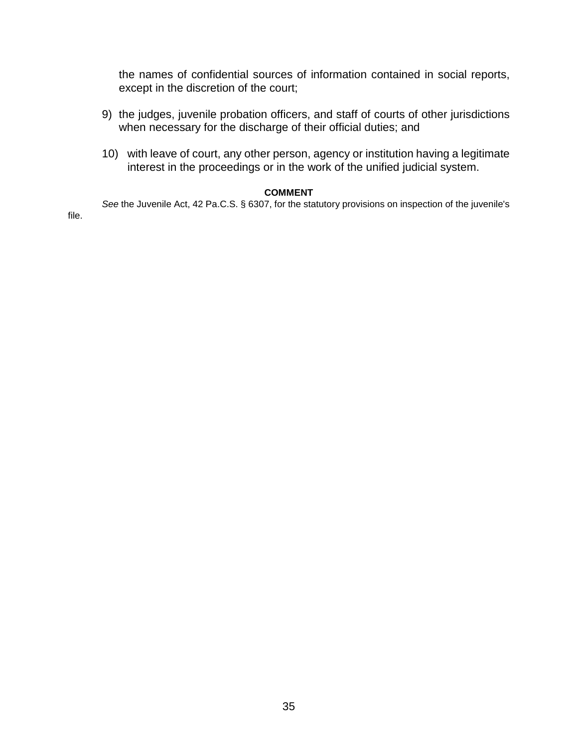the names of confidential sources of information contained in social reports, except in the discretion of the court;

- 9) the judges, juvenile probation officers, and staff of courts of other jurisdictions when necessary for the discharge of their official duties; and
- 10) with leave of court, any other person, agency or institution having a legitimate interest in the proceedings or in the work of the unified judicial system.

#### **COMMENT**

*See* the Juvenile Act, 42 Pa.C.S. § 6307, for the statutory provisions on inspection of the juvenile's

file.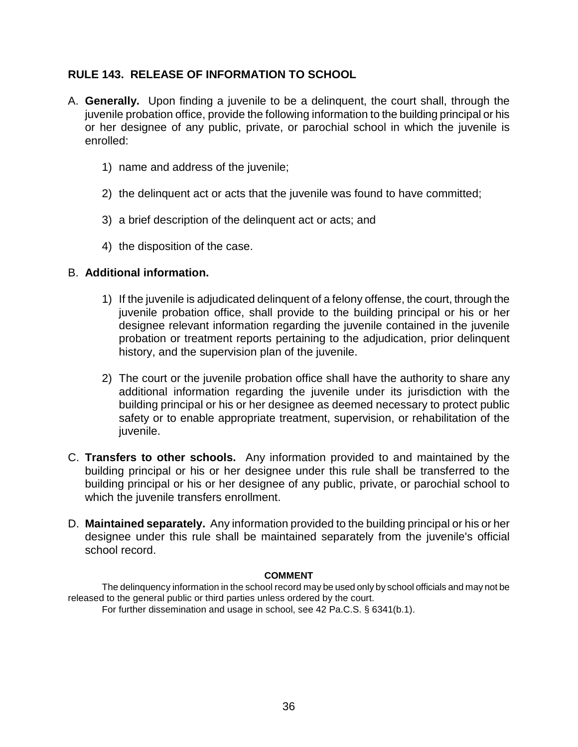### **RULE 143. RELEASE OF INFORMATION TO SCHOOL**

- A. **Generally.** Upon finding a juvenile to be a delinquent, the court shall, through the juvenile probation office, provide the following information to the building principal or his or her designee of any public, private, or parochial school in which the juvenile is enrolled:
	- 1) name and address of the juvenile;
	- 2) the delinquent act or acts that the juvenile was found to have committed;
	- 3) a brief description of the delinquent act or acts; and
	- 4) the disposition of the case.

#### B. **Additional information.**

- 1) If the juvenile is adjudicated delinquent of a felony offense, the court, through the juvenile probation office, shall provide to the building principal or his or her designee relevant information regarding the juvenile contained in the juvenile probation or treatment reports pertaining to the adjudication, prior delinquent history, and the supervision plan of the juvenile.
- 2) The court or the juvenile probation office shall have the authority to share any additional information regarding the juvenile under its jurisdiction with the building principal or his or her designee as deemed necessary to protect public safety or to enable appropriate treatment, supervision, or rehabilitation of the juvenile.
- C. **Transfers to other schools.** Any information provided to and maintained by the building principal or his or her designee under this rule shall be transferred to the building principal or his or her designee of any public, private, or parochial school to which the juvenile transfers enrollment.
- D. **Maintained separately.** Any information provided to the building principal or his or her designee under this rule shall be maintained separately from the juvenile's official school record.

#### **COMMENT**

The delinquency information in the school record may be used only by school officials and may not be released to the general public or third parties unless ordered by the court.

For further dissemination and usage in school, see 42 Pa.C.S. § 6341(b.1).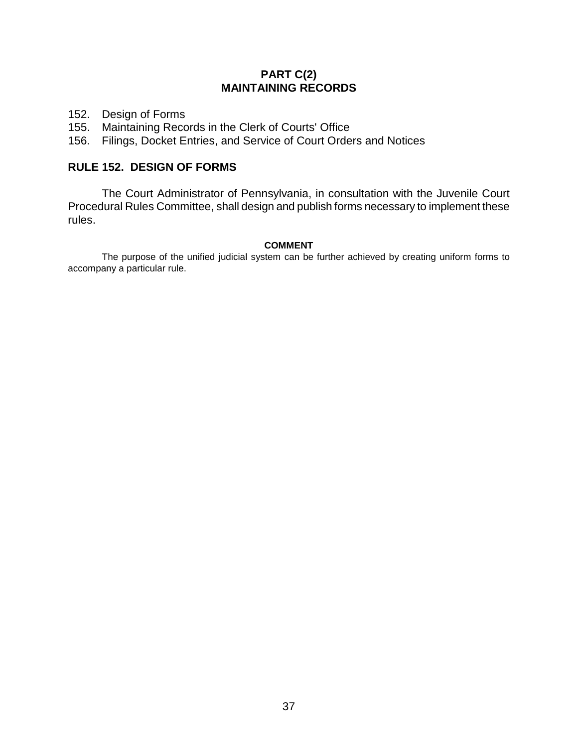# **PART C(2) MAINTAINING RECORDS**

- 152. Design of Forms
- 155. Maintaining Records in the Clerk of Courts' Office
- 156. Filings, Docket Entries, and Service of Court Orders and Notices

# **RULE 152. DESIGN OF FORMS**

The Court Administrator of Pennsylvania, in consultation with the Juvenile Court Procedural Rules Committee, shall design and publish forms necessary to implement these rules.

#### **COMMENT**

The purpose of the unified judicial system can be further achieved by creating uniform forms to accompany a particular rule.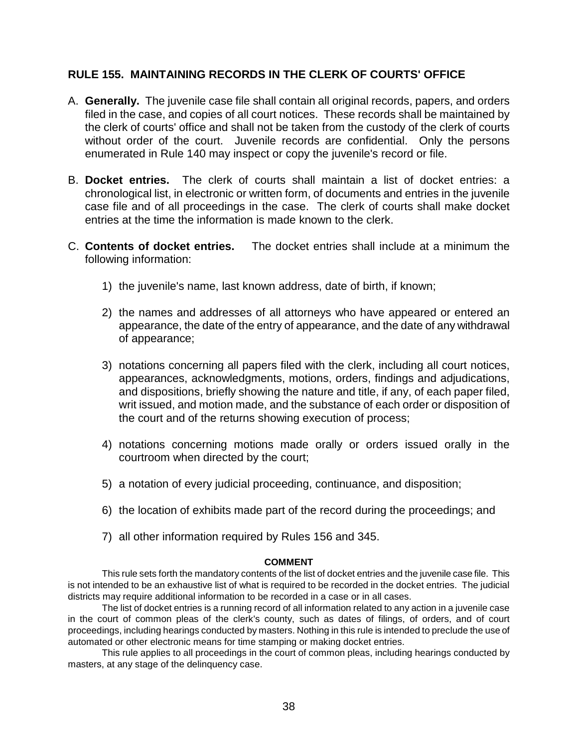#### **RULE 155. MAINTAINING RECORDS IN THE CLERK OF COURTS' OFFICE**

- A. **Generally.** The juvenile case file shall contain all original records, papers, and orders filed in the case, and copies of all court notices. These records shall be maintained by the clerk of courts' office and shall not be taken from the custody of the clerk of courts without order of the court. Juvenile records are confidential. Only the persons enumerated in Rule 140 may inspect or copy the juvenile's record or file.
- B. **Docket entries.** The clerk of courts shall maintain a list of docket entries: a chronological list, in electronic or written form, of documents and entries in the juvenile case file and of all proceedings in the case. The clerk of courts shall make docket entries at the time the information is made known to the clerk.
- C. **Contents of docket entries.** The docket entries shall include at a minimum the following information:
	- 1) the juvenile's name, last known address, date of birth, if known;
	- 2) the names and addresses of all attorneys who have appeared or entered an appearance, the date of the entry of appearance, and the date of any withdrawal of appearance;
	- 3) notations concerning all papers filed with the clerk, including all court notices, appearances, acknowledgments, motions, orders, findings and adjudications, and dispositions, briefly showing the nature and title, if any, of each paper filed, writ issued, and motion made, and the substance of each order or disposition of the court and of the returns showing execution of process;
	- 4) notations concerning motions made orally or orders issued orally in the courtroom when directed by the court;
	- 5) a notation of every judicial proceeding, continuance, and disposition;
	- 6) the location of exhibits made part of the record during the proceedings; and
	- 7) all other information required by Rules 156 and 345.

#### **COMMENT**

This rule sets forth the mandatory contents of the list of docket entries and the juvenile case file. This is not intended to be an exhaustive list of what is required to be recorded in the docket entries. The judicial districts may require additional information to be recorded in a case or in all cases.

The list of docket entries is a running record of all information related to any action in a juvenile case in the court of common pleas of the clerk's county, such as dates of filings, of orders, and of court proceedings, including hearings conducted by masters. Nothing in this rule is intended to preclude the use of automated or other electronic means for time stamping or making docket entries.

This rule applies to all proceedings in the court of common pleas, including hearings conducted by masters, at any stage of the delinquency case.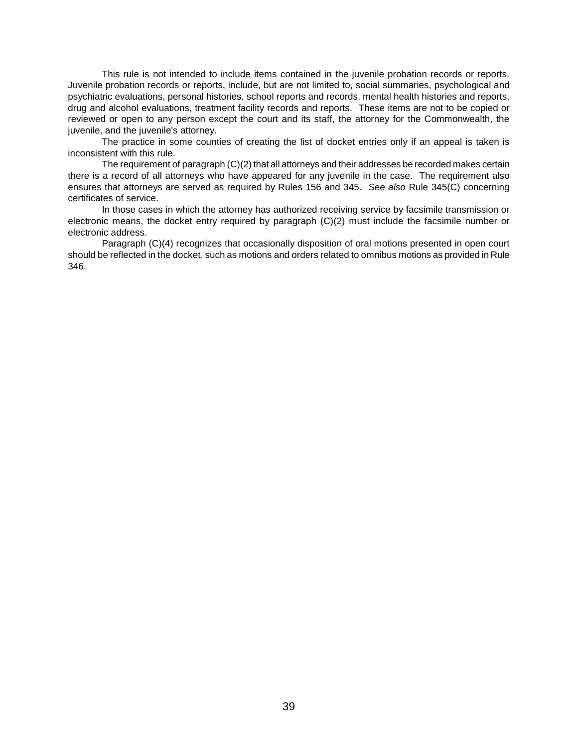This rule is not intended to include items contained in the juvenile probation records or reports. Juvenile probation records or reports, include, but are not limited to, social summaries, psychological and psychiatric evaluations, personal histories, school reports and records, mental health histories and reports, drug and alcohol evaluations, treatment facility records and reports. These items are not to be copied or reviewed or open to any person except the court and its staff, the attorney for the Commonwealth, the juvenile, and the juvenile's attorney.

The practice in some counties of creating the list of docket entries only if an appeal is taken is inconsistent with this rule.

The requirement of paragraph (C)(2) that all attorneys and their addresses be recorded makes certain there is a record of all attorneys who have appeared for any juvenile in the case. The requirement also ensures that attorneys are served as required by Rules 156 and 345. *See also* Rule 345(C) concerning certificates of service.

In those cases in which the attorney has authorized receiving service by facsimile transmission or electronic means, the docket entry required by paragraph (C)(2) must include the facsimile number or electronic address.

Paragraph (C)(4) recognizes that occasionally disposition of oral motions presented in open court should be reflected in the docket, such as motions and orders related to omnibus motions as provided in Rule 346.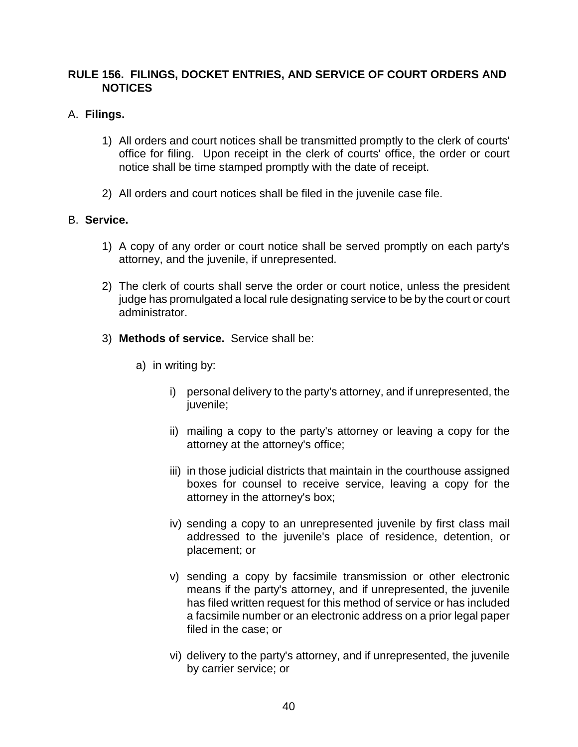# **RULE 156. FILINGS, DOCKET ENTRIES, AND SERVICE OF COURT ORDERS AND NOTICES**

# A. **Filings.**

- 1) All orders and court notices shall be transmitted promptly to the clerk of courts' office for filing. Upon receipt in the clerk of courts' office, the order or court notice shall be time stamped promptly with the date of receipt.
- 2) All orders and court notices shall be filed in the juvenile case file.

### B. **Service.**

- 1) A copy of any order or court notice shall be served promptly on each party's attorney, and the juvenile, if unrepresented.
- 2) The clerk of courts shall serve the order or court notice, unless the president judge has promulgated a local rule designating service to be by the court or court administrator.
- 3) **Methods of service.** Service shall be:
	- a) in writing by:
		- i) personal delivery to the party's attorney, and if unrepresented, the juvenile;
		- ii) mailing a copy to the party's attorney or leaving a copy for the attorney at the attorney's office;
		- iii) in those judicial districts that maintain in the courthouse assigned boxes for counsel to receive service, leaving a copy for the attorney in the attorney's box;
		- iv) sending a copy to an unrepresented juvenile by first class mail addressed to the juvenile's place of residence, detention, or placement; or
		- v) sending a copy by facsimile transmission or other electronic means if the party's attorney, and if unrepresented, the juvenile has filed written request for this method of service or has included a facsimile number or an electronic address on a prior legal paper filed in the case; or
		- vi) delivery to the party's attorney, and if unrepresented, the juvenile by carrier service; or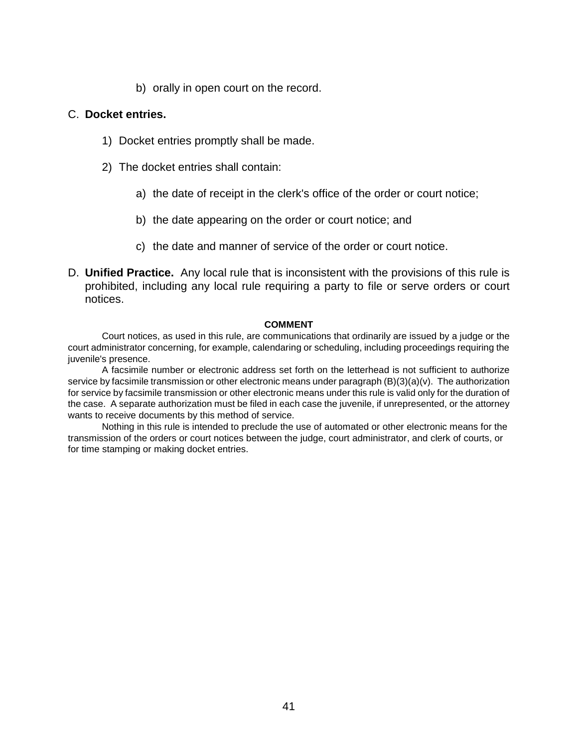b) orally in open court on the record.

#### C. **Docket entries.**

- 1) Docket entries promptly shall be made.
- 2) The docket entries shall contain:
	- a) the date of receipt in the clerk's office of the order or court notice;
	- b) the date appearing on the order or court notice; and
	- c) the date and manner of service of the order or court notice.
- D. **Unified Practice.** Any local rule that is inconsistent with the provisions of this rule is prohibited, including any local rule requiring a party to file or serve orders or court notices.

#### **COMMENT**

Court notices, as used in this rule, are communications that ordinarily are issued by a judge or the court administrator concerning, for example, calendaring or scheduling, including proceedings requiring the juvenile's presence.

A facsimile number or electronic address set forth on the letterhead is not sufficient to authorize service by facsimile transmission or other electronic means under paragraph (B)(3)(a)(v). The authorization for service by facsimile transmission or other electronic means under this rule is valid only for the duration of the case. A separate authorization must be filed in each case the juvenile, if unrepresented, or the attorney wants to receive documents by this method of service.

Nothing in this rule is intended to preclude the use of automated or other electronic means for the transmission of the orders or court notices between the judge, court administrator, and clerk of courts, or for time stamping or making docket entries.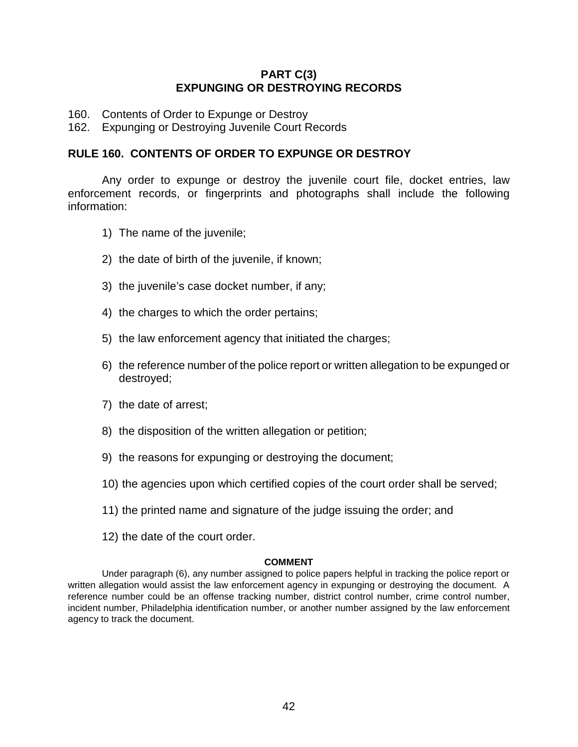### **PART C(3) EXPUNGING OR DESTROYING RECORDS**

- 160. Contents of Order to Expunge or Destroy
- 162. Expunging or Destroying Juvenile Court Records

#### **RULE 160. CONTENTS OF ORDER TO EXPUNGE OR DESTROY**

Any order to expunge or destroy the juvenile court file, docket entries, law enforcement records, or fingerprints and photographs shall include the following information:

- 1) The name of the juvenile;
- 2) the date of birth of the juvenile, if known;
- 3) the juvenile's case docket number, if any;
- 4) the charges to which the order pertains;
- 5) the law enforcement agency that initiated the charges;
- 6) the reference number of the police report or written allegation to be expunged or destroyed;
- 7) the date of arrest;
- 8) the disposition of the written allegation or petition;
- 9) the reasons for expunging or destroying the document;
- 10) the agencies upon which certified copies of the court order shall be served;
- 11) the printed name and signature of the judge issuing the order; and
- 12) the date of the court order.

#### **COMMENT**

Under paragraph (6), any number assigned to police papers helpful in tracking the police report or written allegation would assist the law enforcement agency in expunging or destroying the document. A reference number could be an offense tracking number, district control number, crime control number, incident number, Philadelphia identification number, or another number assigned by the law enforcement agency to track the document.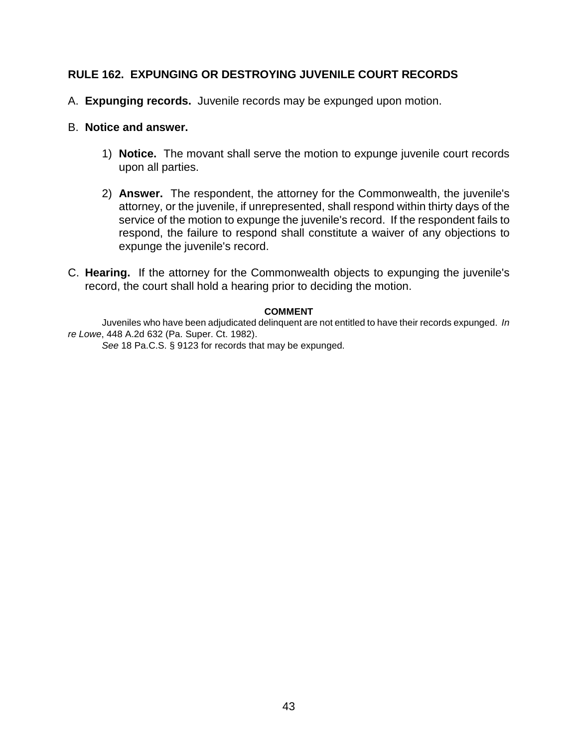# **RULE 162. EXPUNGING OR DESTROYING JUVENILE COURT RECORDS**

- A. **Expunging records.** Juvenile records may be expunged upon motion.
- B. **Notice and answer.** 
	- 1) **Notice.** The movant shall serve the motion to expunge juvenile court records upon all parties.
	- 2) **Answer.** The respondent, the attorney for the Commonwealth, the juvenile's attorney, or the juvenile, if unrepresented, shall respond within thirty days of the service of the motion to expunge the juvenile's record. If the respondent fails to respond, the failure to respond shall constitute a waiver of any objections to expunge the juvenile's record.
- C. **Hearing.** If the attorney for the Commonwealth objects to expunging the juvenile's record, the court shall hold a hearing prior to deciding the motion.

#### **COMMENT**

Juveniles who have been adjudicated delinquent are not entitled to have their records expunged. *In re Lowe*, 448 A.2d 632 (Pa. Super. Ct. 1982).

*See* 18 Pa.C.S. § 9123 for records that may be expunged.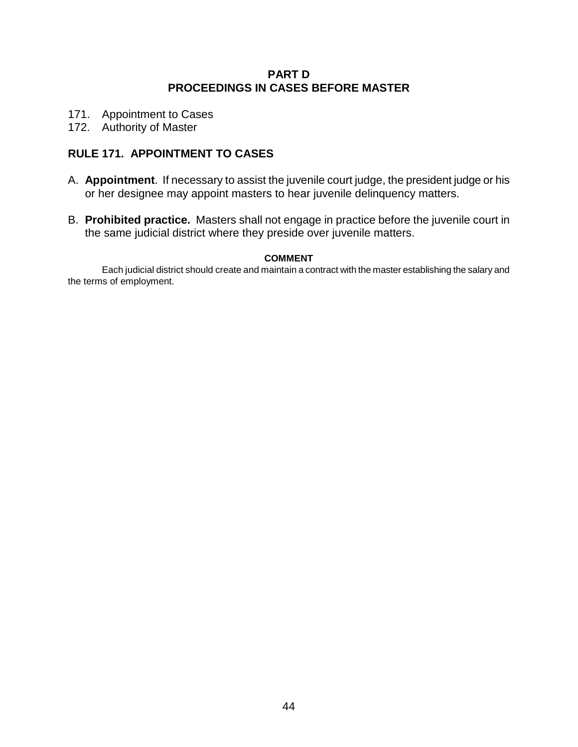## **PART D PROCEEDINGS IN CASES BEFORE MASTER**

- 171. Appointment to Cases
- 172. Authority of Master

# **RULE 171. APPOINTMENT TO CASES**

- A. **Appointment**. If necessary to assist the juvenile court judge, the president judge or his or her designee may appoint masters to hear juvenile delinquency matters.
- B. **Prohibited practice.** Masters shall not engage in practice before the juvenile court in the same judicial district where they preside over juvenile matters.

#### **COMMENT**

Each judicial district should create and maintain a contract with the master establishing the salary and the terms of employment.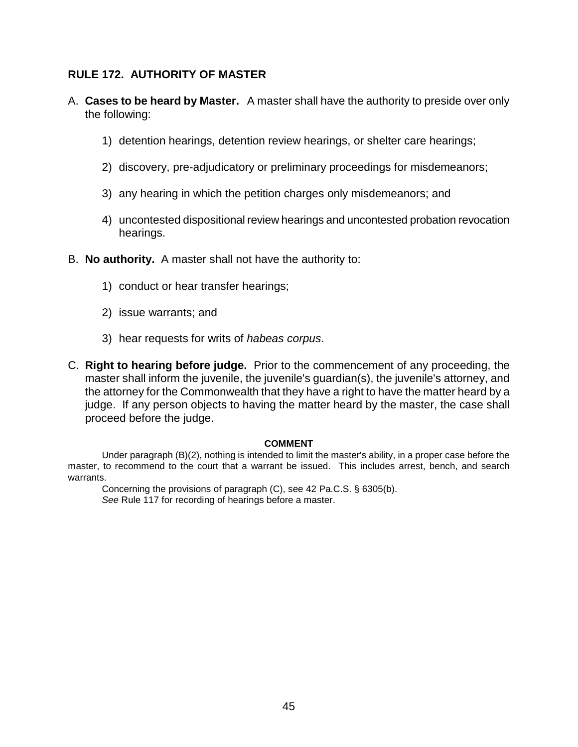## **RULE 172. AUTHORITY OF MASTER**

- A. **Cases to be heard by Master.** A master shall have the authority to preside over only the following:
	- 1) detention hearings, detention review hearings, or shelter care hearings;
	- 2) discovery, pre-adjudicatory or preliminary proceedings for misdemeanors;
	- 3) any hearing in which the petition charges only misdemeanors; and
	- 4) uncontested dispositional review hearings and uncontested probation revocation hearings.
- B. **No authority.** A master shall not have the authority to:
	- 1) conduct or hear transfer hearings;
	- 2) issue warrants; and
	- 3) hear requests for writs of *habeas corpus*.
- C. **Right to hearing before judge.** Prior to the commencement of any proceeding, the master shall inform the juvenile, the juvenile's guardian(s), the juvenile's attorney, and the attorney for the Commonwealth that they have a right to have the matter heard by a judge. If any person objects to having the matter heard by the master, the case shall proceed before the judge.

#### **COMMENT**

Under paragraph (B)(2), nothing is intended to limit the master's ability, in a proper case before the master, to recommend to the court that a warrant be issued. This includes arrest, bench, and search warrants.

Concerning the provisions of paragraph (C), see 42 Pa.C.S. § 6305(b). *See* Rule 117 for recording of hearings before a master.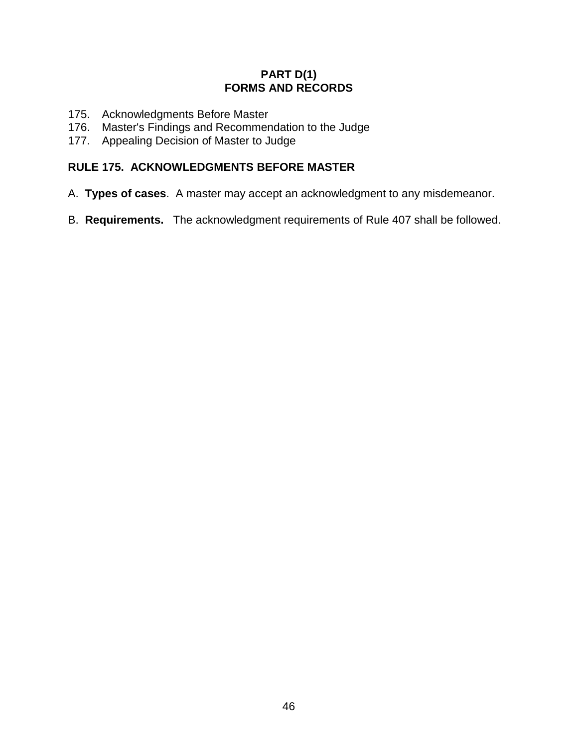# **PART D(1) FORMS AND RECORDS**

- 175. Acknowledgments Before Master
- 176. Master's Findings and Recommendation to the Judge
- 177. Appealing Decision of Master to Judge

# **RULE 175. ACKNOWLEDGMENTS BEFORE MASTER**

- A. **Types of cases**. A master may accept an acknowledgment to any misdemeanor.
- B. **Requirements.** The acknowledgment requirements of Rule 407 shall be followed.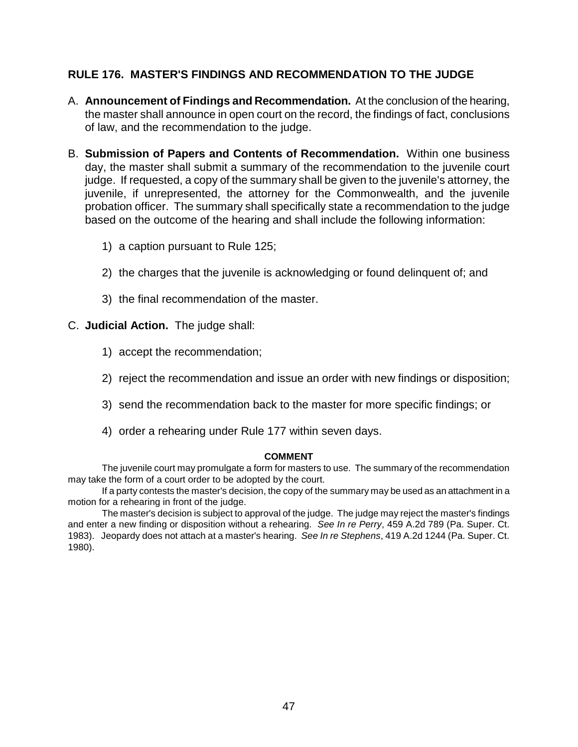# **RULE 176. MASTER'S FINDINGS AND RECOMMENDATION TO THE JUDGE**

- A. **Announcement of Findings and Recommendation.** At the conclusion of the hearing, the master shall announce in open court on the record, the findings of fact, conclusions of law, and the recommendation to the judge.
- B. **Submission of Papers and Contents of Recommendation.** Within one business day, the master shall submit a summary of the recommendation to the juvenile court judge. If requested, a copy of the summary shall be given to the juvenile's attorney, the juvenile, if unrepresented, the attorney for the Commonwealth, and the juvenile probation officer. The summary shall specifically state a recommendation to the judge based on the outcome of the hearing and shall include the following information:
	- 1) a caption pursuant to Rule 125;
	- 2) the charges that the juvenile is acknowledging or found delinquent of; and
	- 3) the final recommendation of the master.

### C. **Judicial Action.** The judge shall:

- 1) accept the recommendation;
- 2) reject the recommendation and issue an order with new findings or disposition;
- 3) send the recommendation back to the master for more specific findings; or
- 4) order a rehearing under Rule 177 within seven days.

#### **COMMENT**

The juvenile court may promulgate a form for masters to use. The summary of the recommendation may take the form of a court order to be adopted by the court.

If a party contests the master's decision, the copy of the summary may be used as an attachment in a motion for a rehearing in front of the judge.

The master's decision is subject to approval of the judge. The judge may reject the master's findings and enter a new finding or disposition without a rehearing. *See In re Perry*, 459 A.2d 789 (Pa. Super. Ct. 1983). Jeopardy does not attach at a master's hearing. *See In re Stephens*, 419 A.2d 1244 (Pa. Super. Ct. 1980).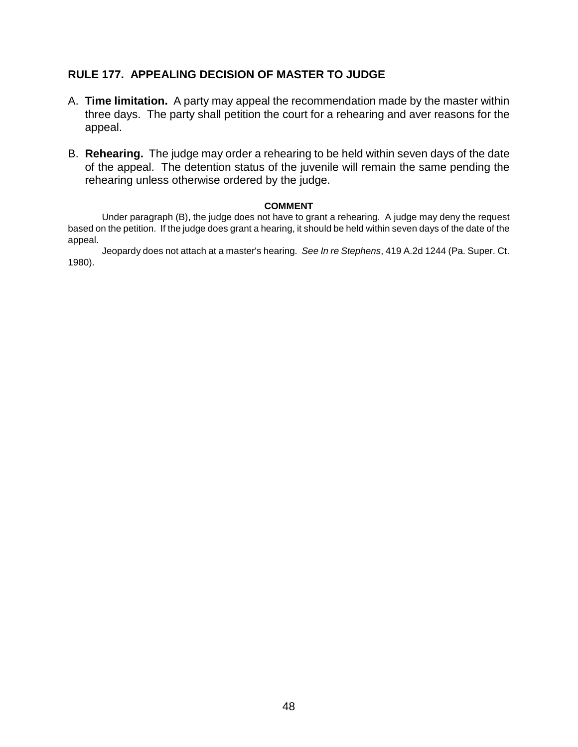# **RULE 177. APPEALING DECISION OF MASTER TO JUDGE**

- A. **Time limitation.** A party may appeal the recommendation made by the master within three days. The party shall petition the court for a rehearing and aver reasons for the appeal.
- B. **Rehearing.** The judge may order a rehearing to be held within seven days of the date of the appeal. The detention status of the juvenile will remain the same pending the rehearing unless otherwise ordered by the judge.

#### **COMMENT**

Under paragraph (B), the judge does not have to grant a rehearing. A judge may deny the request based on the petition. If the judge does grant a hearing, it should be held within seven days of the date of the appeal.

Jeopardy does not attach at a master's hearing. *See In re Stephens*, 419 A.2d 1244 (Pa. Super. Ct. 1980).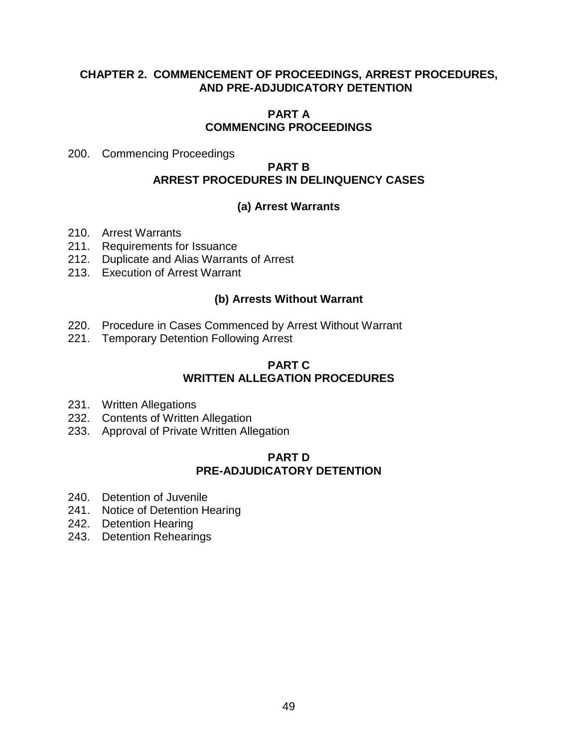## **CHAPTER 2. COMMENCEMENT OF PROCEEDINGS, ARREST PROCEDURES, AND PRE-ADJUDICATORY DETENTION**

#### **PART A COMMENCING PROCEEDINGS**

200. Commencing Proceedings

### **PART B ARREST PROCEDURES IN DELINQUENCY CASES**

# **(a) Arrest Warrants**

- 210. Arrest Warrants
- 211. Requirements for Issuance
- 212. Duplicate and Alias Warrants of Arrest
- 213. Execution of Arrest Warrant

# **(b) Arrests Without Warrant**

- 220. Procedure in Cases Commenced by Arrest Without Warrant
- 221. Temporary Detention Following Arrest

### **PART C WRITTEN ALLEGATION PROCEDURES**

- 231. Written Allegations
- 232. Contents of Written Allegation
- 233. Approval of Private Written Allegation

# **PART D PRE-ADJUDICATORY DETENTION**

- 240. Detention of Juvenile
- 241. Notice of Detention Hearing
- 242. Detention Hearing
- 243. Detention Rehearings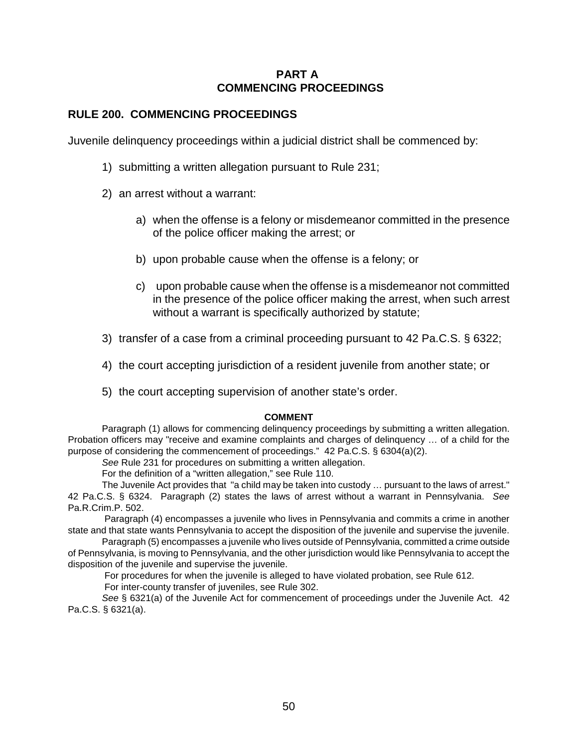### **PART A COMMENCING PROCEEDINGS**

### **RULE 200. COMMENCING PROCEEDINGS**

Juvenile delinquency proceedings within a judicial district shall be commenced by:

- 1) submitting a written allegation pursuant to Rule 231;
- 2) an arrest without a warrant:
	- a) when the offense is a felony or misdemeanor committed in the presence of the police officer making the arrest; or
	- b) upon probable cause when the offense is a felony; or
	- c) upon probable cause when the offense is a misdemeanor not committed in the presence of the police officer making the arrest, when such arrest without a warrant is specifically authorized by statute;
- 3) transfer of a case from a criminal proceeding pursuant to 42 Pa.C.S. § 6322;
- 4) the court accepting jurisdiction of a resident juvenile from another state; or
- 5) the court accepting supervision of another state's order.

#### **COMMENT**

Paragraph (1) allows for commencing delinquency proceedings by submitting a written allegation. Probation officers may "receive and examine complaints and charges of delinquency … of a child for the purpose of considering the commencement of proceedings." 42 Pa.C.S. § 6304(a)(2).

*See* Rule 231 for procedures on submitting a written allegation.

For the definition of a "written allegation," see Rule 110.

The Juvenile Act provides that "a child may be taken into custody … pursuant to the laws of arrest." 42 Pa.C.S. § 6324. Paragraph (2) states the laws of arrest without a warrant in Pennsylvania. *See* Pa.R.Crim.P. 502.

 Paragraph (4) encompasses a juvenile who lives in Pennsylvania and commits a crime in another state and that state wants Pennsylvania to accept the disposition of the juvenile and supervise the juvenile.

Paragraph (5) encompasses a juvenile who lives outside of Pennsylvania, committed a crime outside of Pennsylvania, is moving to Pennsylvania, and the other jurisdiction would like Pennsylvania to accept the disposition of the juvenile and supervise the juvenile.

For procedures for when the juvenile is alleged to have violated probation, see Rule 612.

For inter-county transfer of juveniles, see Rule 302.

*See* § 6321(a) of the Juvenile Act for commencement of proceedings under the Juvenile Act. 42 Pa.C.S. § 6321(a).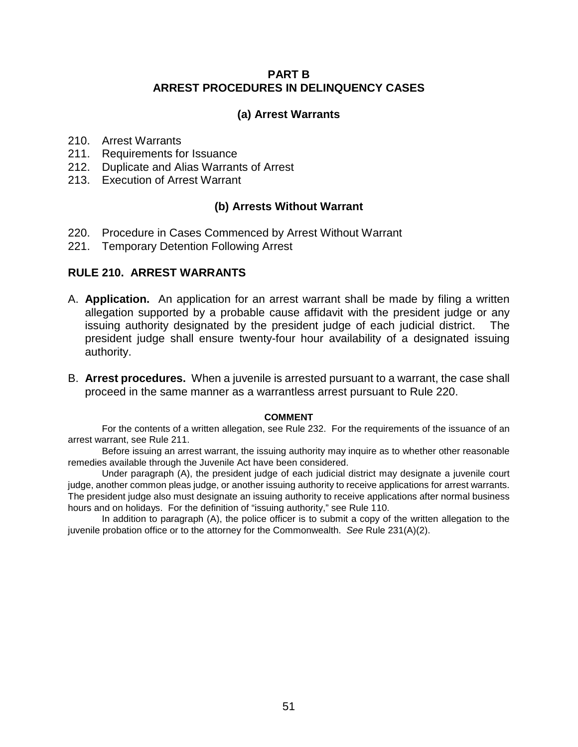### **PART B ARREST PROCEDURES IN DELINQUENCY CASES**

#### **(a) Arrest Warrants**

- 210. Arrest Warrants
- 211. Requirements for Issuance
- 212. Duplicate and Alias Warrants of Arrest
- 213. Execution of Arrest Warrant

### **(b) Arrests Without Warrant**

- 220. Procedure in Cases Commenced by Arrest Without Warrant
- 221. Temporary Detention Following Arrest

#### **RULE 210. ARREST WARRANTS**

- A. **Application.** An application for an arrest warrant shall be made by filing a written allegation supported by a probable cause affidavit with the president judge or any issuing authority designated by the president judge of each judicial district. The president judge shall ensure twenty-four hour availability of a designated issuing authority.
- B. **Arrest procedures.** When a juvenile is arrested pursuant to a warrant, the case shall proceed in the same manner as a warrantless arrest pursuant to Rule 220.

#### **COMMENT**

For the contents of a written allegation, see Rule 232. For the requirements of the issuance of an arrest warrant, see Rule 211.

Before issuing an arrest warrant, the issuing authority may inquire as to whether other reasonable remedies available through the Juvenile Act have been considered.

Under paragraph (A), the president judge of each judicial district may designate a juvenile court judge, another common pleas judge, or another issuing authority to receive applications for arrest warrants. The president judge also must designate an issuing authority to receive applications after normal business hours and on holidays. For the definition of "issuing authority," see Rule 110.

In addition to paragraph (A), the police officer is to submit a copy of the written allegation to the juvenile probation office or to the attorney for the Commonwealth. *See* Rule 231(A)(2).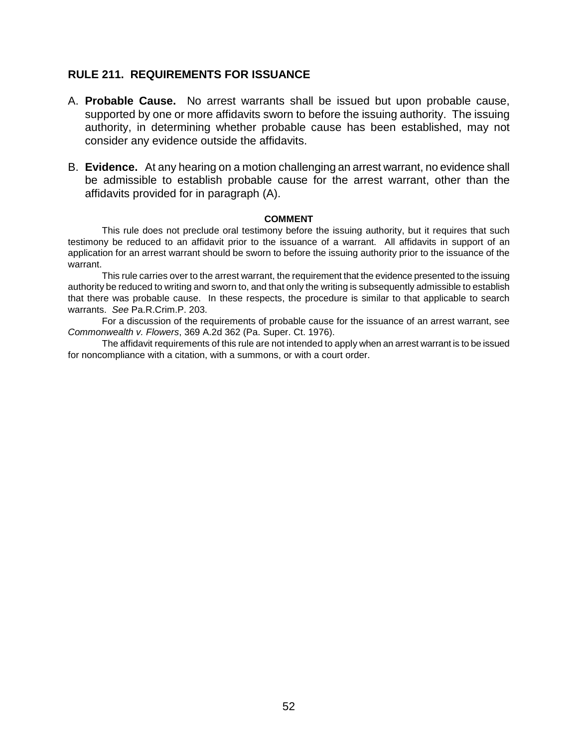#### **RULE 211. REQUIREMENTS FOR ISSUANCE**

- A. **Probable Cause.** No arrest warrants shall be issued but upon probable cause, supported by one or more affidavits sworn to before the issuing authority. The issuing authority, in determining whether probable cause has been established, may not consider any evidence outside the affidavits.
- B. **Evidence.** At any hearing on a motion challenging an arrest warrant, no evidence shall be admissible to establish probable cause for the arrest warrant, other than the affidavits provided for in paragraph (A).

#### **COMMENT**

This rule does not preclude oral testimony before the issuing authority, but it requires that such testimony be reduced to an affidavit prior to the issuance of a warrant. All affidavits in support of an application for an arrest warrant should be sworn to before the issuing authority prior to the issuance of the warrant.

This rule carries over to the arrest warrant, the requirement that the evidence presented to the issuing authority be reduced to writing and sworn to, and that only the writing is subsequently admissible to establish that there was probable cause. In these respects, the procedure is similar to that applicable to search warrants. *See* Pa.R.Crim.P. 203.

For a discussion of the requirements of probable cause for the issuance of an arrest warrant, see *Commonwealth v. Flowers*, 369 A.2d 362 (Pa. Super. Ct. 1976).

The affidavit requirements of this rule are not intended to apply when an arrest warrant is to be issued for noncompliance with a citation, with a summons, or with a court order.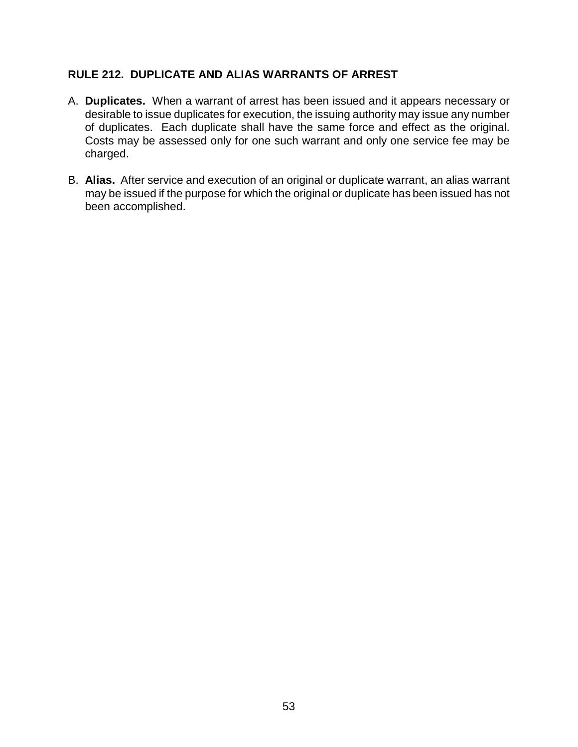# **RULE 212. DUPLICATE AND ALIAS WARRANTS OF ARREST**

- A. **Duplicates.** When a warrant of arrest has been issued and it appears necessary or desirable to issue duplicates for execution, the issuing authority may issue any number of duplicates. Each duplicate shall have the same force and effect as the original. Costs may be assessed only for one such warrant and only one service fee may be charged.
- B. **Alias.** After service and execution of an original or duplicate warrant, an alias warrant may be issued if the purpose for which the original or duplicate has been issued has not been accomplished.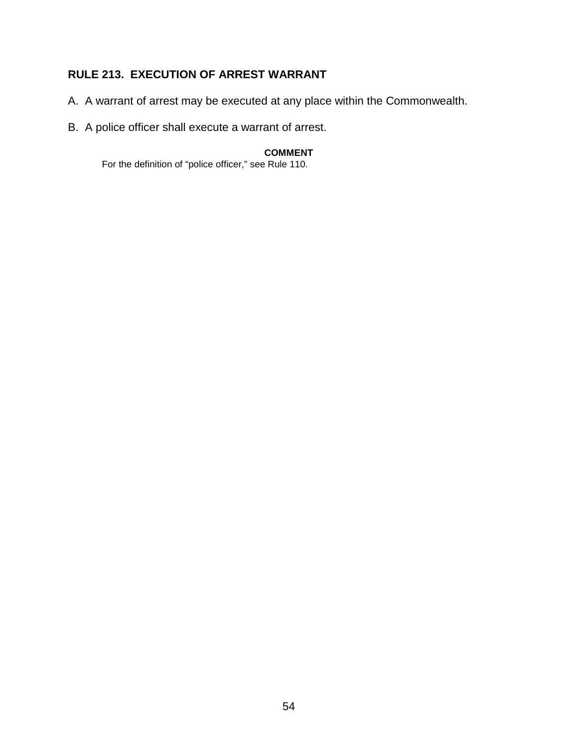# **RULE 213. EXECUTION OF ARREST WARRANT**

- A. A warrant of arrest may be executed at any place within the Commonwealth.
- B. A police officer shall execute a warrant of arrest.

#### **COMMENT**

For the definition of "police officer," see Rule 110.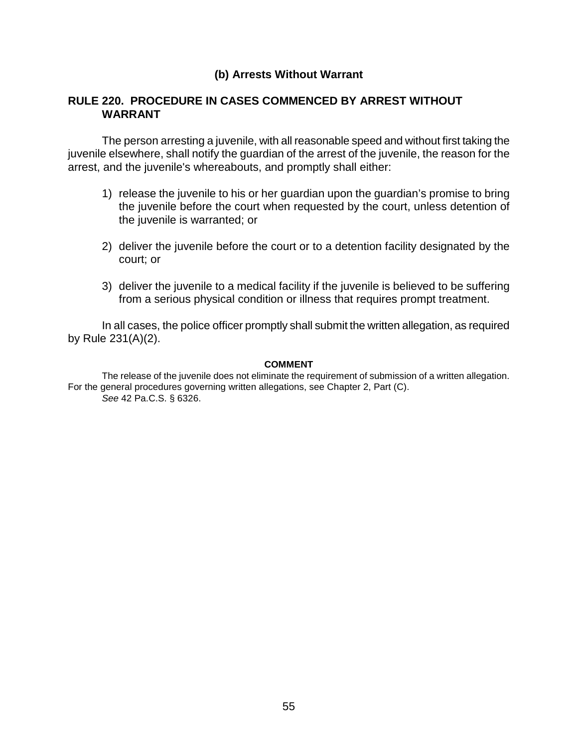### **(b) Arrests Without Warrant**

### **RULE 220. PROCEDURE IN CASES COMMENCED BY ARREST WITHOUT WARRANT**

The person arresting a juvenile, with all reasonable speed and without first taking the juvenile elsewhere, shall notify the guardian of the arrest of the juvenile, the reason for the arrest, and the juvenile's whereabouts, and promptly shall either:

- 1) release the juvenile to his or her guardian upon the guardian's promise to bring the juvenile before the court when requested by the court, unless detention of the juvenile is warranted; or
- 2) deliver the juvenile before the court or to a detention facility designated by the court; or
- 3) deliver the juvenile to a medical facility if the juvenile is believed to be suffering from a serious physical condition or illness that requires prompt treatment.

In all cases, the police officer promptly shall submit the written allegation, as required by Rule 231(A)(2).

#### **COMMENT**

The release of the juvenile does not eliminate the requirement of submission of a written allegation. For the general procedures governing written allegations, see Chapter 2, Part (C). *See* 42 Pa.C.S. § 6326.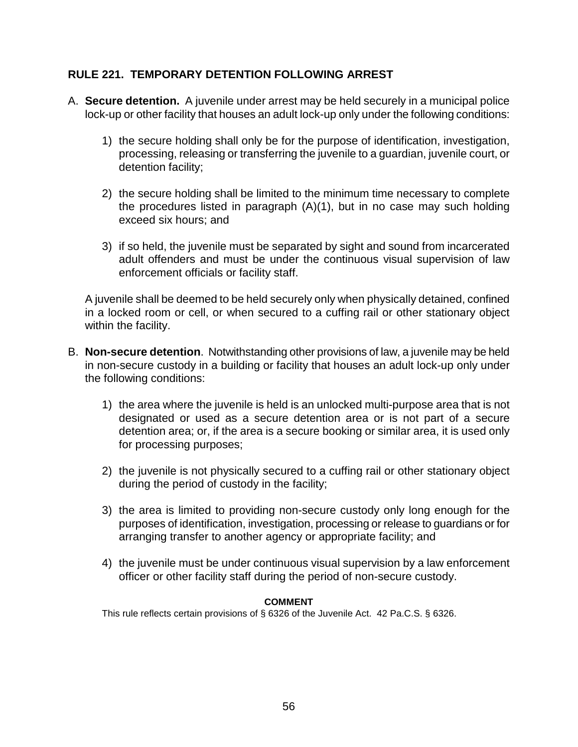# **RULE 221. TEMPORARY DETENTION FOLLOWING ARREST**

- A. **Secure detention.** A juvenile under arrest may be held securely in a municipal police lock-up or other facility that houses an adult lock-up only under the following conditions:
	- 1) the secure holding shall only be for the purpose of identification, investigation, processing, releasing or transferring the juvenile to a guardian, juvenile court, or detention facility;
	- 2) the secure holding shall be limited to the minimum time necessary to complete the procedures listed in paragraph (A)(1), but in no case may such holding exceed six hours; and
	- 3) if so held, the juvenile must be separated by sight and sound from incarcerated adult offenders and must be under the continuous visual supervision of law enforcement officials or facility staff.

A juvenile shall be deemed to be held securely only when physically detained, confined in a locked room or cell, or when secured to a cuffing rail or other stationary object within the facility.

- B. **Non-secure detention**. Notwithstanding other provisions of law, a juvenile may be held in non-secure custody in a building or facility that houses an adult lock-up only under the following conditions:
	- 1) the area where the juvenile is held is an unlocked multi-purpose area that is not designated or used as a secure detention area or is not part of a secure detention area; or, if the area is a secure booking or similar area, it is used only for processing purposes;
	- 2) the juvenile is not physically secured to a cuffing rail or other stationary object during the period of custody in the facility;
	- 3) the area is limited to providing non-secure custody only long enough for the purposes of identification, investigation, processing or release to guardians or for arranging transfer to another agency or appropriate facility; and
	- 4) the juvenile must be under continuous visual supervision by a law enforcement officer or other facility staff during the period of non-secure custody.

#### **COMMENT**

This rule reflects certain provisions of § 6326 of the Juvenile Act. 42 Pa.C.S. § 6326.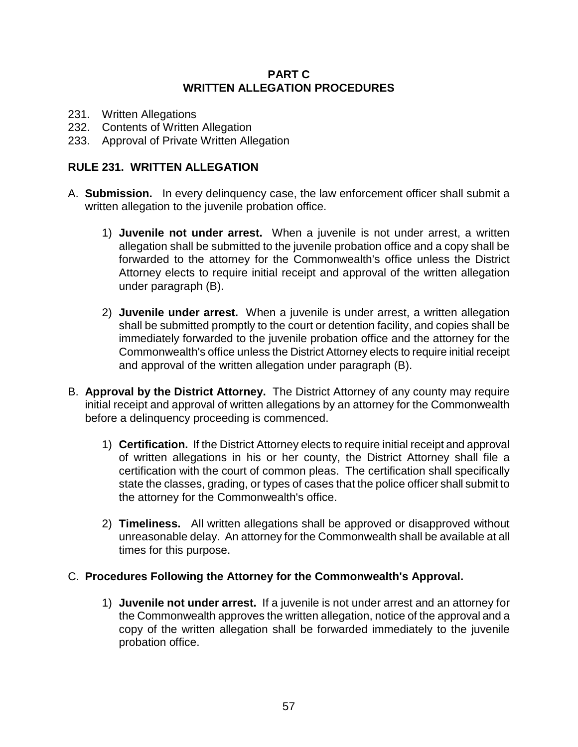### **PART C WRITTEN ALLEGATION PROCEDURES**

- 231. Written Allegations
- 232. Contents of Written Allegation
- 233. Approval of Private Written Allegation

### **RULE 231. WRITTEN ALLEGATION**

- A. **Submission.** In every delinquency case, the law enforcement officer shall submit a written allegation to the juvenile probation office.
	- 1) **Juvenile not under arrest.** When a juvenile is not under arrest, a written allegation shall be submitted to the juvenile probation office and a copy shall be forwarded to the attorney for the Commonwealth's office unless the District Attorney elects to require initial receipt and approval of the written allegation under paragraph (B).
	- 2) **Juvenile under arrest.** When a juvenile is under arrest, a written allegation shall be submitted promptly to the court or detention facility, and copies shall be immediately forwarded to the juvenile probation office and the attorney for the Commonwealth's office unless the District Attorney elects to require initial receipt and approval of the written allegation under paragraph (B).
- B. **Approval by the District Attorney.** The District Attorney of any county may require initial receipt and approval of written allegations by an attorney for the Commonwealth before a delinquency proceeding is commenced.
	- 1) **Certification.** If the District Attorney elects to require initial receipt and approval of written allegations in his or her county, the District Attorney shall file a certification with the court of common pleas. The certification shall specifically state the classes, grading, or types of cases that the police officer shall submit to the attorney for the Commonwealth's office.
	- 2) **Timeliness.** All written allegations shall be approved or disapproved without unreasonable delay. An attorney for the Commonwealth shall be available at all times for this purpose.

### C. **Procedures Following the Attorney for the Commonwealth's Approval.**

1) **Juvenile not under arrest.** If a juvenile is not under arrest and an attorney for the Commonwealth approves the written allegation, notice of the approval and a copy of the written allegation shall be forwarded immediately to the juvenile probation office.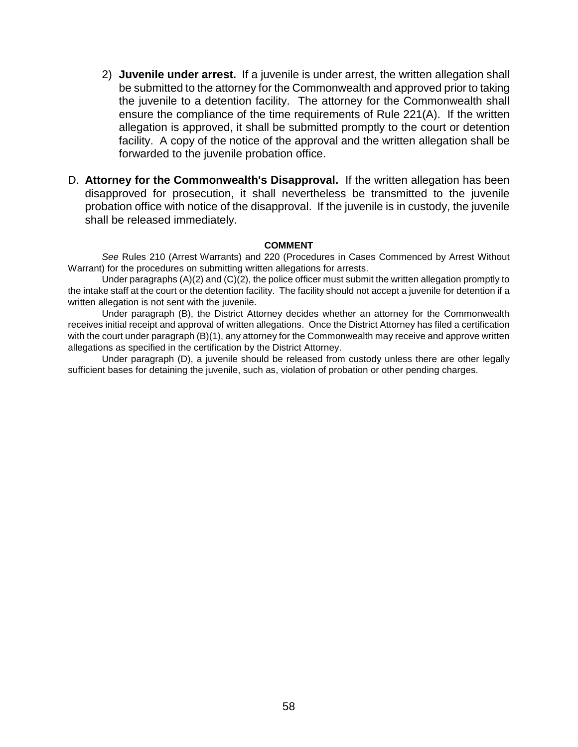- 2) **Juvenile under arrest.** If a juvenile is under arrest, the written allegation shall be submitted to the attorney for the Commonwealth and approved prior to taking the juvenile to a detention facility. The attorney for the Commonwealth shall ensure the compliance of the time requirements of Rule 221(A). If the written allegation is approved, it shall be submitted promptly to the court or detention facility. A copy of the notice of the approval and the written allegation shall be forwarded to the juvenile probation office.
- D. **Attorney for the Commonwealth's Disapproval.** If the written allegation has been disapproved for prosecution, it shall nevertheless be transmitted to the juvenile probation office with notice of the disapproval. If the juvenile is in custody, the juvenile shall be released immediately.

#### **COMMENT**

*See* Rules 210 (Arrest Warrants) and 220 (Procedures in Cases Commenced by Arrest Without Warrant) for the procedures on submitting written allegations for arrests.

Under paragraphs (A)(2) and (C)(2), the police officer must submit the written allegation promptly to the intake staff at the court or the detention facility. The facility should not accept a juvenile for detention if a written allegation is not sent with the juvenile.

Under paragraph (B), the District Attorney decides whether an attorney for the Commonwealth receives initial receipt and approval of written allegations. Once the District Attorney has filed a certification with the court under paragraph (B)(1), any attorney for the Commonwealth may receive and approve written allegations as specified in the certification by the District Attorney.

Under paragraph (D), a juvenile should be released from custody unless there are other legally sufficient bases for detaining the juvenile, such as, violation of probation or other pending charges.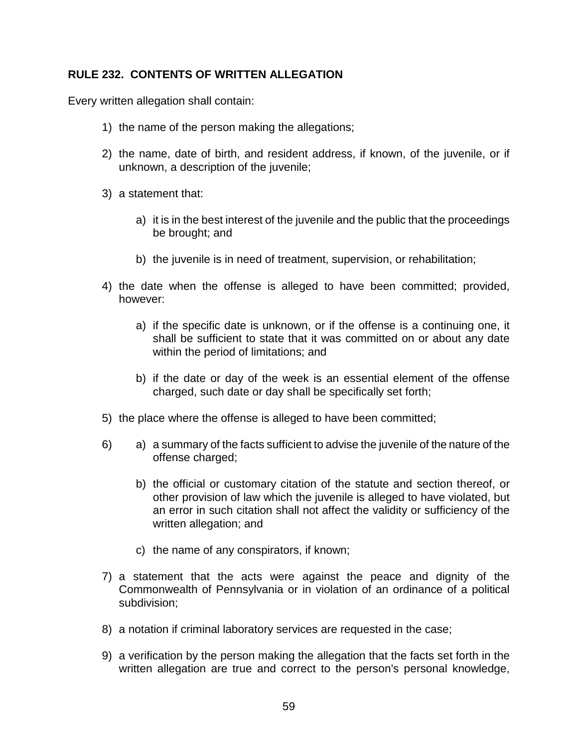# **RULE 232. CONTENTS OF WRITTEN ALLEGATION**

Every written allegation shall contain:

- 1) the name of the person making the allegations;
- 2) the name, date of birth, and resident address, if known, of the juvenile, or if unknown, a description of the juvenile;
- 3) a statement that:
	- a) it is in the best interest of the juvenile and the public that the proceedings be brought; and
	- b) the juvenile is in need of treatment, supervision, or rehabilitation;
- 4) the date when the offense is alleged to have been committed; provided, however:
	- a) if the specific date is unknown, or if the offense is a continuing one, it shall be sufficient to state that it was committed on or about any date within the period of limitations; and
	- b) if the date or day of the week is an essential element of the offense charged, such date or day shall be specifically set forth;
- 5) the place where the offense is alleged to have been committed;
- 6) a) a summary of the facts sufficient to advise the juvenile of the nature of the offense charged;
	- b) the official or customary citation of the statute and section thereof, or other provision of law which the juvenile is alleged to have violated, but an error in such citation shall not affect the validity or sufficiency of the written allegation; and
	- c) the name of any conspirators, if known;
- 7) a statement that the acts were against the peace and dignity of the Commonwealth of Pennsylvania or in violation of an ordinance of a political subdivision;
- 8) a notation if criminal laboratory services are requested in the case;
- 9) a verification by the person making the allegation that the facts set forth in the written allegation are true and correct to the person's personal knowledge,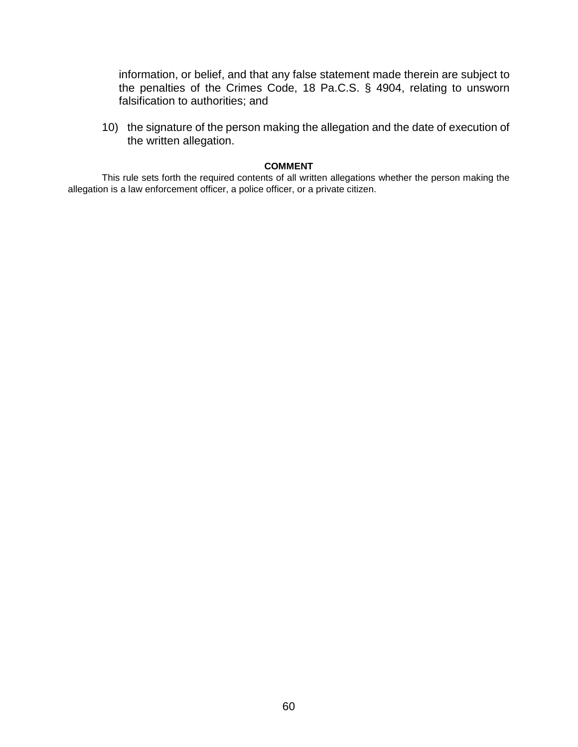information, or belief, and that any false statement made therein are subject to the penalties of the Crimes Code, 18 Pa.C.S. § 4904, relating to unsworn falsification to authorities; and

10) the signature of the person making the allegation and the date of execution of the written allegation.

#### **COMMENT**

This rule sets forth the required contents of all written allegations whether the person making the allegation is a law enforcement officer, a police officer, or a private citizen.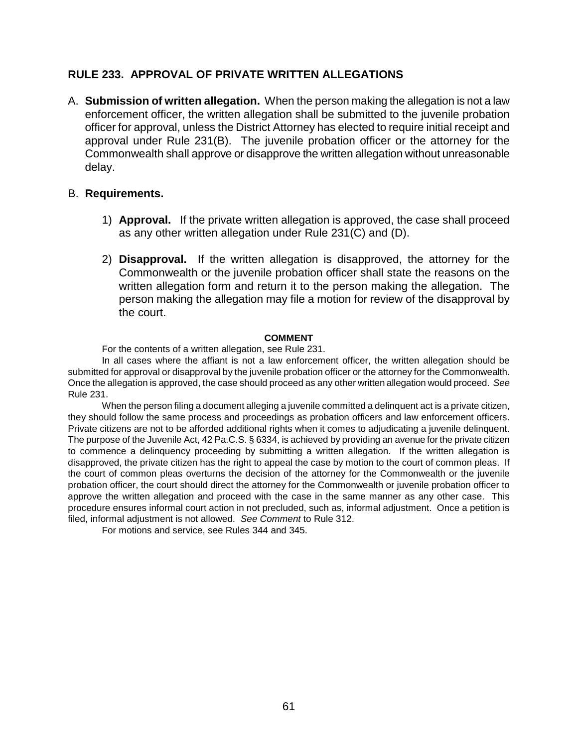# **RULE 233. APPROVAL OF PRIVATE WRITTEN ALLEGATIONS**

A. **Submission of written allegation.** When the person making the allegation is not a law enforcement officer, the written allegation shall be submitted to the juvenile probation officer for approval, unless the District Attorney has elected to require initial receipt and approval under Rule 231(B). The juvenile probation officer or the attorney for the Commonwealth shall approve or disapprove the written allegation without unreasonable delay.

#### B. **Requirements.**

- 1) **Approval.** If the private written allegation is approved, the case shall proceed as any other written allegation under Rule 231(C) and (D).
- 2) **Disapproval.** If the written allegation is disapproved, the attorney for the Commonwealth or the juvenile probation officer shall state the reasons on the written allegation form and return it to the person making the allegation. The person making the allegation may file a motion for review of the disapproval by the court.

#### **COMMENT**

For the contents of a written allegation, see Rule 231.

In all cases where the affiant is not a law enforcement officer, the written allegation should be submitted for approval or disapproval by the juvenile probation officer or the attorney for the Commonwealth. Once the allegation is approved, the case should proceed as any other written allegation would proceed. *See* Rule 231.

When the person filing a document alleging a juvenile committed a delinquent act is a private citizen, they should follow the same process and proceedings as probation officers and law enforcement officers. Private citizens are not to be afforded additional rights when it comes to adjudicating a juvenile delinquent. The purpose of the Juvenile Act, 42 Pa.C.S. § 6334, is achieved by providing an avenue for the private citizen to commence a delinquency proceeding by submitting a written allegation. If the written allegation is disapproved, the private citizen has the right to appeal the case by motion to the court of common pleas. If the court of common pleas overturns the decision of the attorney for the Commonwealth or the juvenile probation officer, the court should direct the attorney for the Commonwealth or juvenile probation officer to approve the written allegation and proceed with the case in the same manner as any other case. This procedure ensures informal court action in not precluded, such as, informal adjustment. Once a petition is filed, informal adjustment is not allowed. *See Comment* to Rule 312.

For motions and service, see Rules 344 and 345.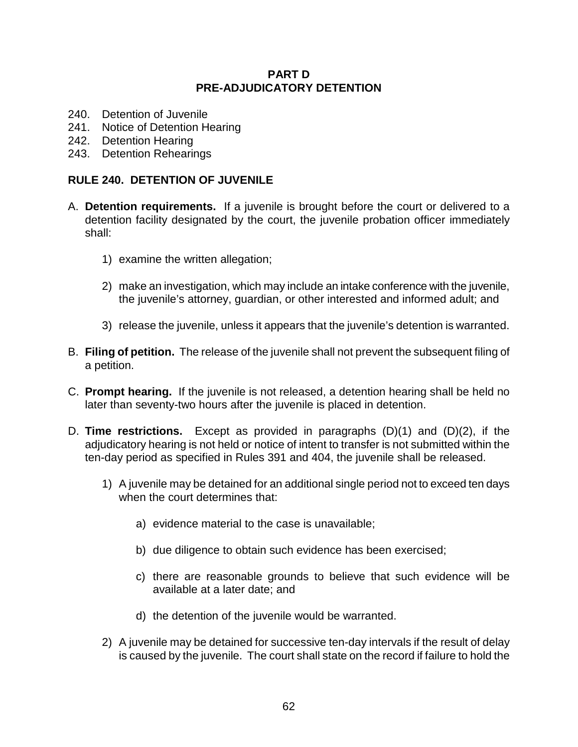### **PART D PRE-ADJUDICATORY DETENTION**

- 240. Detention of Juvenile
- 241. Notice of Detention Hearing
- 242. Detention Hearing
- 243. Detention Rehearings

## **RULE 240. DETENTION OF JUVENILE**

- A. **Detention requirements.** If a juvenile is brought before the court or delivered to a detention facility designated by the court, the juvenile probation officer immediately shall:
	- 1) examine the written allegation;
	- 2) make an investigation, which may include an intake conference with the juvenile, the juvenile's attorney, guardian, or other interested and informed adult; and
	- 3) release the juvenile, unless it appears that the juvenile's detention is warranted.
- B. **Filing of petition.** The release of the juvenile shall not prevent the subsequent filing of a petition.
- C. **Prompt hearing.** If the juvenile is not released, a detention hearing shall be held no later than seventy-two hours after the juvenile is placed in detention.
- D. **Time restrictions.** Except as provided in paragraphs (D)(1) and (D)(2), if the adjudicatory hearing is not held or notice of intent to transfer is not submitted within the ten-day period as specified in Rules 391 and 404, the juvenile shall be released.
	- 1) A juvenile may be detained for an additional single period not to exceed ten days when the court determines that:
		- a) evidence material to the case is unavailable;
		- b) due diligence to obtain such evidence has been exercised;
		- c) there are reasonable grounds to believe that such evidence will be available at a later date; and
		- d) the detention of the juvenile would be warranted.
	- 2) A juvenile may be detained for successive ten-day intervals if the result of delay is caused by the juvenile. The court shall state on the record if failure to hold the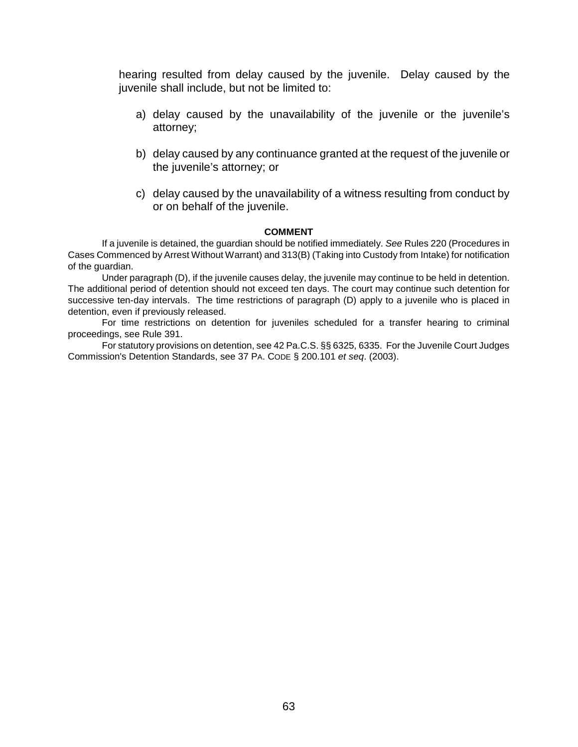hearing resulted from delay caused by the juvenile. Delay caused by the juvenile shall include, but not be limited to:

- a) delay caused by the unavailability of the juvenile or the juvenile's attorney;
- b) delay caused by any continuance granted at the request of the juvenile or the juvenile's attorney; or
- c) delay caused by the unavailability of a witness resulting from conduct by or on behalf of the juvenile.

#### **COMMENT**

If a juvenile is detained, the guardian should be notified immediately. *See* Rules 220 (Procedures in Cases Commenced by Arrest Without Warrant) and 313(B) (Taking into Custody from Intake) for notification of the guardian.

Under paragraph (D), if the juvenile causes delay, the juvenile may continue to be held in detention. The additional period of detention should not exceed ten days. The court may continue such detention for successive ten-day intervals. The time restrictions of paragraph (D) apply to a juvenile who is placed in detention, even if previously released.

For time restrictions on detention for juveniles scheduled for a transfer hearing to criminal proceedings, see Rule 391.

For statutory provisions on detention, see 42 Pa.C.S. §§ 6325, 6335. For the Juvenile Court Judges Commission's Detention Standards, see 37 PA. CODE § 200.101 *et seq*. (2003).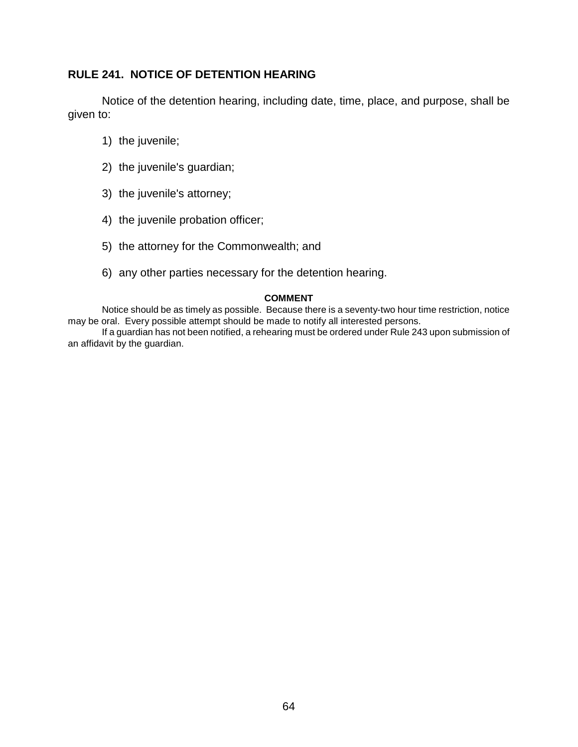# **RULE 241. NOTICE OF DETENTION HEARING**

Notice of the detention hearing, including date, time, place, and purpose, shall be given to:

- 1) the juvenile;
- 2) the juvenile's guardian;
- 3) the juvenile's attorney;
- 4) the juvenile probation officer;
- 5) the attorney for the Commonwealth; and
- 6) any other parties necessary for the detention hearing.

#### **COMMENT**

Notice should be as timely as possible. Because there is a seventy-two hour time restriction, notice may be oral. Every possible attempt should be made to notify all interested persons.

If a guardian has not been notified, a rehearing must be ordered under Rule 243 upon submission of an affidavit by the guardian.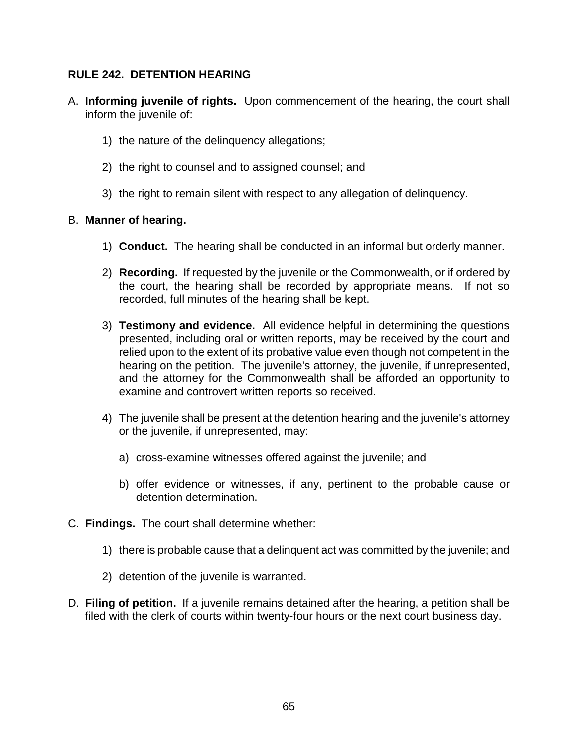# **RULE 242. DETENTION HEARING**

- A. **Informing juvenile of rights.** Upon commencement of the hearing, the court shall inform the juvenile of:
	- 1) the nature of the delinquency allegations;
	- 2) the right to counsel and to assigned counsel; and
	- 3) the right to remain silent with respect to any allegation of delinquency.

### B. **Manner of hearing.**

- 1) **Conduct.** The hearing shall be conducted in an informal but orderly manner.
- 2) **Recording.** If requested by the juvenile or the Commonwealth, or if ordered by the court, the hearing shall be recorded by appropriate means. If not so recorded, full minutes of the hearing shall be kept.
- 3) **Testimony and evidence.** All evidence helpful in determining the questions presented, including oral or written reports, may be received by the court and relied upon to the extent of its probative value even though not competent in the hearing on the petition. The juvenile's attorney, the juvenile, if unrepresented, and the attorney for the Commonwealth shall be afforded an opportunity to examine and controvert written reports so received.
- 4) The juvenile shall be present at the detention hearing and the juvenile's attorney or the juvenile, if unrepresented, may:
	- a) cross-examine witnesses offered against the juvenile; and
	- b) offer evidence or witnesses, if any, pertinent to the probable cause or detention determination.
- C. **Findings.** The court shall determine whether:
	- 1) there is probable cause that a delinquent act was committed by the juvenile; and
	- 2) detention of the juvenile is warranted.
- D. **Filing of petition.** If a juvenile remains detained after the hearing, a petition shall be filed with the clerk of courts within twenty-four hours or the next court business day.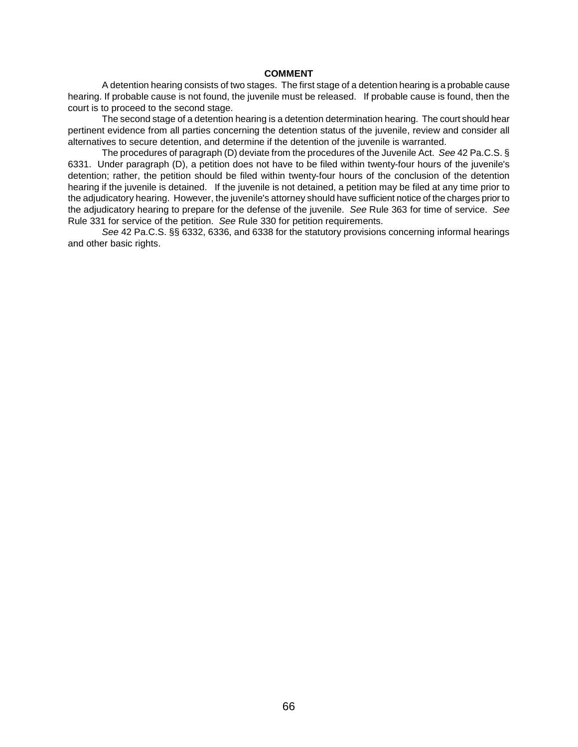#### **COMMENT**

A detention hearing consists of two stages. The first stage of a detention hearing is a probable cause hearing. If probable cause is not found, the juvenile must be released. If probable cause is found, then the court is to proceed to the second stage.

The second stage of a detention hearing is a detention determination hearing. The court should hear pertinent evidence from all parties concerning the detention status of the juvenile, review and consider all alternatives to secure detention, and determine if the detention of the juvenile is warranted.

The procedures of paragraph (D) deviate from the procedures of the Juvenile Act. *See* 42 Pa.C.S. § 6331. Under paragraph (D), a petition does not have to be filed within twenty-four hours of the juvenile's detention; rather, the petition should be filed within twenty-four hours of the conclusion of the detention hearing if the juvenile is detained. If the juvenile is not detained, a petition may be filed at any time prior to the adjudicatory hearing. However, the juvenile's attorney should have sufficient notice of the charges prior to the adjudicatory hearing to prepare for the defense of the juvenile. *See* Rule 363 for time of service. *See*  Rule 331 for service of the petition. *See* Rule 330 for petition requirements.

*See* 42 Pa.C.S. §§ 6332, 6336, and 6338 for the statutory provisions concerning informal hearings and other basic rights.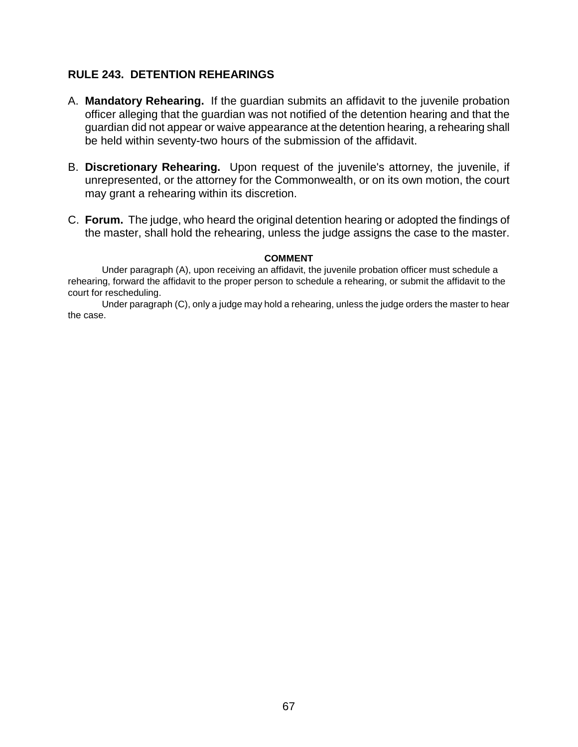# **RULE 243. DETENTION REHEARINGS**

- A. **Mandatory Rehearing.** If the guardian submits an affidavit to the juvenile probation officer alleging that the guardian was not notified of the detention hearing and that the guardian did not appear or waive appearance at the detention hearing, a rehearing shall be held within seventy-two hours of the submission of the affidavit.
- B. **Discretionary Rehearing.** Upon request of the juvenile's attorney, the juvenile, if unrepresented, or the attorney for the Commonwealth, or on its own motion, the court may grant a rehearing within its discretion.
- C. **Forum.** The judge, who heard the original detention hearing or adopted the findings of the master, shall hold the rehearing, unless the judge assigns the case to the master.

#### **COMMENT**

Under paragraph (A), upon receiving an affidavit, the juvenile probation officer must schedule a rehearing, forward the affidavit to the proper person to schedule a rehearing, or submit the affidavit to the court for rescheduling.

Under paragraph (C), only a judge may hold a rehearing, unless the judge orders the master to hear the case.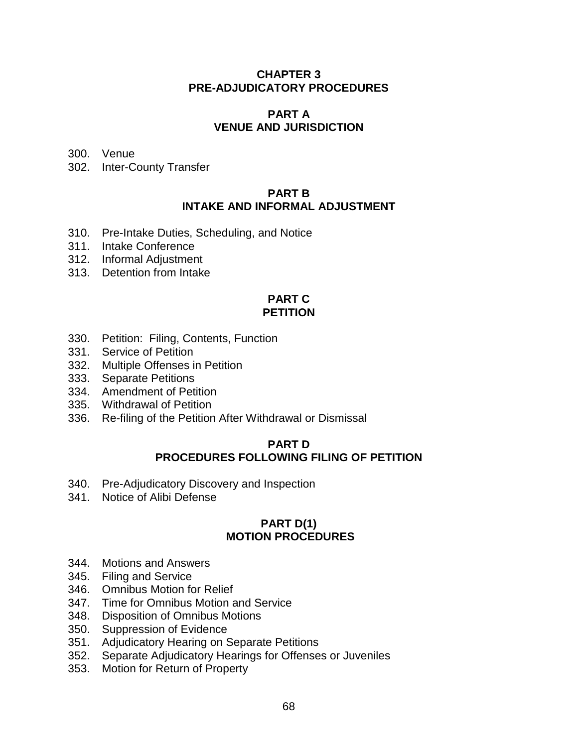# **CHAPTER 3 PRE-ADJUDICATORY PROCEDURES**

#### **PART A VENUE AND JURISDICTION**

300. Venue

302. Inter-County Transfer

### **PART B INTAKE AND INFORMAL ADJUSTMENT**

- 310. Pre-Intake Duties, Scheduling, and Notice
- 311. Intake Conference
- 312. Informal Adjustment
- 313. Detention from Intake

# **PART C PETITION**

- 330. Petition: Filing, Contents, Function
- 331. Service of Petition
- 332. Multiple Offenses in Petition
- 333. Separate Petitions
- 334. Amendment of Petition
- 335. Withdrawal of Petition
- 336. Re-filing of the Petition After Withdrawal or Dismissal

#### **PART D PROCEDURES FOLLOWING FILING OF PETITION**

- 340. Pre-Adjudicatory Discovery and Inspection
- 341. Notice of Alibi Defense

# **PART D(1) MOTION PROCEDURES**

- 344. Motions and Answers
- 345. Filing and Service
- 346. Omnibus Motion for Relief
- 347. Time for Omnibus Motion and Service
- 348. Disposition of Omnibus Motions
- 350. Suppression of Evidence
- 351. Adjudicatory Hearing on Separate Petitions
- 352. Separate Adjudicatory Hearings for Offenses or Juveniles
- 353. Motion for Return of Property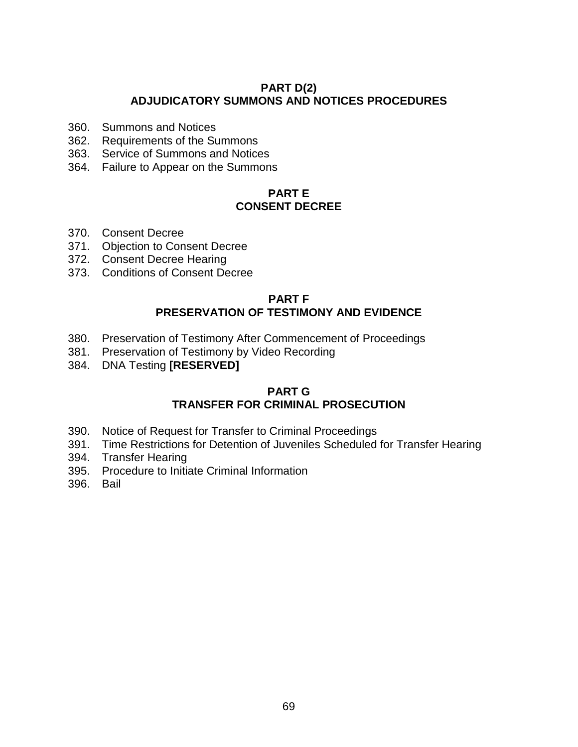## **PART D(2) ADJUDICATORY SUMMONS AND NOTICES PROCEDURES**

- 360. Summons and Notices
- 362. Requirements of the Summons
- 363. Service of Summons and Notices
- 364. Failure to Appear on the Summons

# **PART E CONSENT DECREE**

- 370. Consent Decree
- 371. Objection to Consent Decree
- 372. Consent Decree Hearing
- 373. Conditions of Consent Decree

## **PART F PRESERVATION OF TESTIMONY AND EVIDENCE**

- 380. Preservation of Testimony After Commencement of Proceedings
- 381. Preservation of Testimony by Video Recording
- 384. DNA Testing **[RESERVED]**

### **PART G TRANSFER FOR CRIMINAL PROSECUTION**

- 390. Notice of Request for Transfer to Criminal Proceedings
- 391. Time Restrictions for Detention of Juveniles Scheduled for Transfer Hearing
- 394. Transfer Hearing
- 395. Procedure to Initiate Criminal Information
- 396. Bail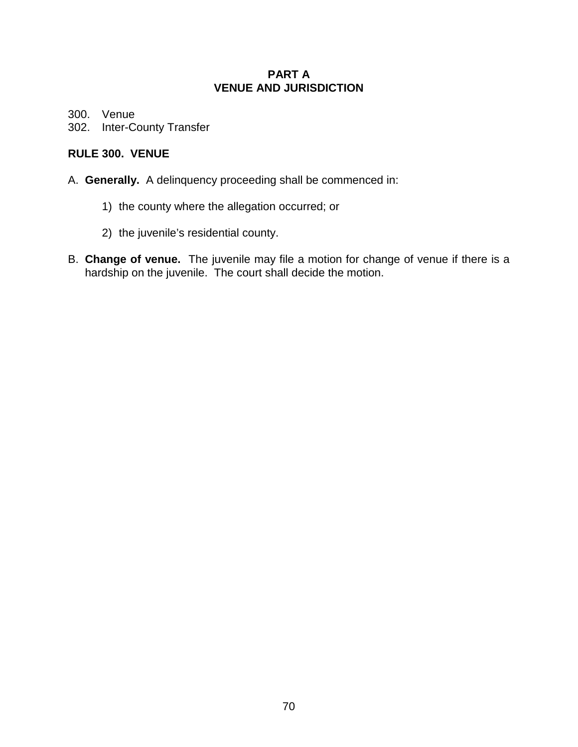## **PART A VENUE AND JURISDICTION**

300. Venue

302. Inter-County Transfer

# **RULE 300. VENUE**

- A. **Generally.** A delinquency proceeding shall be commenced in:
	- 1) the county where the allegation occurred; or
	- 2) the juvenile's residential county.
- B. **Change of venue.** The juvenile may file a motion for change of venue if there is a hardship on the juvenile. The court shall decide the motion.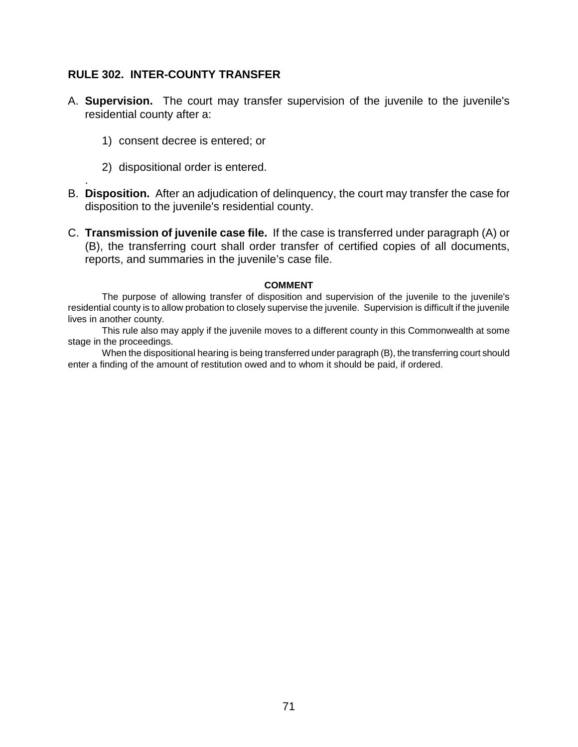## **RULE 302. INTER-COUNTY TRANSFER**

- A. **Supervision.** The court may transfer supervision of the juvenile to the juvenile's residential county after a:
	- 1) consent decree is entered; or
	- 2) dispositional order is entered.

.

- B. **Disposition.** After an adjudication of delinquency, the court may transfer the case for disposition to the juvenile's residential county.
- C. **Transmission of juvenile case file.** If the case is transferred under paragraph (A) or (B), the transferring court shall order transfer of certified copies of all documents, reports, and summaries in the juvenile's case file.

#### **COMMENT**

The purpose of allowing transfer of disposition and supervision of the juvenile to the juvenile's residential county is to allow probation to closely supervise the juvenile. Supervision is difficult if the juvenile lives in another county.

This rule also may apply if the juvenile moves to a different county in this Commonwealth at some stage in the proceedings.

When the dispositional hearing is being transferred under paragraph (B), the transferring court should enter a finding of the amount of restitution owed and to whom it should be paid, if ordered.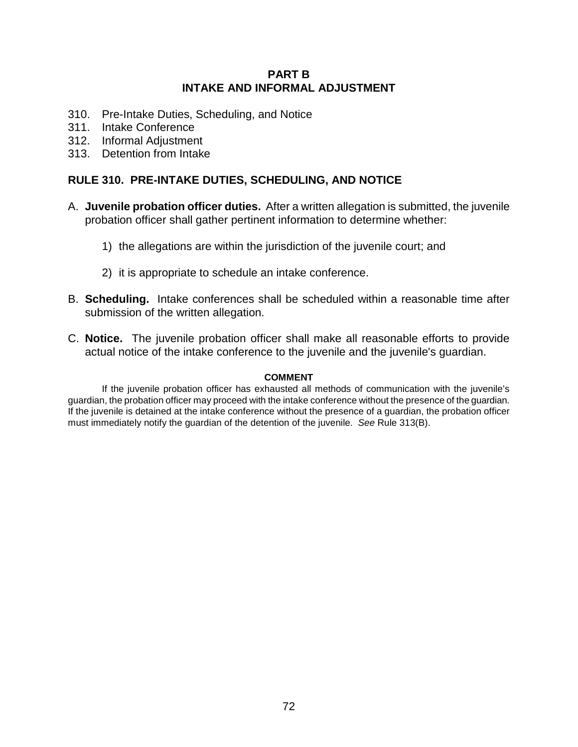### **PART B INTAKE AND INFORMAL ADJUSTMENT**

- 310. Pre-Intake Duties, Scheduling, and Notice
- 311. Intake Conference
- 312. Informal Adjustment
- 313. Detention from Intake

## **RULE 310. PRE-INTAKE DUTIES, SCHEDULING, AND NOTICE**

- A. **Juvenile probation officer duties.** After a written allegation is submitted, the juvenile probation officer shall gather pertinent information to determine whether:
	- 1) the allegations are within the jurisdiction of the juvenile court; and
	- 2) it is appropriate to schedule an intake conference.
- B. **Scheduling.** Intake conferences shall be scheduled within a reasonable time after submission of the written allegation.
- C. **Notice.** The juvenile probation officer shall make all reasonable efforts to provide actual notice of the intake conference to the juvenile and the juvenile's guardian.

#### **COMMENT**

If the juvenile probation officer has exhausted all methods of communication with the juvenile's guardian, the probation officer may proceed with the intake conference without the presence of the guardian. If the juvenile is detained at the intake conference without the presence of a guardian, the probation officer must immediately notify the guardian of the detention of the juvenile. *See* Rule 313(B).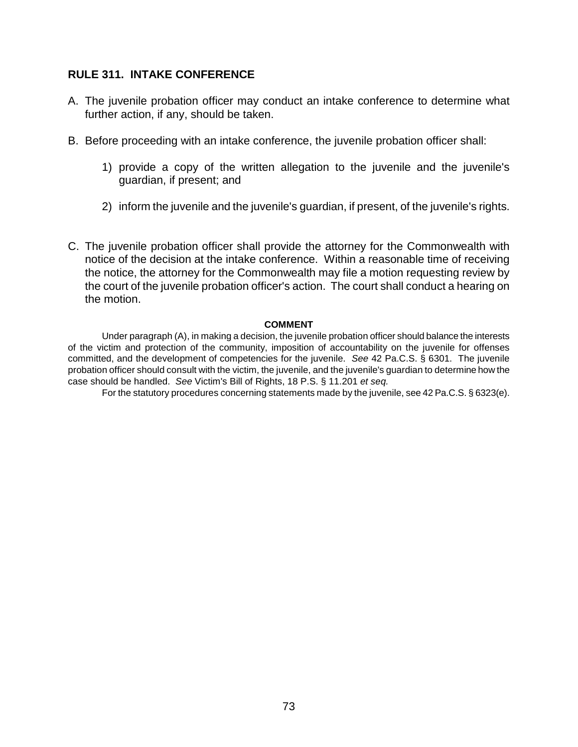## **RULE 311. INTAKE CONFERENCE**

- A. The juvenile probation officer may conduct an intake conference to determine what further action, if any, should be taken.
- B. Before proceeding with an intake conference, the juvenile probation officer shall:
	- 1) provide a copy of the written allegation to the juvenile and the juvenile's guardian, if present; and
	- 2) inform the juvenile and the juvenile's guardian, if present, of the juvenile's rights.
- C. The juvenile probation officer shall provide the attorney for the Commonwealth with notice of the decision at the intake conference. Within a reasonable time of receiving the notice, the attorney for the Commonwealth may file a motion requesting review by the court of the juvenile probation officer's action. The court shall conduct a hearing on the motion.

## **COMMENT**

Under paragraph (A), in making a decision, the juvenile probation officer should balance the interests of the victim and protection of the community, imposition of accountability on the juvenile for offenses committed, and the development of competencies for the juvenile. *See* 42 Pa.C.S. § 6301. The juvenile probation officer should consult with the victim, the juvenile, and the juvenile's guardian to determine how the case should be handled. *See* Victim's Bill of Rights, 18 P.S. § 11.201 *et seq.*

For the statutory procedures concerning statements made by the juvenile, see 42 Pa.C.S. § 6323(e).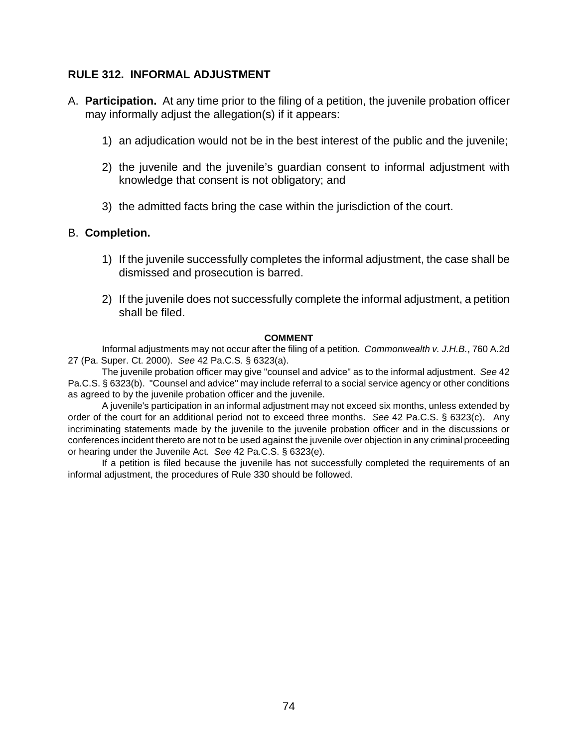# **RULE 312. INFORMAL ADJUSTMENT**

- A. **Participation.** At any time prior to the filing of a petition, the juvenile probation officer may informally adjust the allegation(s) if it appears:
	- 1) an adjudication would not be in the best interest of the public and the juvenile;
	- 2) the juvenile and the juvenile's guardian consent to informal adjustment with knowledge that consent is not obligatory; and
	- 3) the admitted facts bring the case within the jurisdiction of the court.

# B. **Completion.**

- 1) If the juvenile successfully completes the informal adjustment, the case shall be dismissed and prosecution is barred.
- 2) If the juvenile does not successfully complete the informal adjustment, a petition shall be filed.

## **COMMENT**

Informal adjustments may not occur after the filing of a petition. *Commonwealth v. J.H.B.*, 760 A.2d 27 (Pa. Super. Ct. 2000). *See* 42 Pa.C.S. § 6323(a).

The juvenile probation officer may give "counsel and advice" as to the informal adjustment. *See* 42 Pa.C.S. § 6323(b). "Counsel and advice" may include referral to a social service agency or other conditions as agreed to by the juvenile probation officer and the juvenile.

A juvenile's participation in an informal adjustment may not exceed six months, unless extended by order of the court for an additional period not to exceed three months. *See* 42 Pa.C.S. § 6323(c). Any incriminating statements made by the juvenile to the juvenile probation officer and in the discussions or conferences incident thereto are not to be used against the juvenile over objection in any criminal proceeding or hearing under the Juvenile Act. *See* 42 Pa.C.S. § 6323(e).

If a petition is filed because the juvenile has not successfully completed the requirements of an informal adjustment, the procedures of Rule 330 should be followed.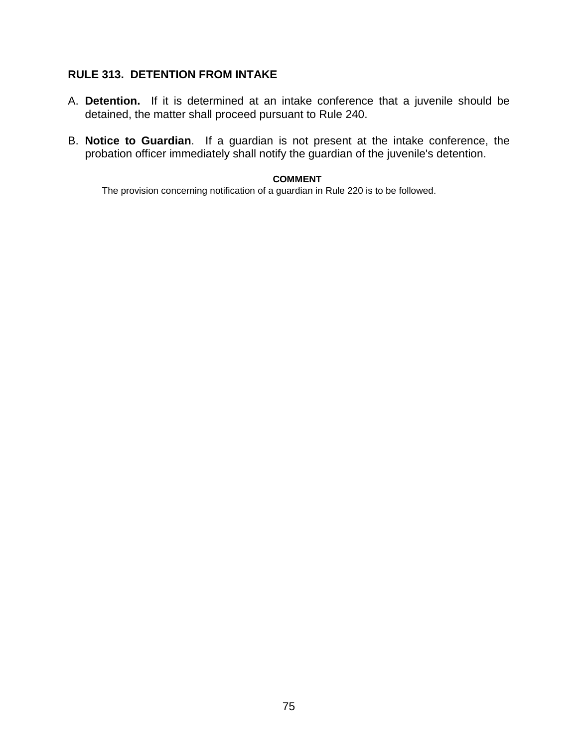# **RULE 313. DETENTION FROM INTAKE**

- A. **Detention.** If it is determined at an intake conference that a juvenile should be detained, the matter shall proceed pursuant to Rule 240.
- B. **Notice to Guardian**. If a guardian is not present at the intake conference, the probation officer immediately shall notify the guardian of the juvenile's detention.

## **COMMENT**

The provision concerning notification of a guardian in Rule 220 is to be followed.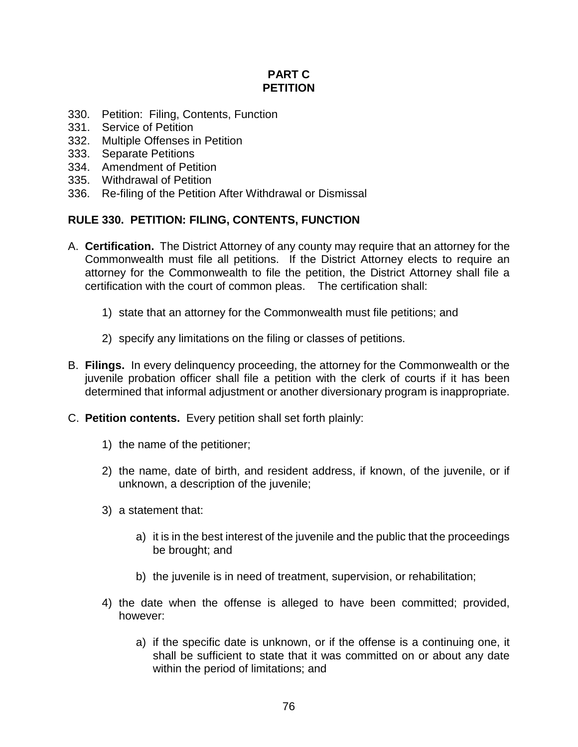# **PART C PETITION**

- 330. Petition: Filing, Contents, Function
- 331. Service of Petition
- 332. Multiple Offenses in Petition
- 333. Separate Petitions
- 334. Amendment of Petition
- 335. Withdrawal of Petition
- 336. Re-filing of the Petition After Withdrawal or Dismissal

# **RULE 330. PETITION: FILING, CONTENTS, FUNCTION**

- A. **Certification.** The District Attorney of any county may require that an attorney for the Commonwealth must file all petitions. If the District Attorney elects to require an attorney for the Commonwealth to file the petition, the District Attorney shall file a certification with the court of common pleas. The certification shall:
	- 1) state that an attorney for the Commonwealth must file petitions; and
	- 2) specify any limitations on the filing or classes of petitions.
- B. **Filings.** In every delinquency proceeding, the attorney for the Commonwealth or the juvenile probation officer shall file a petition with the clerk of courts if it has been determined that informal adjustment or another diversionary program is inappropriate.
- C. **Petition contents.** Every petition shall set forth plainly:
	- 1) the name of the petitioner;
	- 2) the name, date of birth, and resident address, if known, of the juvenile, or if unknown, a description of the juvenile;
	- 3) a statement that:
		- a) it is in the best interest of the juvenile and the public that the proceedings be brought; and
		- b) the juvenile is in need of treatment, supervision, or rehabilitation;
	- 4) the date when the offense is alleged to have been committed; provided, however:
		- a) if the specific date is unknown, or if the offense is a continuing one, it shall be sufficient to state that it was committed on or about any date within the period of limitations; and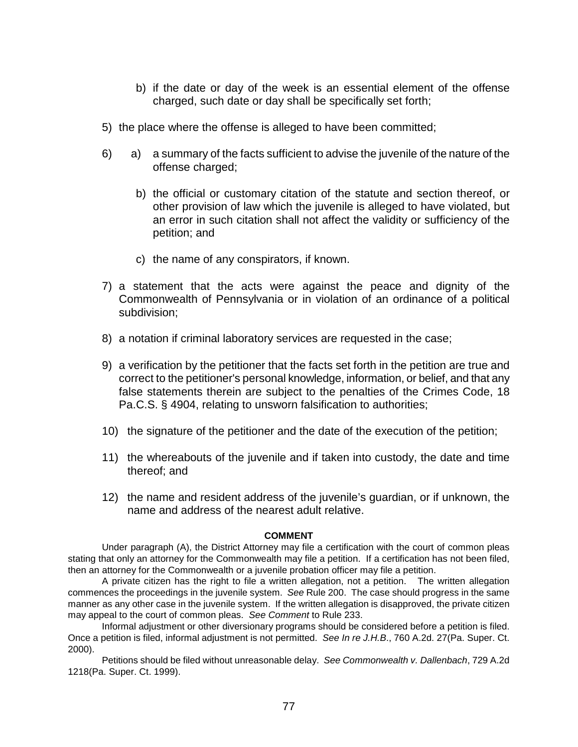- b) if the date or day of the week is an essential element of the offense charged, such date or day shall be specifically set forth;
- 5) the place where the offense is alleged to have been committed;
- 6) a) a summary of the facts sufficient to advise the juvenile of the nature of the offense charged;
	- b) the official or customary citation of the statute and section thereof, or other provision of law which the juvenile is alleged to have violated, but an error in such citation shall not affect the validity or sufficiency of the petition; and
	- c) the name of any conspirators, if known.
- 7) a statement that the acts were against the peace and dignity of the Commonwealth of Pennsylvania or in violation of an ordinance of a political subdivision;
- 8) a notation if criminal laboratory services are requested in the case;
- 9) a verification by the petitioner that the facts set forth in the petition are true and correct to the petitioner's personal knowledge, information, or belief, and that any false statements therein are subject to the penalties of the Crimes Code, 18 Pa.C.S. § 4904, relating to unsworn falsification to authorities;
- 10) the signature of the petitioner and the date of the execution of the petition;
- 11) the whereabouts of the juvenile and if taken into custody, the date and time thereof; and
- 12) the name and resident address of the juvenile's guardian, or if unknown, the name and address of the nearest adult relative.

#### **COMMENT**

Under paragraph (A), the District Attorney may file a certification with the court of common pleas stating that only an attorney for the Commonwealth may file a petition. If a certification has not been filed, then an attorney for the Commonwealth or a juvenile probation officer may file a petition.

A private citizen has the right to file a written allegation, not a petition. The written allegation commences the proceedings in the juvenile system. *See* Rule 200. The case should progress in the same manner as any other case in the juvenile system. If the written allegation is disapproved, the private citizen may appeal to the court of common pleas. *See Comment* to Rule 233.

Informal adjustment or other diversionary programs should be considered before a petition is filed. Once a petition is filed, informal adjustment is not permitted. *See In re J.H.B*., 760 A.2d. 27(Pa. Super. Ct. 2000).

Petitions should be filed without unreasonable delay. *See Commonwealth v. Dallenbach*, 729 A.2d 1218(Pa. Super. Ct. 1999).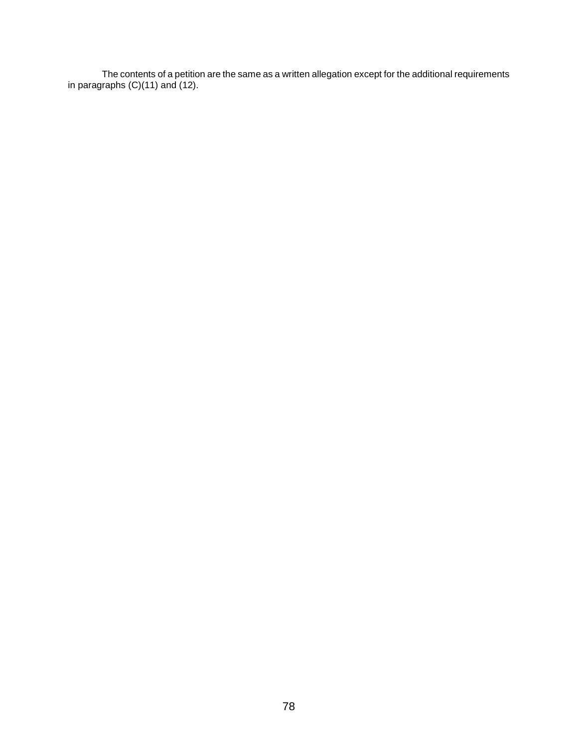The contents of a petition are the same as a written allegation except for the additional requirements in paragraphs (C)(11) and (12).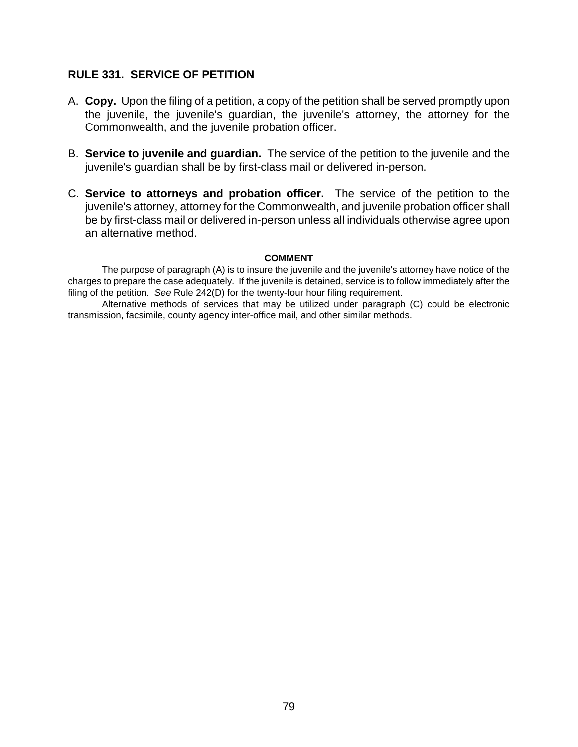## **RULE 331. SERVICE OF PETITION**

- A. **Copy.** Upon the filing of a petition, a copy of the petition shall be served promptly upon the juvenile, the juvenile's guardian, the juvenile's attorney, the attorney for the Commonwealth, and the juvenile probation officer.
- B. **Service to juvenile and guardian.** The service of the petition to the juvenile and the juvenile's guardian shall be by first-class mail or delivered in-person.
- C. **Service to attorneys and probation officer.** The service of the petition to the juvenile's attorney, attorney for the Commonwealth, and juvenile probation officer shall be by first-class mail or delivered in-person unless all individuals otherwise agree upon an alternative method.

## **COMMENT**

The purpose of paragraph (A) is to insure the juvenile and the juvenile's attorney have notice of the charges to prepare the case adequately. If the juvenile is detained, service is to follow immediately after the filing of the petition. *See* Rule 242(D) for the twenty-four hour filing requirement.

Alternative methods of services that may be utilized under paragraph (C) could be electronic transmission, facsimile, county agency inter-office mail, and other similar methods.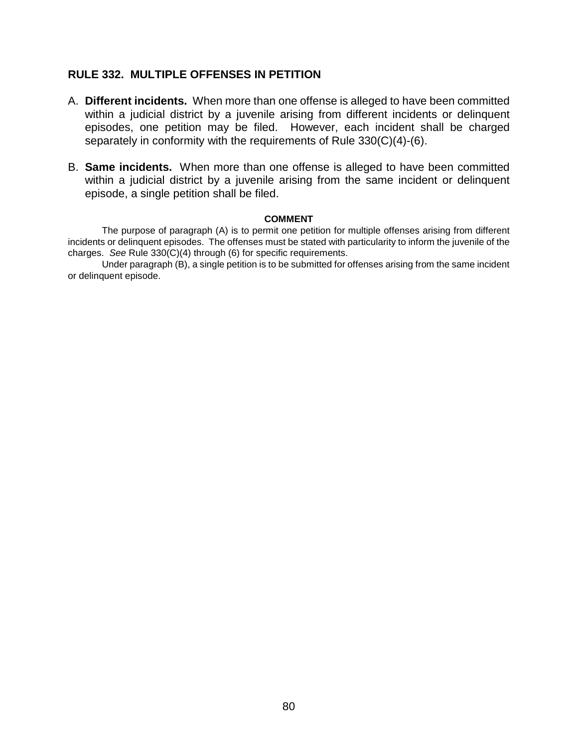## **RULE 332. MULTIPLE OFFENSES IN PETITION**

- A. **Different incidents.** When more than one offense is alleged to have been committed within a judicial district by a juvenile arising from different incidents or delinquent episodes, one petition may be filed. However, each incident shall be charged separately in conformity with the requirements of Rule 330(C)(4)-(6).
- B. **Same incidents.** When more than one offense is alleged to have been committed within a judicial district by a juvenile arising from the same incident or delinquent episode, a single petition shall be filed.

### **COMMENT**

The purpose of paragraph (A) is to permit one petition for multiple offenses arising from different incidents or delinquent episodes. The offenses must be stated with particularity to inform the juvenile of the charges. *See* Rule 330(C)(4) through (6) for specific requirements.

Under paragraph (B), a single petition is to be submitted for offenses arising from the same incident or delinquent episode.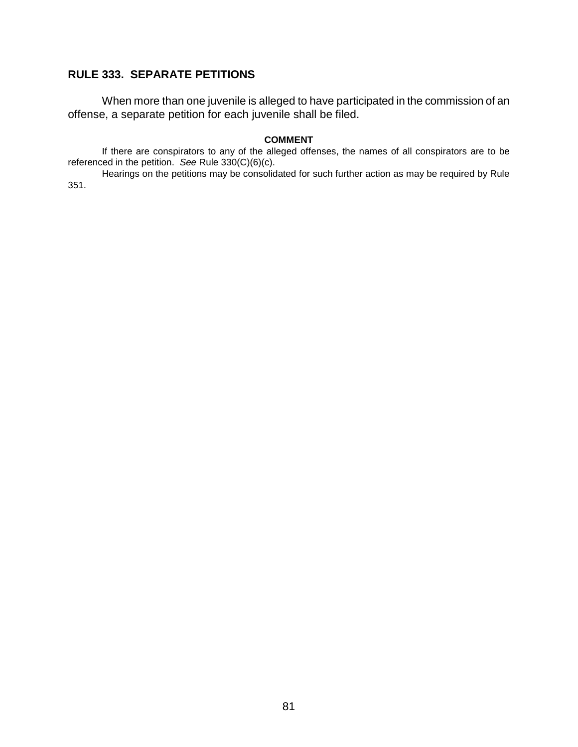# **RULE 333. SEPARATE PETITIONS**

When more than one juvenile is alleged to have participated in the commission of an offense, a separate petition for each juvenile shall be filed.

#### **COMMENT**

If there are conspirators to any of the alleged offenses, the names of all conspirators are to be referenced in the petition. *See* Rule 330(C)(6)(c).

Hearings on the petitions may be consolidated for such further action as may be required by Rule 351.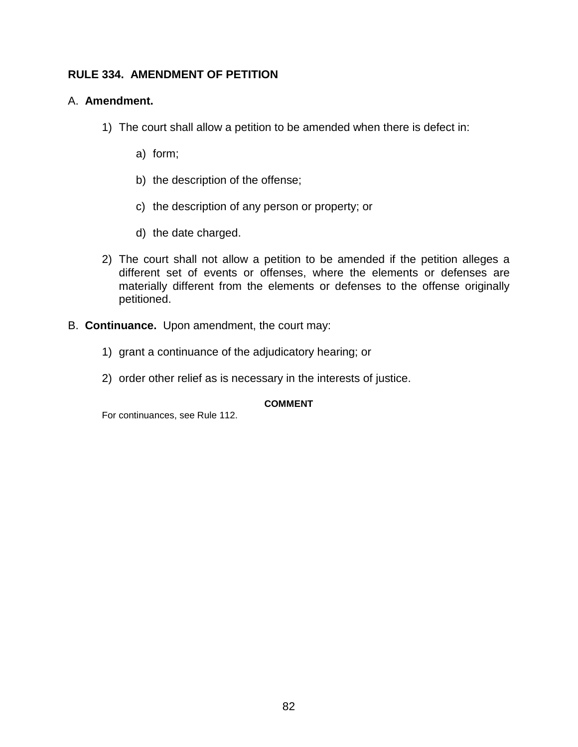# **RULE 334. AMENDMENT OF PETITION**

## A. **Amendment.**

- 1) The court shall allow a petition to be amended when there is defect in:
	- a) form;
	- b) the description of the offense;
	- c) the description of any person or property; or
	- d) the date charged.
- 2) The court shall not allow a petition to be amended if the petition alleges a different set of events or offenses, where the elements or defenses are materially different from the elements or defenses to the offense originally petitioned.
- B. **Continuance.** Upon amendment, the court may:
	- 1) grant a continuance of the adjudicatory hearing; or
	- 2) order other relief as is necessary in the interests of justice.

## **COMMENT**

For continuances, see Rule 112.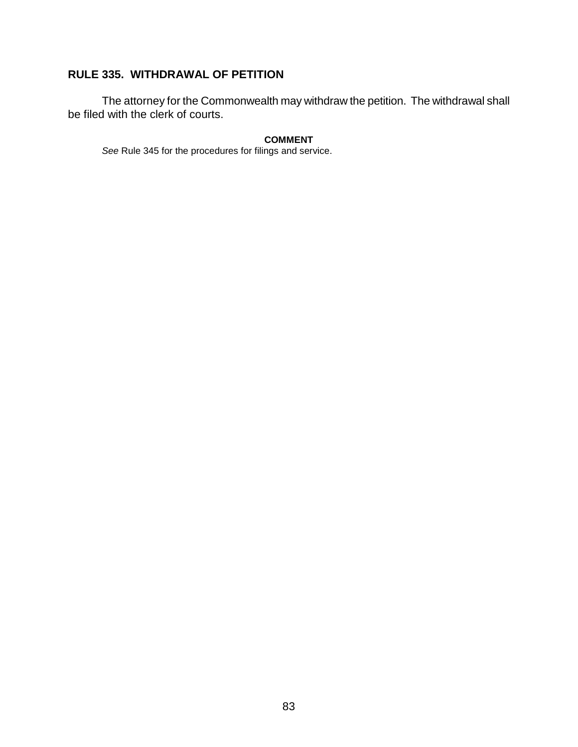# **RULE 335. WITHDRAWAL OF PETITION**

The attorney for the Commonwealth may withdraw the petition. The withdrawal shall be filed with the clerk of courts.

### **COMMENT**

*See* Rule 345 for the procedures for filings and service.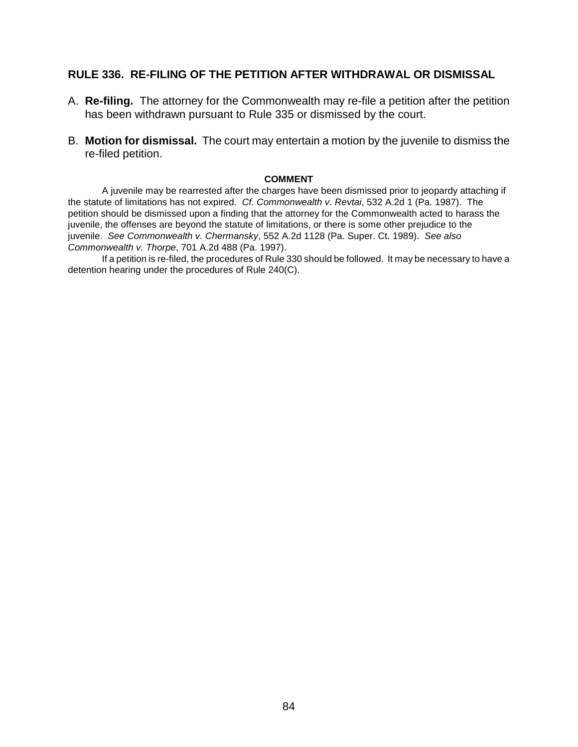## **RULE 336. RE-FILING OF THE PETITION AFTER WITHDRAWAL OR DISMISSAL**

- A. **Re-filing.** The attorney for the Commonwealth may re-file a petition after the petition has been withdrawn pursuant to Rule 335 or dismissed by the court.
- B. **Motion for dismissal.** The court may entertain a motion by the juvenile to dismiss the re-filed petition.

### **COMMENT**

 A juvenile may be rearrested after the charges have been dismissed prior to jeopardy attaching if the statute of limitations has not expired. *Cf. Commonwealth v. Revtai*, 532 A.2d 1 (Pa. 1987). The petition should be dismissed upon a finding that the attorney for the Commonwealth acted to harass the juvenile, the offenses are beyond the statute of limitations, or there is some other prejudice to the juvenile. *See Commonwealth v. Chermansky*, 552 A.2d 1128 (Pa. Super. Ct. 1989). *See also Commonwealth v. Thorpe*, 701 A.2d 488 (Pa. 1997).

If a petition is re-filed, the procedures of Rule 330 should be followed. It may be necessary to have a detention hearing under the procedures of Rule 240(C).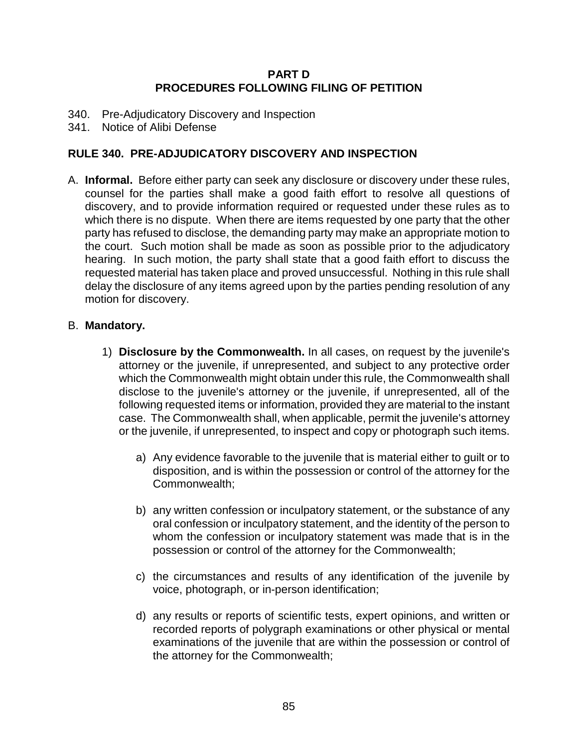# **PART D PROCEDURES FOLLOWING FILING OF PETITION**

- 340. Pre-Adjudicatory Discovery and Inspection
- 341. Notice of Alibi Defense

## **RULE 340. PRE-ADJUDICATORY DISCOVERY AND INSPECTION**

A. **Informal.** Before either party can seek any disclosure or discovery under these rules, counsel for the parties shall make a good faith effort to resolve all questions of discovery, and to provide information required or requested under these rules as to which there is no dispute. When there are items requested by one party that the other party has refused to disclose, the demanding party may make an appropriate motion to the court. Such motion shall be made as soon as possible prior to the adjudicatory hearing. In such motion, the party shall state that a good faith effort to discuss the requested material has taken place and proved unsuccessful. Nothing in this rule shall delay the disclosure of any items agreed upon by the parties pending resolution of any motion for discovery.

## B. **Mandatory.**

- 1) **Disclosure by the Commonwealth.** In all cases, on request by the juvenile's attorney or the juvenile, if unrepresented, and subject to any protective order which the Commonwealth might obtain under this rule, the Commonwealth shall disclose to the juvenile's attorney or the juvenile, if unrepresented, all of the following requested items or information, provided they are material to the instant case. The Commonwealth shall, when applicable, permit the juvenile's attorney or the juvenile, if unrepresented, to inspect and copy or photograph such items.
	- a) Any evidence favorable to the juvenile that is material either to guilt or to disposition, and is within the possession or control of the attorney for the Commonwealth;
	- b) any written confession or inculpatory statement, or the substance of any oral confession or inculpatory statement, and the identity of the person to whom the confession or inculpatory statement was made that is in the possession or control of the attorney for the Commonwealth;
	- c) the circumstances and results of any identification of the juvenile by voice, photograph, or in-person identification;
	- d) any results or reports of scientific tests, expert opinions, and written or recorded reports of polygraph examinations or other physical or mental examinations of the juvenile that are within the possession or control of the attorney for the Commonwealth;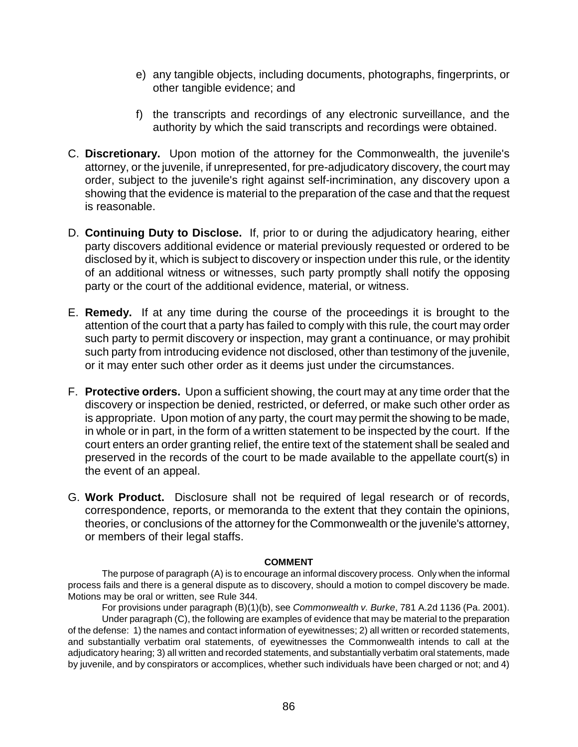- e) any tangible objects, including documents, photographs, fingerprints, or other tangible evidence; and
- f) the transcripts and recordings of any electronic surveillance, and the authority by which the said transcripts and recordings were obtained.
- C. **Discretionary.** Upon motion of the attorney for the Commonwealth, the juvenile's attorney, or the juvenile, if unrepresented, for pre-adjudicatory discovery, the court may order, subject to the juvenile's right against self-incrimination, any discovery upon a showing that the evidence is material to the preparation of the case and that the request is reasonable.
- D. **Continuing Duty to Disclose.** If, prior to or during the adjudicatory hearing, either party discovers additional evidence or material previously requested or ordered to be disclosed by it, which is subject to discovery or inspection under this rule, or the identity of an additional witness or witnesses, such party promptly shall notify the opposing party or the court of the additional evidence, material, or witness.
- E. **Remedy.** If at any time during the course of the proceedings it is brought to the attention of the court that a party has failed to comply with this rule, the court may order such party to permit discovery or inspection, may grant a continuance, or may prohibit such party from introducing evidence not disclosed, other than testimony of the juvenile, or it may enter such other order as it deems just under the circumstances.
- F. **Protective orders.** Upon a sufficient showing, the court may at any time order that the discovery or inspection be denied, restricted, or deferred, or make such other order as is appropriate. Upon motion of any party, the court may permit the showing to be made, in whole or in part, in the form of a written statement to be inspected by the court. If the court enters an order granting relief, the entire text of the statement shall be sealed and preserved in the records of the court to be made available to the appellate court(s) in the event of an appeal.
- G. **Work Product.** Disclosure shall not be required of legal research or of records, correspondence, reports, or memoranda to the extent that they contain the opinions, theories, or conclusions of the attorney for the Commonwealth or the juvenile's attorney, or members of their legal staffs.

## **COMMENT**

The purpose of paragraph (A) is to encourage an informal discovery process. Only when the informal process fails and there is a general dispute as to discovery, should a motion to compel discovery be made. Motions may be oral or written, see Rule 344.

For provisions under paragraph (B)(1)(b), see *Commonwealth v. Burke*, 781 A.2d 1136 (Pa. 2001). Under paragraph (C), the following are examples of evidence that may be material to the preparation of the defense: 1) the names and contact information of eyewitnesses; 2) all written or recorded statements, and substantially verbatim oral statements, of eyewitnesses the Commonwealth intends to call at the adjudicatory hearing; 3) all written and recorded statements, and substantially verbatim oral statements, made by juvenile, and by conspirators or accomplices, whether such individuals have been charged or not; and 4)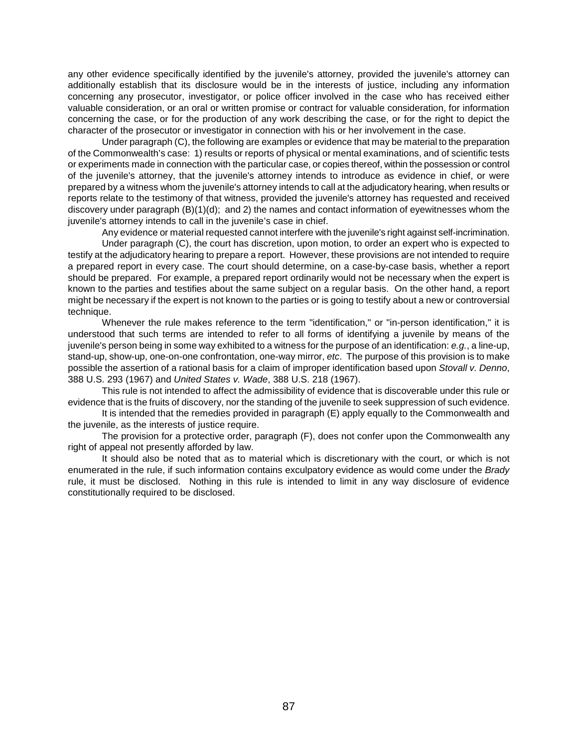any other evidence specifically identified by the juvenile's attorney, provided the juvenile's attorney can additionally establish that its disclosure would be in the interests of justice, including any information concerning any prosecutor, investigator, or police officer involved in the case who has received either valuable consideration, or an oral or written promise or contract for valuable consideration, for information concerning the case, or for the production of any work describing the case, or for the right to depict the character of the prosecutor or investigator in connection with his or her involvement in the case.

Under paragraph (C), the following are examples or evidence that may be material to the preparation of the Commonwealth's case: 1) results or reports of physical or mental examinations, and of scientific tests or experiments made in connection with the particular case, or copies thereof, within the possession or control of the juvenile's attorney, that the juvenile's attorney intends to introduce as evidence in chief, or were prepared by a witness whom the juvenile's attorney intends to call at the adjudicatory hearing, when results or reports relate to the testimony of that witness, provided the juvenile's attorney has requested and received discovery under paragraph (B)(1)(d); and 2) the names and contact information of eyewitnesses whom the juvenile's attorney intends to call in the juvenile's case in chief.

Any evidence or material requested cannot interfere with the juvenile's right against self-incrimination. Under paragraph (C), the court has discretion, upon motion, to order an expert who is expected to testify at the adjudicatory hearing to prepare a report. However, these provisions are not intended to require a prepared report in every case. The court should determine, on a case-by-case basis, whether a report

should be prepared. For example, a prepared report ordinarily would not be necessary when the expert is known to the parties and testifies about the same subject on a regular basis. On the other hand, a report might be necessary if the expert is not known to the parties or is going to testify about a new or controversial technique.

Whenever the rule makes reference to the term "identification," or "in-person identification," it is understood that such terms are intended to refer to all forms of identifying a juvenile by means of the juvenile's person being in some way exhibited to a witness for the purpose of an identification: *e.g.*, a line-up, stand-up, show-up, one-on-one confrontation, one-way mirror, *etc*. The purpose of this provision is to make possible the assertion of a rational basis for a claim of improper identification based upon *Stovall v. Denno*, 388 U.S. 293 (1967) and *United States v. Wade*, 388 U.S. 218 (1967).

This rule is not intended to affect the admissibility of evidence that is discoverable under this rule or evidence that is the fruits of discovery, nor the standing of the juvenile to seek suppression of such evidence.

It is intended that the remedies provided in paragraph (E) apply equally to the Commonwealth and the juvenile, as the interests of justice require.

The provision for a protective order, paragraph (F), does not confer upon the Commonwealth any right of appeal not presently afforded by law.

It should also be noted that as to material which is discretionary with the court, or which is not enumerated in the rule, if such information contains exculpatory evidence as would come under the *Brady* rule, it must be disclosed. Nothing in this rule is intended to limit in any way disclosure of evidence constitutionally required to be disclosed.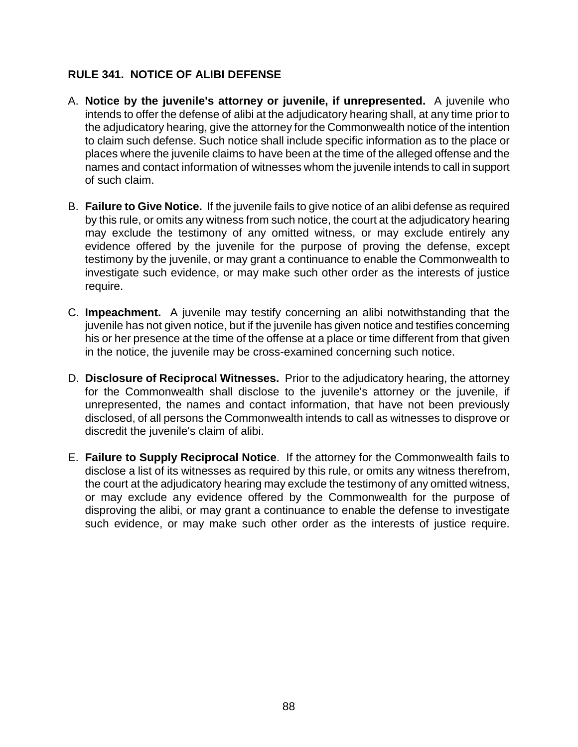# **RULE 341. NOTICE OF ALIBI DEFENSE**

- A. **Notice by the juvenile's attorney or juvenile, if unrepresented.** A juvenile who intends to offer the defense of alibi at the adjudicatory hearing shall, at any time prior to the adjudicatory hearing, give the attorney for the Commonwealth notice of the intention to claim such defense. Such notice shall include specific information as to the place or places where the juvenile claims to have been at the time of the alleged offense and the names and contact information of witnesses whom the juvenile intends to call in support of such claim.
- B. **Failure to Give Notice.** If the juvenile fails to give notice of an alibi defense as required by this rule, or omits any witness from such notice, the court at the adjudicatory hearing may exclude the testimony of any omitted witness, or may exclude entirely any evidence offered by the juvenile for the purpose of proving the defense, except testimony by the juvenile, or may grant a continuance to enable the Commonwealth to investigate such evidence, or may make such other order as the interests of justice require.
- C. **Impeachment.** A juvenile may testify concerning an alibi notwithstanding that the juvenile has not given notice, but if the juvenile has given notice and testifies concerning his or her presence at the time of the offense at a place or time different from that given in the notice, the juvenile may be cross-examined concerning such notice.
- D. **Disclosure of Reciprocal Witnesses.** Prior to the adjudicatory hearing, the attorney for the Commonwealth shall disclose to the juvenile's attorney or the juvenile, if unrepresented, the names and contact information, that have not been previously disclosed, of all persons the Commonwealth intends to call as witnesses to disprove or discredit the juvenile's claim of alibi.
- E. **Failure to Supply Reciprocal Notice**. If the attorney for the Commonwealth fails to disclose a list of its witnesses as required by this rule, or omits any witness therefrom, the court at the adjudicatory hearing may exclude the testimony of any omitted witness, or may exclude any evidence offered by the Commonwealth for the purpose of disproving the alibi, or may grant a continuance to enable the defense to investigate such evidence, or may make such other order as the interests of justice require.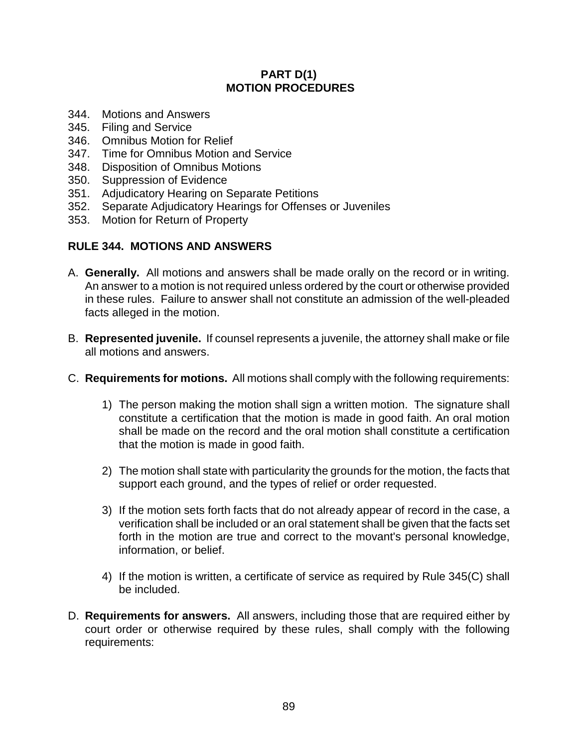# **PART D(1) MOTION PROCEDURES**

- 344. Motions and Answers
- 345. Filing and Service
- 346. Omnibus Motion for Relief
- 347. Time for Omnibus Motion and Service
- 348. Disposition of Omnibus Motions
- 350. Suppression of Evidence
- 351. Adjudicatory Hearing on Separate Petitions
- 352. Separate Adjudicatory Hearings for Offenses or Juveniles
- 353. Motion for Return of Property

# **RULE 344. MOTIONS AND ANSWERS**

- A. **Generally.** All motions and answers shall be made orally on the record or in writing. An answer to a motion is not required unless ordered by the court or otherwise provided in these rules. Failure to answer shall not constitute an admission of the well-pleaded facts alleged in the motion.
- B. **Represented juvenile.** If counsel represents a juvenile, the attorney shall make or file all motions and answers.
- C. **Requirements for motions.** All motions shall comply with the following requirements:
	- 1) The person making the motion shall sign a written motion. The signature shall constitute a certification that the motion is made in good faith. An oral motion shall be made on the record and the oral motion shall constitute a certification that the motion is made in good faith.
	- 2) The motion shall state with particularity the grounds for the motion, the facts that support each ground, and the types of relief or order requested.
	- 3) If the motion sets forth facts that do not already appear of record in the case, a verification shall be included or an oral statement shall be given that the facts set forth in the motion are true and correct to the movant's personal knowledge, information, or belief.
	- 4) If the motion is written, a certificate of service as required by Rule 345(C) shall be included.
- D. **Requirements for answers.** All answers, including those that are required either by court order or otherwise required by these rules, shall comply with the following requirements: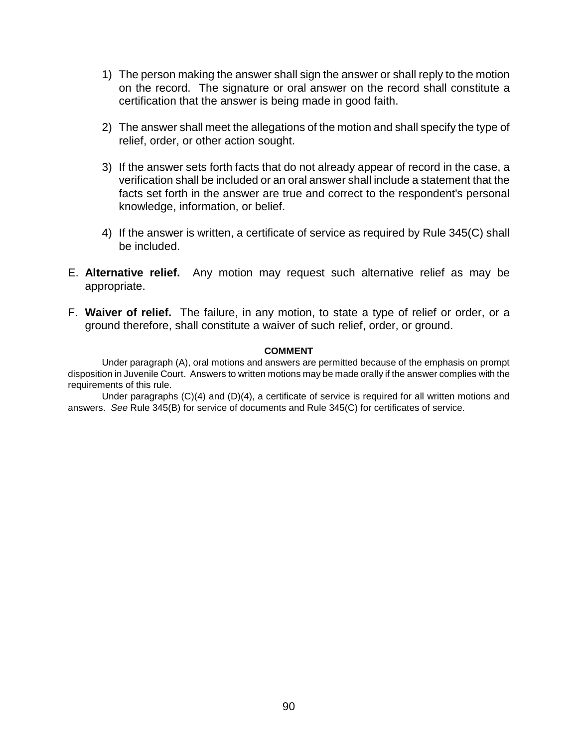- 1) The person making the answer shall sign the answer or shall reply to the motion on the record. The signature or oral answer on the record shall constitute a certification that the answer is being made in good faith.
- 2) The answer shall meet the allegations of the motion and shall specify the type of relief, order, or other action sought.
- 3) If the answer sets forth facts that do not already appear of record in the case, a verification shall be included or an oral answer shall include a statement that the facts set forth in the answer are true and correct to the respondent's personal knowledge, information, or belief.
- 4) If the answer is written, a certificate of service as required by Rule 345(C) shall be included.
- E. **Alternative relief.** Any motion may request such alternative relief as may be appropriate.
- F. **Waiver of relief.** The failure, in any motion, to state a type of relief or order, or a ground therefore, shall constitute a waiver of such relief, order, or ground.

### **COMMENT**

Under paragraph (A), oral motions and answers are permitted because of the emphasis on prompt disposition in Juvenile Court. Answers to written motions may be made orally if the answer complies with the requirements of this rule.

Under paragraphs (C)(4) and (D)(4), a certificate of service is required for all written motions and answers. *See* Rule 345(B) for service of documents and Rule 345(C) for certificates of service.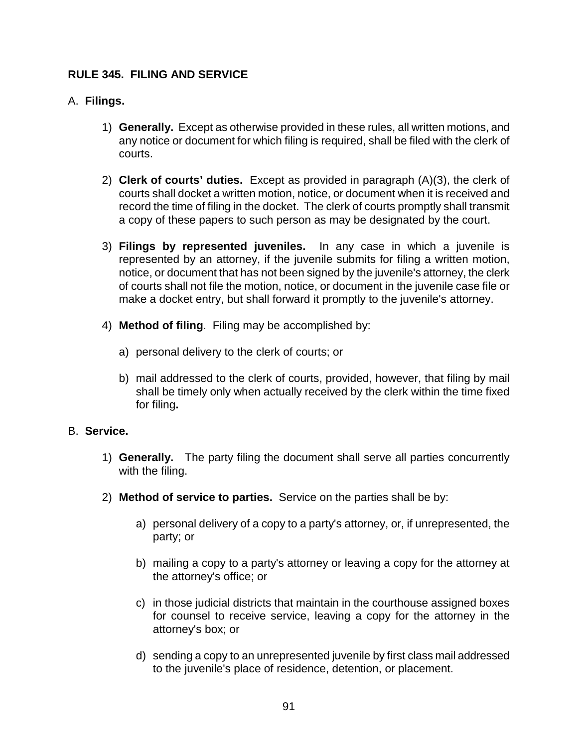# **RULE 345. FILING AND SERVICE**

# A. **Filings.**

- 1) **Generally.** Except as otherwise provided in these rules, all written motions, and any notice or document for which filing is required, shall be filed with the clerk of courts.
- 2) **Clerk of courts' duties.** Except as provided in paragraph (A)(3), the clerk of courts shall docket a written motion, notice, or document when it is received and record the time of filing in the docket. The clerk of courts promptly shall transmit a copy of these papers to such person as may be designated by the court.
- 3) **Filings by represented juveniles.** In any case in which a juvenile is represented by an attorney, if the juvenile submits for filing a written motion, notice, or document that has not been signed by the juvenile's attorney, the clerk of courts shall not file the motion, notice, or document in the juvenile case file or make a docket entry, but shall forward it promptly to the juvenile's attorney.
- 4) **Method of filing**. Filing may be accomplished by:
	- a) personal delivery to the clerk of courts; or
	- b) mail addressed to the clerk of courts, provided, however, that filing by mail shall be timely only when actually received by the clerk within the time fixed for filing**.**

## B. **Service.**

- 1) **Generally.** The party filing the document shall serve all parties concurrently with the filing.
- 2) **Method of service to parties.** Service on the parties shall be by:
	- a) personal delivery of a copy to a party's attorney, or, if unrepresented, the party; or
	- b) mailing a copy to a party's attorney or leaving a copy for the attorney at the attorney's office; or
	- c) in those judicial districts that maintain in the courthouse assigned boxes for counsel to receive service, leaving a copy for the attorney in the attorney's box; or
	- d) sending a copy to an unrepresented juvenile by first class mail addressed to the juvenile's place of residence, detention, or placement.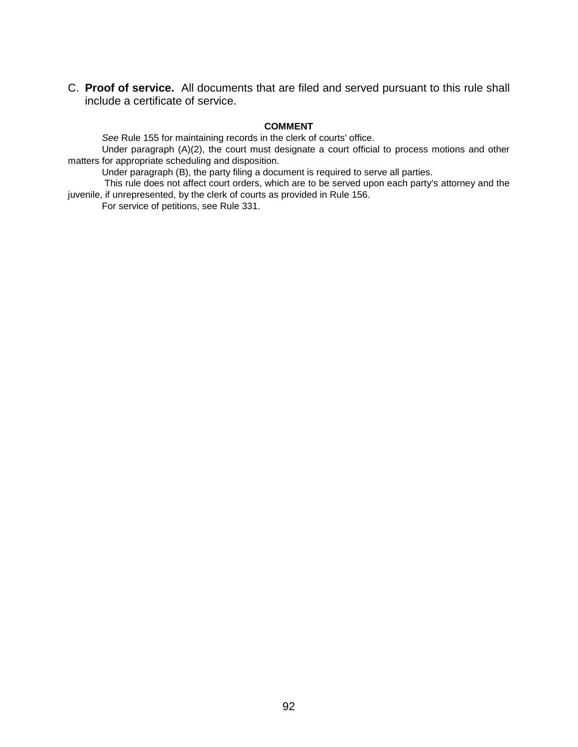C. **Proof of service.** All documents that are filed and served pursuant to this rule shall include a certificate of service.

### **COMMENT**

*See* Rule 155 for maintaining records in the clerk of courts' office.

Under paragraph (A)(2), the court must designate a court official to process motions and other matters for appropriate scheduling and disposition.

Under paragraph (B), the party filing a document is required to serve all parties.

 This rule does not affect court orders, which are to be served upon each party's attorney and the juvenile, if unrepresented, by the clerk of courts as provided in Rule 156.

For service of petitions, see Rule 331.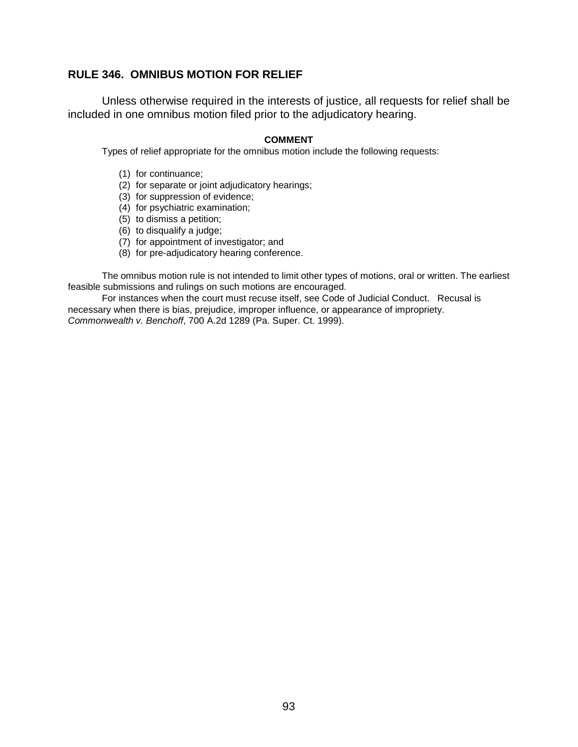## **RULE 346. OMNIBUS MOTION FOR RELIEF**

Unless otherwise required in the interests of justice, all requests for relief shall be included in one omnibus motion filed prior to the adjudicatory hearing.

### **COMMENT**

Types of relief appropriate for the omnibus motion include the following requests:

- (1) for continuance;
- (2) for separate or joint adjudicatory hearings;
- (3) for suppression of evidence;
- (4) for psychiatric examination;
- (5) to dismiss a petition;
- (6) to disqualify a judge;
- (7) for appointment of investigator; and
- (8) for pre-adjudicatory hearing conference.

The omnibus motion rule is not intended to limit other types of motions, oral or written. The earliest feasible submissions and rulings on such motions are encouraged.

For instances when the court must recuse itself, see Code of Judicial Conduct. Recusal is necessary when there is bias, prejudice, improper influence, or appearance of impropriety. *Commonwealth v. Benchoff*, 700 A.2d 1289 (Pa. Super. Ct. 1999).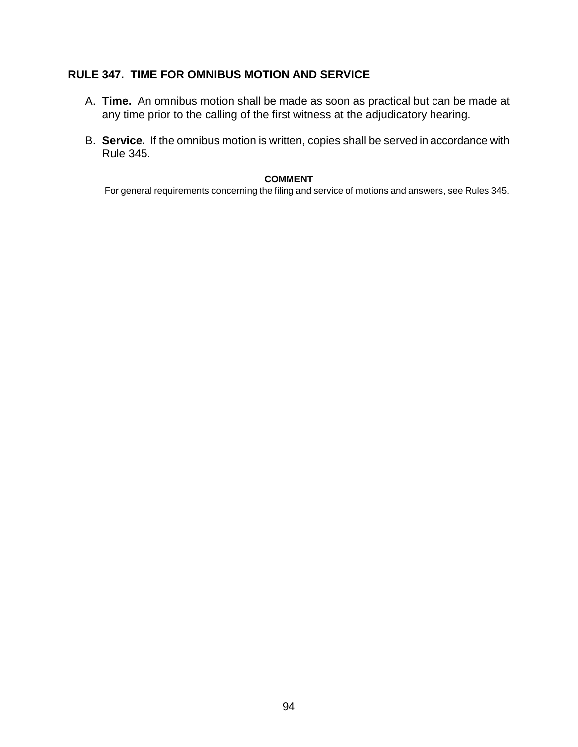# **RULE 347. TIME FOR OMNIBUS MOTION AND SERVICE**

- A. **Time.** An omnibus motion shall be made as soon as practical but can be made at any time prior to the calling of the first witness at the adjudicatory hearing.
- B. **Service.** If the omnibus motion is written, copies shall be served in accordance with Rule 345.

## **COMMENT**

For general requirements concerning the filing and service of motions and answers, see Rules 345.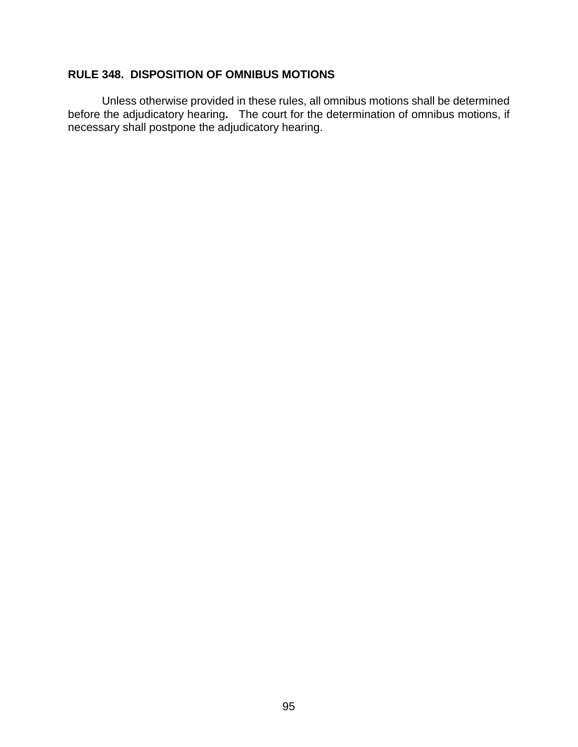# **RULE 348. DISPOSITION OF OMNIBUS MOTIONS**

Unless otherwise provided in these rules, all omnibus motions shall be determined before the adjudicatory hearing**.** The court for the determination of omnibus motions, if necessary shall postpone the adjudicatory hearing.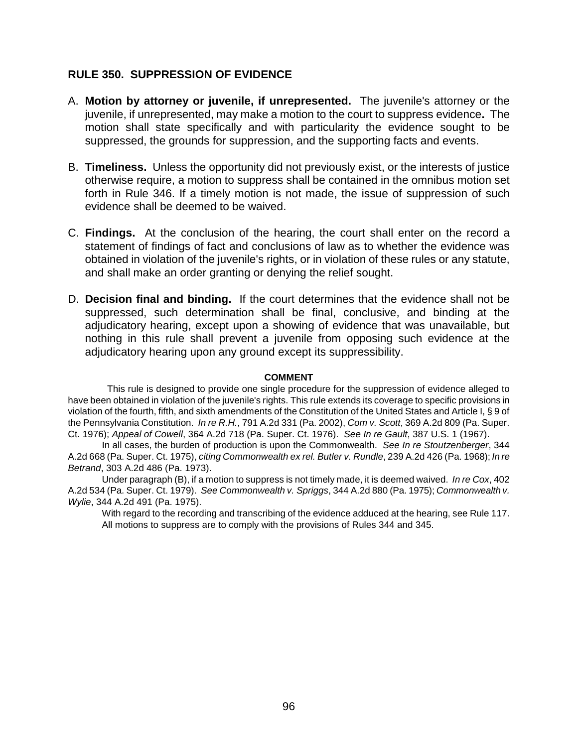# **RULE 350. SUPPRESSION OF EVIDENCE**

- A. **Motion by attorney or juvenile, if unrepresented.** The juvenile's attorney or the juvenile, if unrepresented, may make a motion to the court to suppress evidence**.** The motion shall state specifically and with particularity the evidence sought to be suppressed, the grounds for suppression, and the supporting facts and events.
- B. **Timeliness.** Unless the opportunity did not previously exist, or the interests of justice otherwise require, a motion to suppress shall be contained in the omnibus motion set forth in Rule 346. If a timely motion is not made, the issue of suppression of such evidence shall be deemed to be waived.
- C. **Findings.** At the conclusion of the hearing, the court shall enter on the record a statement of findings of fact and conclusions of law as to whether the evidence was obtained in violation of the juvenile's rights, or in violation of these rules or any statute, and shall make an order granting or denying the relief sought.
- D. **Decision final and binding.** If the court determines that the evidence shall not be suppressed, such determination shall be final, conclusive, and binding at the adjudicatory hearing, except upon a showing of evidence that was unavailable, but nothing in this rule shall prevent a juvenile from opposing such evidence at the adjudicatory hearing upon any ground except its suppressibility.

## **COMMENT**

 This rule is designed to provide one single procedure for the suppression of evidence alleged to have been obtained in violation of the juvenile's rights. This rule extends its coverage to specific provisions in violation of the fourth, fifth, and sixth amendments of the Constitution of the United States and Article I, § 9 of the Pennsylvania Constitution. *In re R.H.*, 791 A.2d 331 (Pa. 2002), *Com v. Scott*, 369 A.2d 809 (Pa. Super. Ct. 1976); *Appeal of Cowell*, 364 A.2d 718 (Pa. Super. Ct. 1976). *See In re Gault*, 387 U.S. 1 (1967).

In all cases, the burden of production is upon the Commonwealth. *See In re Stoutzenberger*, 344 A.2d 668 (Pa. Super. Ct. 1975), *citing Commonwealth ex rel. Butler v. Rundle*, 239 A.2d 426 (Pa. 1968); *In re Betrand*, 303 A.2d 486 (Pa. 1973).

Under paragraph (B), if a motion to suppress is not timely made, it is deemed waived. *In re Cox*, 402 A.2d 534 (Pa. Super. Ct. 1979). *See Commonwealth v. Spriggs*, 344 A.2d 880 (Pa. 1975); *Commonwealth v. Wylie*, 344 A.2d 491 (Pa. 1975).

With regard to the recording and transcribing of the evidence adduced at the hearing, see Rule 117. All motions to suppress are to comply with the provisions of Rules 344 and 345.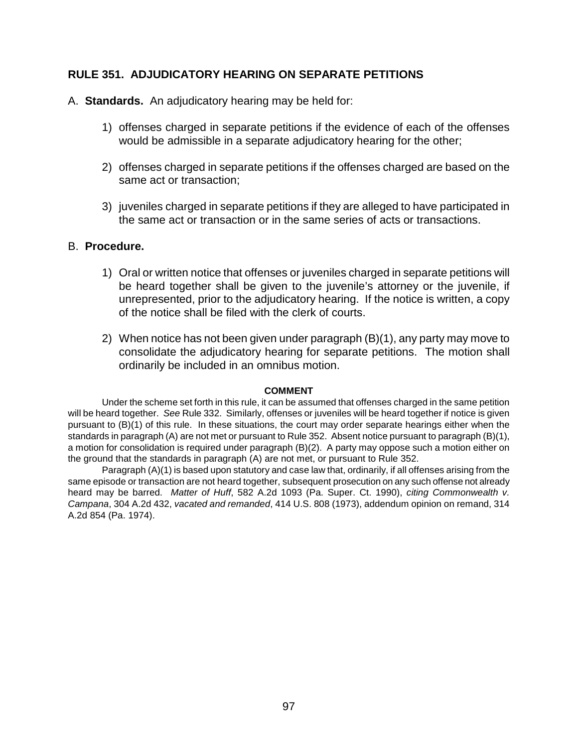## **RULE 351. ADJUDICATORY HEARING ON SEPARATE PETITIONS**

- A. **Standards.** An adjudicatory hearing may be held for:
	- 1) offenses charged in separate petitions if the evidence of each of the offenses would be admissible in a separate adjudicatory hearing for the other;
	- 2)offenses charged in separate petitions if the offenses charged are based on the same act or transaction;
	- 3) juveniles charged in separate petitions if they are alleged to have participated in the same act or transaction or in the same series of acts or transactions.

## B. **Procedure.**

- 1) Oral or written notice that offenses or juveniles charged in separate petitions will be heard together shall be given to the juvenile's attorney or the juvenile, if unrepresented, prior to the adjudicatory hearing. If the notice is written, a copy of the notice shall be filed with the clerk of courts.
- 2) When notice has not been given under paragraph (B)(1), any party may move to consolidate the adjudicatory hearing for separate petitions. The motion shall ordinarily be included in an omnibus motion.

## **COMMENT**

Under the scheme set forth in this rule, it can be assumed that offenses charged in the same petition will be heard together. *See* Rule 332. Similarly, offenses or juveniles will be heard together if notice is given pursuant to (B)(1) of this rule. In these situations, the court may order separate hearings either when the standards in paragraph (A) are not met or pursuant to Rule 352. Absent notice pursuant to paragraph (B)(1), a motion for consolidation is required under paragraph (B)(2). A party may oppose such a motion either on the ground that the standards in paragraph (A) are not met, or pursuant to Rule 352.

Paragraph (A)(1) is based upon statutory and case law that, ordinarily, if all offenses arising from the same episode or transaction are not heard together, subsequent prosecution on any such offense not already heard may be barred. *Matter of Huff*, 582 A.2d 1093 (Pa. Super. Ct. 1990), *citing Commonwealth v. Campana*, 304 A.2d 432, *vacated and remanded*, 414 U.S. 808 (1973), addendum opinion on remand, 314 A.2d 854 (Pa. 1974).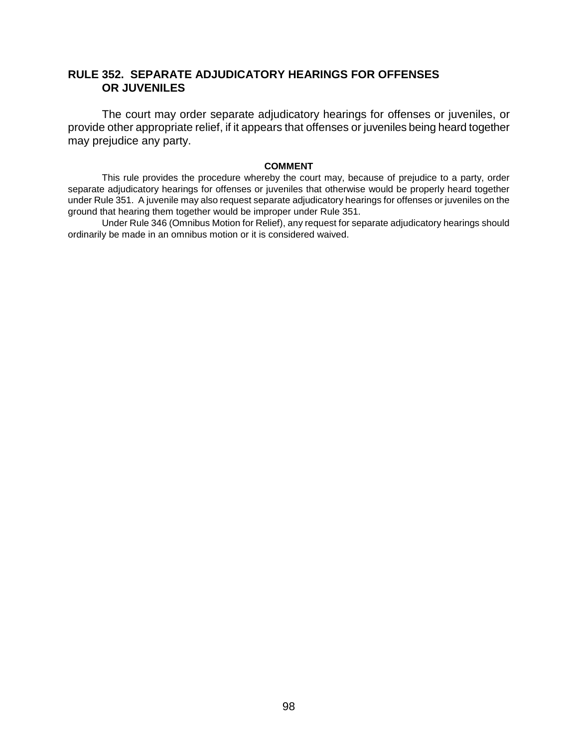# **RULE 352. SEPARATE ADJUDICATORY HEARINGS FOR OFFENSES OR JUVENILES**

The court may order separate adjudicatory hearings for offenses or juveniles, or provide other appropriate relief, if it appears that offenses or juveniles being heard together may prejudice any party.

## **COMMENT**

This rule provides the procedure whereby the court may, because of prejudice to a party, order separate adjudicatory hearings for offenses or juveniles that otherwise would be properly heard together under Rule 351. A juvenile may also request separate adjudicatory hearings for offenses or juveniles on the ground that hearing them together would be improper under Rule 351.

Under Rule 346 (Omnibus Motion for Relief), any request for separate adjudicatory hearings should ordinarily be made in an omnibus motion or it is considered waived.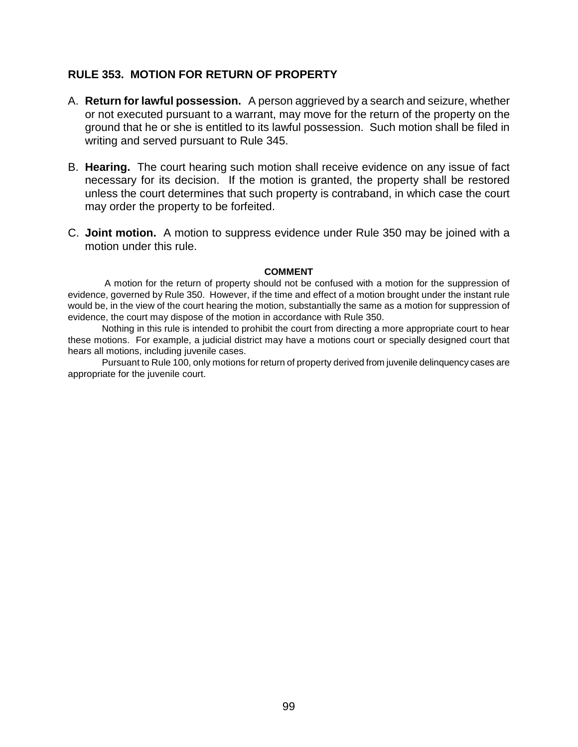## **RULE 353. MOTION FOR RETURN OF PROPERTY**

- A. **Return for lawful possession.** A person aggrieved by a search and seizure, whether or not executed pursuant to a warrant, may move for the return of the property on the ground that he or she is entitled to its lawful possession. Such motion shall be filed in writing and served pursuant to Rule 345.
- B. **Hearing.** The court hearing such motion shall receive evidence on any issue of fact necessary for its decision. If the motion is granted, the property shall be restored unless the court determines that such property is contraband, in which case the court may order the property to be forfeited.
- C. **Joint motion.** A motion to suppress evidence under Rule 350 may be joined with a motion under this rule.

## **COMMENT**

 A motion for the return of property should not be confused with a motion for the suppression of evidence, governed by Rule 350. However, if the time and effect of a motion brought under the instant rule would be, in the view of the court hearing the motion, substantially the same as a motion for suppression of evidence, the court may dispose of the motion in accordance with Rule 350.

Nothing in this rule is intended to prohibit the court from directing a more appropriate court to hear these motions. For example, a judicial district may have a motions court or specially designed court that hears all motions, including juvenile cases.

Pursuant to Rule 100, only motions for return of property derived from juvenile delinquency cases are appropriate for the juvenile court.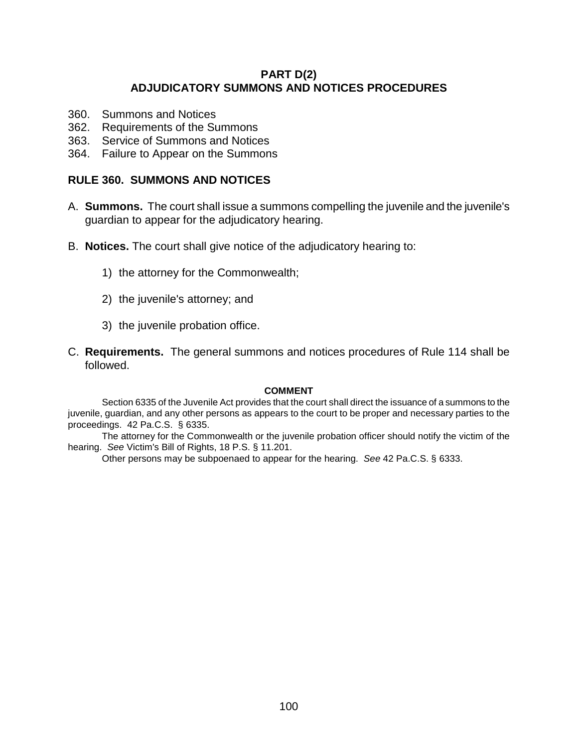## **PART D(2) ADJUDICATORY SUMMONS AND NOTICES PROCEDURES**

- 360. Summons and Notices
- 362. Requirements of the Summons
- 363. Service of Summons and Notices
- 364. Failure to Appear on the Summons

## **RULE 360. SUMMONS AND NOTICES**

- A. **Summons.** The court shall issue a summons compelling the juvenile and the juvenile's guardian to appear for the adjudicatory hearing.
- B. **Notices.** The court shall give notice of the adjudicatory hearing to:
	- 1) the attorney for the Commonwealth;
	- 2) the juvenile's attorney; and
	- 3) the juvenile probation office.
- C. **Requirements.** The general summons and notices procedures of Rule 114 shall be followed.

## **COMMENT**

Section 6335 of the Juvenile Act provides that the court shall direct the issuance of a summons to the juvenile, guardian, and any other persons as appears to the court to be proper and necessary parties to the proceedings. 42 Pa.C.S. § 6335.

The attorney for the Commonwealth or the juvenile probation officer should notify the victim of the hearing. *See* Victim's Bill of Rights, 18 P.S. § 11.201.

Other persons may be subpoenaed to appear for the hearing. *See* 42 Pa.C.S. § 6333.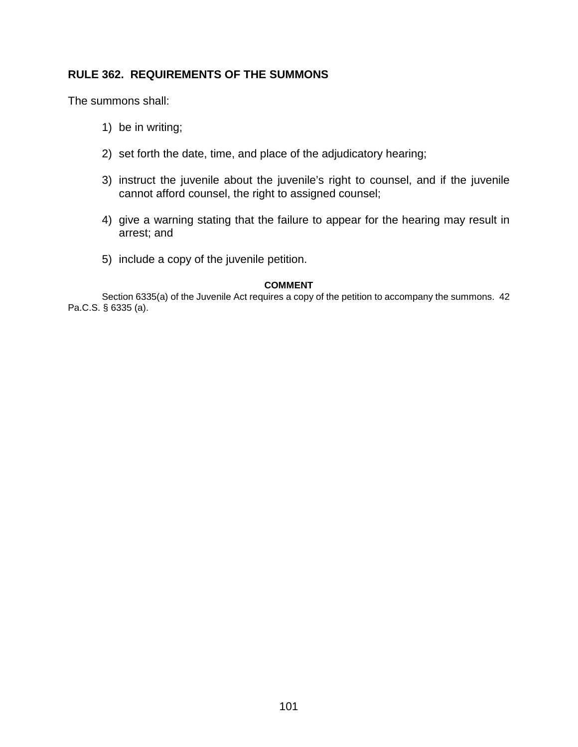# **RULE 362. REQUIREMENTS OF THE SUMMONS**

The summons shall:

- 1) be in writing;
- 2) set forth the date, time, and place of the adjudicatory hearing;
- 3) instruct the juvenile about the juvenile's right to counsel, and if the juvenile cannot afford counsel, the right to assigned counsel;
- 4) give a warning stating that the failure to appear for the hearing may result in arrest; and
- 5) include a copy of the juvenile petition.

## **COMMENT**

Section 6335(a) of the Juvenile Act requires a copy of the petition to accompany the summons. 42 Pa.C.S. § 6335 (a).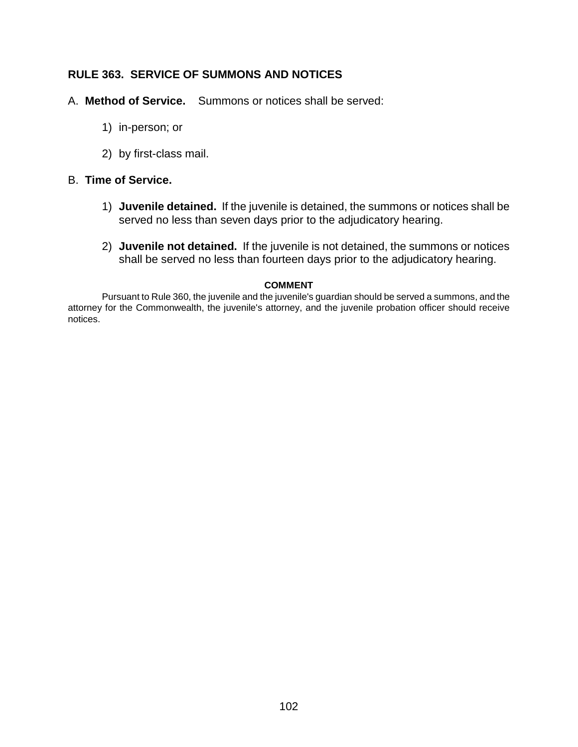# **RULE 363. SERVICE OF SUMMONS AND NOTICES**

- A. **Method of Service.** Summons or notices shall be served:
	- 1) in-person; or
	- 2) by first-class mail.

## B. **Time of Service.**

- 1) **Juvenile detained.** If the juvenile is detained, the summons or notices shall be served no less than seven days prior to the adjudicatory hearing.
- 2) **Juvenile not detained.** If the juvenile is not detained, the summons or notices shall be served no less than fourteen days prior to the adjudicatory hearing.

## **COMMENT**

Pursuant to Rule 360, the juvenile and the juvenile's guardian should be served a summons, and the attorney for the Commonwealth, the juvenile's attorney, and the juvenile probation officer should receive notices.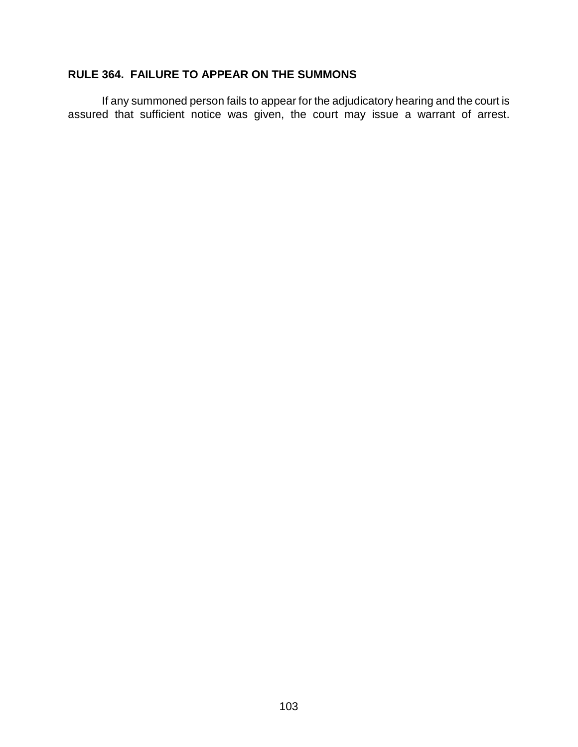# **RULE 364. FAILURE TO APPEAR ON THE SUMMONS**

If any summoned person fails to appear for the adjudicatory hearing and the court is assured that sufficient notice was given, the court may issue a warrant of arrest.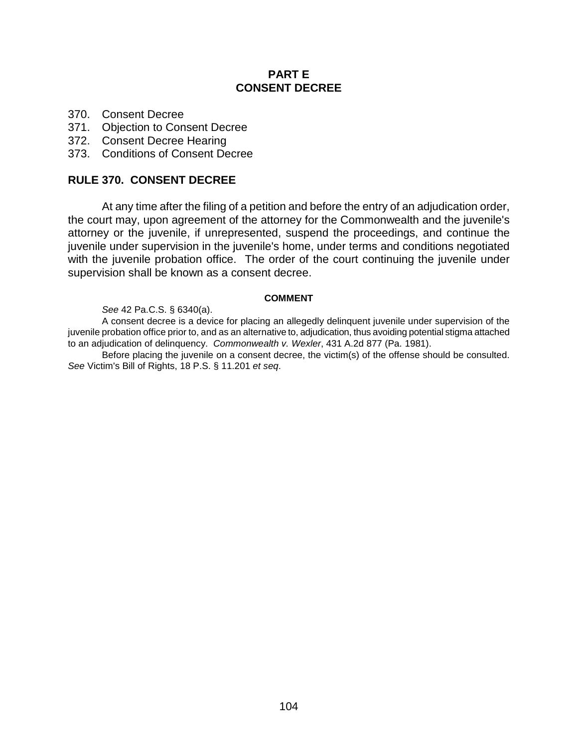## **PART E CONSENT DECREE**

- 370. Consent Decree
- 371. Objection to Consent Decree
- 372. Consent Decree Hearing
- 373. Conditions of Consent Decree

## **RULE 370. CONSENT DECREE**

At any time after the filing of a petition and before the entry of an adjudication order, the court may, upon agreement of the attorney for the Commonwealth and the juvenile's attorney or the juvenile, if unrepresented, suspend the proceedings, and continue the juvenile under supervision in the juvenile's home, under terms and conditions negotiated with the juvenile probation office. The order of the court continuing the juvenile under supervision shall be known as a consent decree.

## **COMMENT**

## *See* 42 Pa.C.S. § 6340(a).

A consent decree is a device for placing an allegedly delinquent juvenile under supervision of the juvenile probation office prior to, and as an alternative to, adjudication, thus avoiding potential stigma attached to an adjudication of delinquency. *Commonwealth v. Wexler*, 431 A.2d 877 (Pa. 1981).

Before placing the juvenile on a consent decree, the victim(s) of the offense should be consulted. *See* Victim's Bill of Rights, 18 P.S. § 11.201 *et seq*.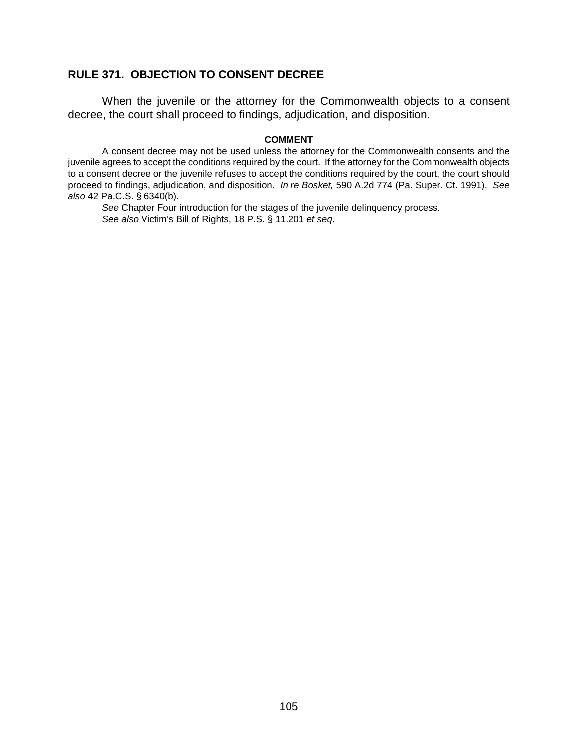# **RULE 371. OBJECTION TO CONSENT DECREE**

When the juvenile or the attorney for the Commonwealth objects to a consent decree, the court shall proceed to findings, adjudication, and disposition.

#### **COMMENT**

A consent decree may not be used unless the attorney for the Commonwealth consents and the juvenile agrees to accept the conditions required by the court. If the attorney for the Commonwealth objects to a consent decree or the juvenile refuses to accept the conditions required by the court, the court should proceed to findings, adjudication, and disposition. *In re Bosket,* 590 A.2d 774 (Pa. Super. Ct. 1991). *See also* 42 Pa.C.S. § 6340(b).

*See* Chapter Four introduction for the stages of the juvenile delinquency process. *See also* Victim's Bill of Rights, 18 P.S. § 11.201 *et seq*.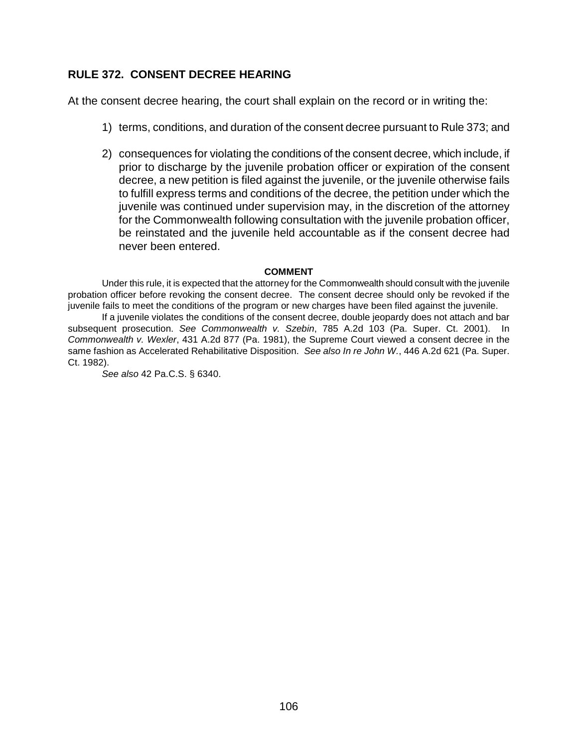# **RULE 372. CONSENT DECREE HEARING**

At the consent decree hearing, the court shall explain on the record or in writing the:

- 1) terms, conditions, and duration of the consent decree pursuant to Rule 373; and
- 2) consequences for violating the conditions of the consent decree, which include, if prior to discharge by the juvenile probation officer or expiration of the consent decree, a new petition is filed against the juvenile, or the juvenile otherwise fails to fulfill express terms and conditions of the decree, the petition under which the juvenile was continued under supervision may, in the discretion of the attorney for the Commonwealth following consultation with the juvenile probation officer, be reinstated and the juvenile held accountable as if the consent decree had never been entered.

### **COMMENT**

Under this rule, it is expected that the attorney for the Commonwealth should consult with the juvenile probation officer before revoking the consent decree. The consent decree should only be revoked if the juvenile fails to meet the conditions of the program or new charges have been filed against the juvenile.

If a juvenile violates the conditions of the consent decree, double jeopardy does not attach and bar subsequent prosecution. *See Commonwealth v. Szebin*, 785 A.2d 103 (Pa. Super. Ct. 2001). In *Commonwealth v. Wexler*, 431 A.2d 877 (Pa. 1981), the Supreme Court viewed a consent decree in the same fashion as Accelerated Rehabilitative Disposition. *See also In re John W.*, 446 A.2d 621 (Pa. Super. Ct. 1982).

*See also* 42 Pa.C.S. § 6340.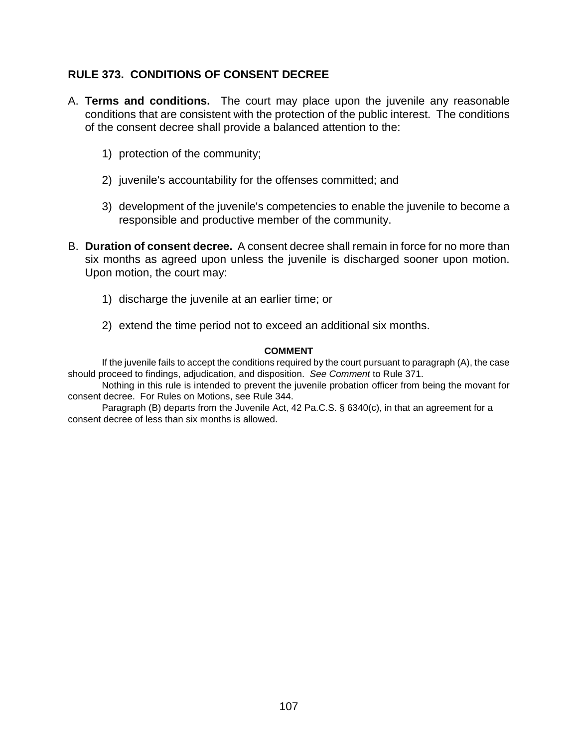# **RULE 373. CONDITIONS OF CONSENT DECREE**

- A. **Terms and conditions.** The court may place upon the juvenile any reasonable conditions that are consistent with the protection of the public interest. The conditions of the consent decree shall provide a balanced attention to the:
	- 1) protection of the community;
	- 2) juvenile's accountability for the offenses committed; and
	- 3) development of the juvenile's competencies to enable the juvenile to become a responsible and productive member of the community.
- B. **Duration of consent decree.** A consent decree shall remain in force for no more than six months as agreed upon unless the juvenile is discharged sooner upon motion. Upon motion, the court may:
	- 1) discharge the juvenile at an earlier time; or
	- 2) extend the time period not to exceed an additional six months.

## **COMMENT**

If the juvenile fails to accept the conditions required by the court pursuant to paragraph (A), the case should proceed to findings, adjudication, and disposition. *See Comment* to Rule 371.

Nothing in this rule is intended to prevent the juvenile probation officer from being the movant for consent decree. For Rules on Motions, see Rule 344.

Paragraph (B) departs from the Juvenile Act, 42 Pa.C.S. § 6340(c), in that an agreement for a consent decree of less than six months is allowed.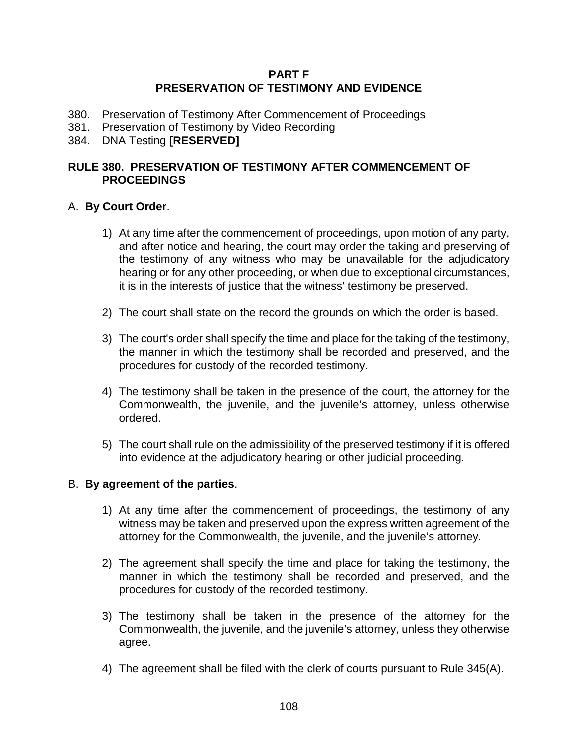## **PART F PRESERVATION OF TESTIMONY AND EVIDENCE**

- 380. Preservation of Testimony After Commencement of Proceedings
- 381. Preservation of Testimony by Video Recording
- 384. DNA Testing **[RESERVED]**

## **RULE 380. PRESERVATION OF TESTIMONY AFTER COMMENCEMENT OF PROCEEDINGS**

## A. **By Court Order**.

- 1) At any time after the commencement of proceedings, upon motion of any party, and after notice and hearing, the court may order the taking and preserving of the testimony of any witness who may be unavailable for the adjudicatory hearing or for any other proceeding, or when due to exceptional circumstances, it is in the interests of justice that the witness' testimony be preserved.
- 2) The court shall state on the record the grounds on which the order is based.
- 3) The court's order shall specify the time and place for the taking of the testimony, the manner in which the testimony shall be recorded and preserved, and the procedures for custody of the recorded testimony.
- 4) The testimony shall be taken in the presence of the court, the attorney for the Commonwealth, the juvenile, and the juvenile's attorney, unless otherwise ordered.
- 5) The court shall rule on the admissibility of the preserved testimony if it is offered into evidence at the adjudicatory hearing or other judicial proceeding.

## B. **By agreement of the parties**.

- 1) At any time after the commencement of proceedings, the testimony of any witness may be taken and preserved upon the express written agreement of the attorney for the Commonwealth, the juvenile, and the juvenile's attorney.
- 2) The agreement shall specify the time and place for taking the testimony, the manner in which the testimony shall be recorded and preserved, and the procedures for custody of the recorded testimony.
- 3) The testimony shall be taken in the presence of the attorney for the Commonwealth, the juvenile, and the juvenile's attorney, unless they otherwise agree.
- 4) The agreement shall be filed with the clerk of courts pursuant to Rule 345(A).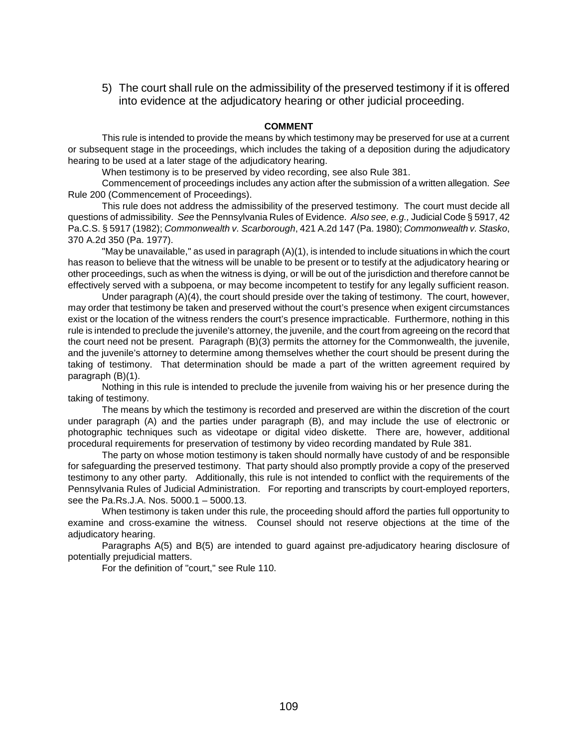5) The court shall rule on the admissibility of the preserved testimony if it is offered into evidence at the adjudicatory hearing or other judicial proceeding.

#### **COMMENT**

This rule is intended to provide the means by which testimony may be preserved for use at a current or subsequent stage in the proceedings, which includes the taking of a deposition during the adjudicatory hearing to be used at a later stage of the adjudicatory hearing.

When testimony is to be preserved by video recording, see also Rule 381.

Commencement of proceedings includes any action after the submission of a written allegation. *See* Rule 200 (Commencement of Proceedings).

This rule does not address the admissibility of the preserved testimony. The court must decide all questions of admissibility. *See* the Pennsylvania Rules of Evidence. *Also see, e.g.,* Judicial Code § 5917, 42 Pa.C.S. § 5917 (1982); *Commonwealth v. Scarborough*, 421 A.2d 147 (Pa. 1980); *Commonwealth v. Stasko*, 370 A.2d 350 (Pa. 1977).

"May be unavailable," as used in paragraph (A)(1), is intended to include situations in which the court has reason to believe that the witness will be unable to be present or to testify at the adjudicatory hearing or other proceedings, such as when the witness is dying, or will be out of the jurisdiction and therefore cannot be effectively served with a subpoena, or may become incompetent to testify for any legally sufficient reason.

Under paragraph (A)(4), the court should preside over the taking of testimony. The court, however, may order that testimony be taken and preserved without the court's presence when exigent circumstances exist or the location of the witness renders the court's presence impracticable. Furthermore, nothing in this rule is intended to preclude the juvenile's attorney, the juvenile, and the court from agreeing on the record that the court need not be present. Paragraph (B)(3) permits the attorney for the Commonwealth, the juvenile, and the juvenile's attorney to determine among themselves whether the court should be present during the taking of testimony. That determination should be made a part of the written agreement required by paragraph (B)(1).

Nothing in this rule is intended to preclude the juvenile from waiving his or her presence during the taking of testimony.

The means by which the testimony is recorded and preserved are within the discretion of the court under paragraph (A) and the parties under paragraph (B), and may include the use of electronic or photographic techniques such as videotape or digital video diskette. There are, however, additional procedural requirements for preservation of testimony by video recording mandated by Rule 381.

The party on whose motion testimony is taken should normally have custody of and be responsible for safeguarding the preserved testimony. That party should also promptly provide a copy of the preserved testimony to any other party. Additionally, this rule is not intended to conflict with the requirements of the Pennsylvania Rules of Judicial Administration. For reporting and transcripts by court-employed reporters, see the Pa.Rs.J.A. Nos. 5000.1 – 5000.13.

When testimony is taken under this rule, the proceeding should afford the parties full opportunity to examine and cross-examine the witness. Counsel should not reserve objections at the time of the adjudicatory hearing.

Paragraphs A(5) and B(5) are intended to guard against pre-adjudicatory hearing disclosure of potentially prejudicial matters.

For the definition of "court," see Rule 110.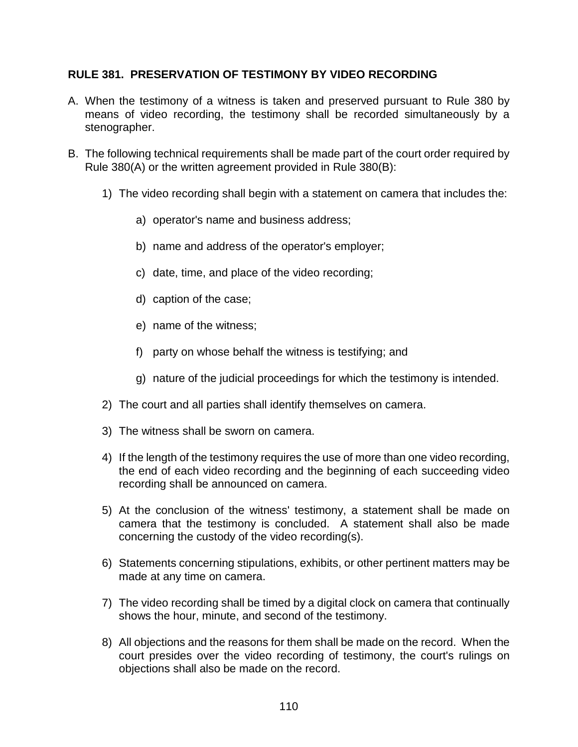## **RULE 381. PRESERVATION OF TESTIMONY BY VIDEO RECORDING**

- A. When the testimony of a witness is taken and preserved pursuant to Rule 380 by means of video recording, the testimony shall be recorded simultaneously by a stenographer.
- B. The following technical requirements shall be made part of the court order required by Rule 380(A) or the written agreement provided in Rule 380(B):
	- 1) The video recording shall begin with a statement on camera that includes the:
		- a) operator's name and business address;
		- b) name and address of the operator's employer;
		- c) date, time, and place of the video recording;
		- d) caption of the case;
		- e) name of the witness;
		- f) party on whose behalf the witness is testifying; and
		- g) nature of the judicial proceedings for which the testimony is intended.
	- 2) The court and all parties shall identify themselves on camera.
	- 3) The witness shall be sworn on camera.
	- 4) If the length of the testimony requires the use of more than one video recording, the end of each video recording and the beginning of each succeeding video recording shall be announced on camera.
	- 5) At the conclusion of the witness' testimony, a statement shall be made on camera that the testimony is concluded. A statement shall also be made concerning the custody of the video recording(s).
	- 6) Statements concerning stipulations, exhibits, or other pertinent matters may be made at any time on camera.
	- 7) The video recording shall be timed by a digital clock on camera that continually shows the hour, minute, and second of the testimony.
	- 8) All objections and the reasons for them shall be made on the record. When the court presides over the video recording of testimony, the court's rulings on objections shall also be made on the record.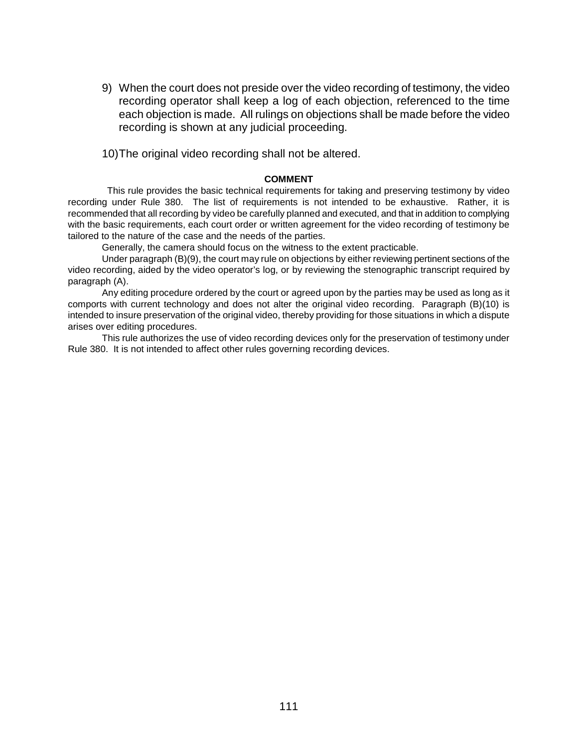- 9) When the court does not preside over the video recording of testimony, the video recording operator shall keep a log of each objection, referenced to the time each objection is made. All rulings on objections shall be made before the video recording is shown at any judicial proceeding.
- 10) The original video recording shall not be altered.

#### **COMMENT**

 This rule provides the basic technical requirements for taking and preserving testimony by video recording under Rule 380. The list of requirements is not intended to be exhaustive. Rather, it is recommended that all recording by video be carefully planned and executed, and that in addition to complying with the basic requirements, each court order or written agreement for the video recording of testimony be tailored to the nature of the case and the needs of the parties.

Generally, the camera should focus on the witness to the extent practicable.

Under paragraph (B)(9), the court may rule on objections by either reviewing pertinent sections of the video recording, aided by the video operator's log, or by reviewing the stenographic transcript required by paragraph (A).

Any editing procedure ordered by the court or agreed upon by the parties may be used as long as it comports with current technology and does not alter the original video recording. Paragraph (B)(10) is intended to insure preservation of the original video, thereby providing for those situations in which a dispute arises over editing procedures.

This rule authorizes the use of video recording devices only for the preservation of testimony under Rule 380. It is not intended to affect other rules governing recording devices.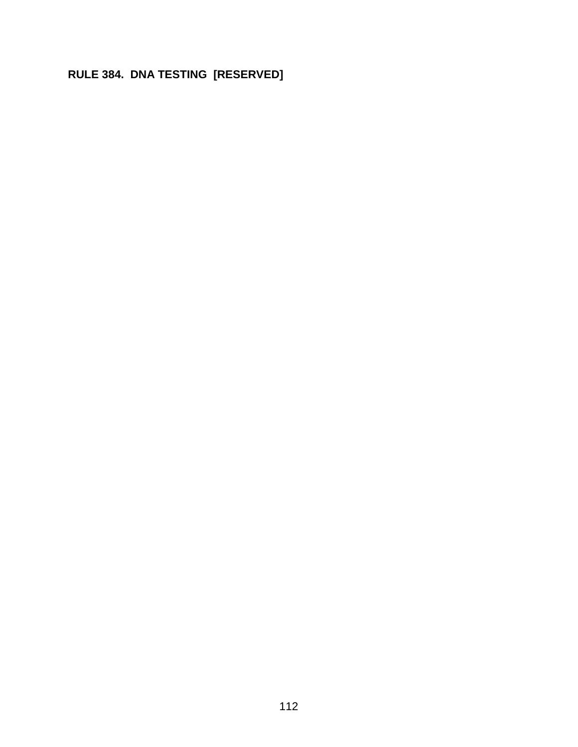# **RULE 384. DNA TESTING [RESERVED]**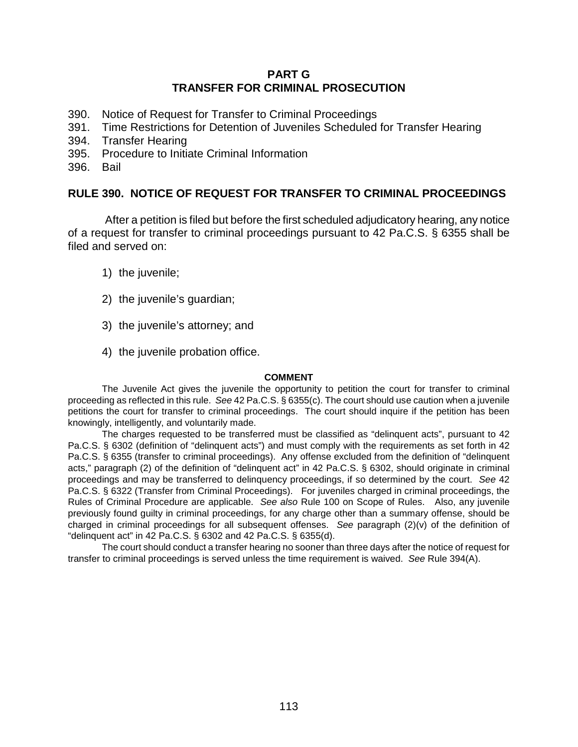### **PART G TRANSFER FOR CRIMINAL PROSECUTION**

- 390. Notice of Request for Transfer to Criminal Proceedings
- 391. Time Restrictions for Detention of Juveniles Scheduled for Transfer Hearing
- 394. Transfer Hearing
- 395. Procedure to Initiate Criminal Information
- 396. Bail

### **RULE 390. NOTICE OF REQUEST FOR TRANSFER TO CRIMINAL PROCEEDINGS**

 After a petition is filed but before the first scheduled adjudicatory hearing, any notice of a request for transfer to criminal proceedings pursuant to 42 Pa.C.S. § 6355 shall be filed and served on:

- 1) the juvenile;
- 2) the juvenile's guardian;
- 3) the juvenile's attorney; and
- 4) the juvenile probation office.

#### **COMMENT**

The Juvenile Act gives the juvenile the opportunity to petition the court for transfer to criminal proceeding as reflected in this rule. *See* 42 Pa.C.S. § 6355(c). The court should use caution when a juvenile petitions the court for transfer to criminal proceedings. The court should inquire if the petition has been knowingly, intelligently, and voluntarily made.

The charges requested to be transferred must be classified as "delinquent acts", pursuant to 42 Pa.C.S. § 6302 (definition of "delinquent acts") and must comply with the requirements as set forth in 42 Pa.C.S. § 6355 (transfer to criminal proceedings). Any offense excluded from the definition of "delinquent acts," paragraph (2) of the definition of "delinquent act" in 42 Pa.C.S. § 6302, should originate in criminal proceedings and may be transferred to delinquency proceedings, if so determined by the court. *See* 42 Pa.C.S. § 6322 (Transfer from Criminal Proceedings). For juveniles charged in criminal proceedings, the Rules of Criminal Procedure are applicable. *See also* Rule 100 on Scope of Rules. Also, any juvenile previously found guilty in criminal proceedings, for any charge other than a summary offense, should be charged in criminal proceedings for all subsequent offenses. *See* paragraph (2)(v) of the definition of "delinquent act" in 42 Pa.C.S. § 6302 and 42 Pa.C.S. § 6355(d).

The court should conduct a transfer hearing no sooner than three days after the notice of request for transfer to criminal proceedings is served unless the time requirement is waived. *See* Rule 394(A).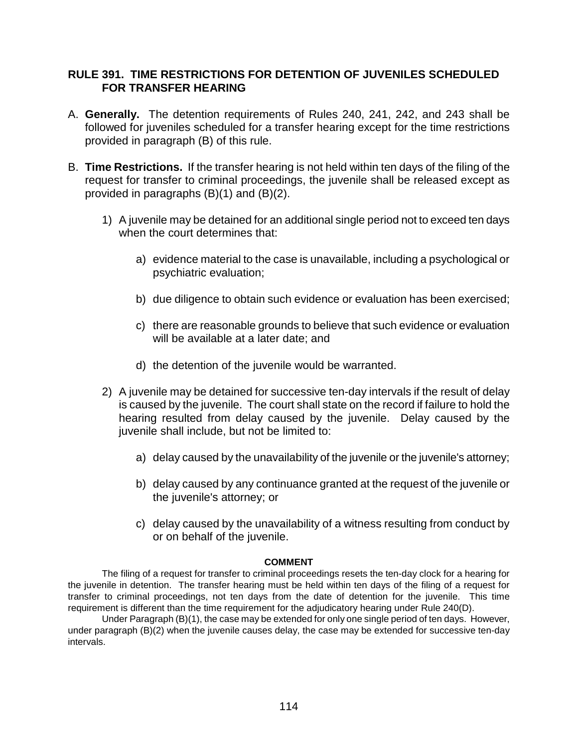## **RULE 391. TIME RESTRICTIONS FOR DETENTION OF JUVENILES SCHEDULED FOR TRANSFER HEARING**

- A. **Generally.** The detention requirements of Rules 240, 241, 242, and 243 shall be followed for juveniles scheduled for a transfer hearing except for the time restrictions provided in paragraph (B) of this rule.
- B. **Time Restrictions.** If the transfer hearing is not held within ten days of the filing of the request for transfer to criminal proceedings, the juvenile shall be released except as provided in paragraphs (B)(1) and (B)(2).
	- 1) A juvenile may be detained for an additional single period not to exceed ten days when the court determines that:
		- a) evidence material to the case is unavailable, including a psychological or psychiatric evaluation;
		- b) due diligence to obtain such evidence or evaluation has been exercised;
		- c) there are reasonable grounds to believe that such evidence or evaluation will be available at a later date; and
		- d) the detention of the juvenile would be warranted.
	- 2) A juvenile may be detained for successive ten-day intervals if the result of delay is caused by the juvenile. The court shall state on the record if failure to hold the hearing resulted from delay caused by the juvenile. Delay caused by the juvenile shall include, but not be limited to:
		- a) delay caused by the unavailability of the juvenile or the juvenile's attorney;
		- b) delay caused by any continuance granted at the request of the juvenile or the juvenile's attorney; or
		- c) delay caused by the unavailability of a witness resulting from conduct by or on behalf of the juvenile.

#### **COMMENT**

The filing of a request for transfer to criminal proceedings resets the ten-day clock for a hearing for the juvenile in detention. The transfer hearing must be held within ten days of the filing of a request for transfer to criminal proceedings, not ten days from the date of detention for the juvenile. This time requirement is different than the time requirement for the adjudicatory hearing under Rule 240(D).

Under Paragraph (B)(1), the case may be extended for only one single period of ten days. However, under paragraph (B)(2) when the juvenile causes delay, the case may be extended for successive ten-day intervals.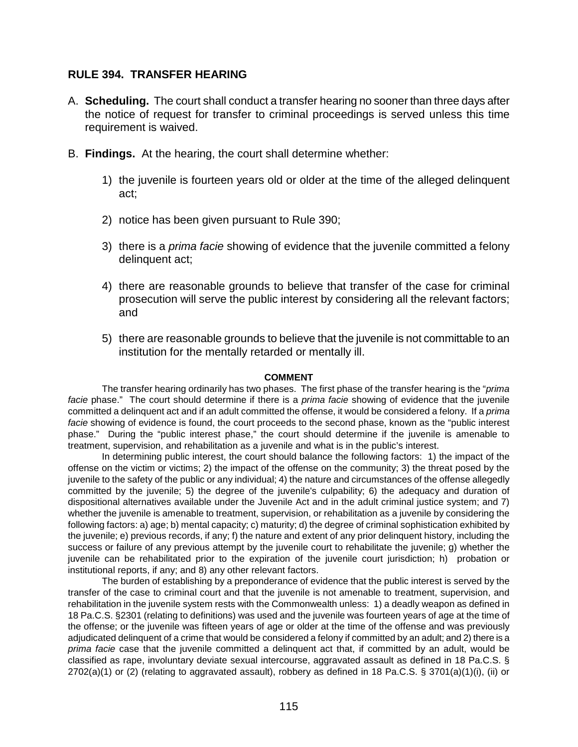#### **RULE 394. TRANSFER HEARING**

- A. **Scheduling.** The court shall conduct a transfer hearing no sooner than three days after the notice of request for transfer to criminal proceedings is served unless this time requirement is waived.
- B. **Findings.** At the hearing, the court shall determine whether:
	- 1) the juvenile is fourteen years old or older at the time of the alleged delinquent act;
	- 2) notice has been given pursuant to Rule 390;
	- 3) there is a *prima facie* showing of evidence that the juvenile committed a felony delinquent act;
	- 4) there are reasonable grounds to believe that transfer of the case for criminal prosecution will serve the public interest by considering all the relevant factors; and
	- 5) there are reasonable grounds to believe that the juvenile is not committable to an institution for the mentally retarded or mentally ill.

#### **COMMENT**

The transfer hearing ordinarily has two phases. The first phase of the transfer hearing is the "*prima facie* phase." The court should determine if there is a *prima facie* showing of evidence that the juvenile committed a delinquent act and if an adult committed the offense, it would be considered a felony. If a *prima facie* showing of evidence is found, the court proceeds to the second phase, known as the "public interest phase." During the "public interest phase," the court should determine if the juvenile is amenable to treatment, supervision, and rehabilitation as a juvenile and what is in the public's interest.

In determining public interest, the court should balance the following factors: 1) the impact of the offense on the victim or victims; 2) the impact of the offense on the community; 3) the threat posed by the juvenile to the safety of the public or any individual; 4) the nature and circumstances of the offense allegedly committed by the juvenile; 5) the degree of the juvenile's culpability; 6) the adequacy and duration of dispositional alternatives available under the Juvenile Act and in the adult criminal justice system; and 7) whether the juvenile is amenable to treatment, supervision, or rehabilitation as a juvenile by considering the following factors: a) age; b) mental capacity; c) maturity; d) the degree of criminal sophistication exhibited by the juvenile; e) previous records, if any; f) the nature and extent of any prior delinquent history, including the success or failure of any previous attempt by the juvenile court to rehabilitate the juvenile; g) whether the juvenile can be rehabilitated prior to the expiration of the juvenile court jurisdiction; h) probation or institutional reports, if any; and 8) any other relevant factors.

The burden of establishing by a preponderance of evidence that the public interest is served by the transfer of the case to criminal court and that the juvenile is not amenable to treatment, supervision, and rehabilitation in the juvenile system rests with the Commonwealth unless: 1) a deadly weapon as defined in 18 Pa.C.S. §2301 (relating to definitions) was used and the juvenile was fourteen years of age at the time of the offense; or the juvenile was fifteen years of age or older at the time of the offense and was previously adjudicated delinquent of a crime that would be considered a felony if committed by an adult; and 2) there is a *prima facie* case that the juvenile committed a delinquent act that, if committed by an adult, would be classified as rape, involuntary deviate sexual intercourse, aggravated assault as defined in 18 Pa.C.S. § 2702(a)(1) or (2) (relating to aggravated assault), robbery as defined in 18 Pa.C.S. § 3701(a)(1)(i), (ii) or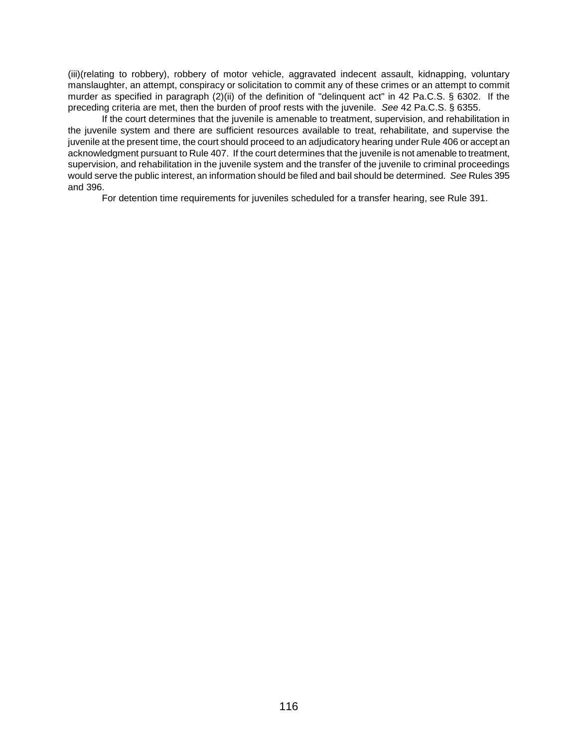(iii)(relating to robbery), robbery of motor vehicle, aggravated indecent assault, kidnapping, voluntary manslaughter, an attempt, conspiracy or solicitation to commit any of these crimes or an attempt to commit murder as specified in paragraph (2)(ii) of the definition of "delinquent act" in 42 Pa.C.S. § 6302. If the preceding criteria are met, then the burden of proof rests with the juvenile. *See* 42 Pa.C.S. § 6355.

If the court determines that the juvenile is amenable to treatment, supervision, and rehabilitation in the juvenile system and there are sufficient resources available to treat, rehabilitate, and supervise the juvenile at the present time, the court should proceed to an adjudicatory hearing under Rule 406 or accept an acknowledgment pursuant to Rule 407. If the court determines that the juvenile is not amenable to treatment, supervision, and rehabilitation in the juvenile system and the transfer of the juvenile to criminal proceedings would serve the public interest, an information should be filed and bail should be determined. *See* Rules 395 and 396.

For detention time requirements for juveniles scheduled for a transfer hearing, see Rule 391.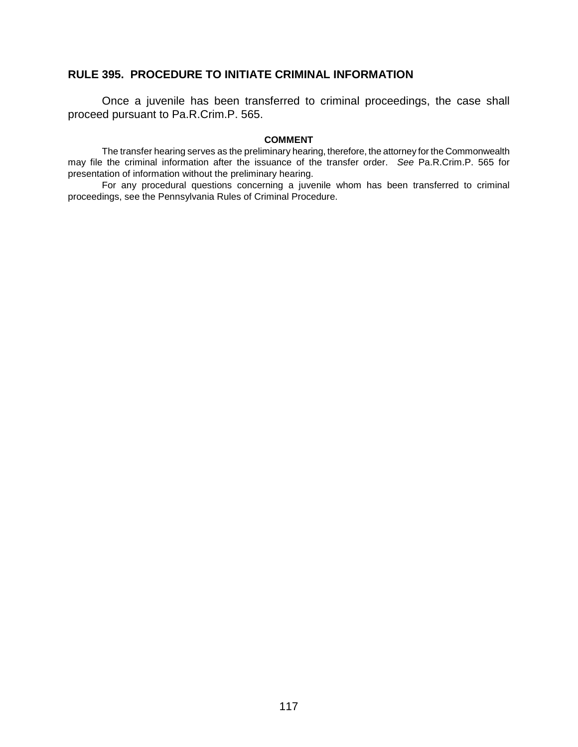## **RULE 395. PROCEDURE TO INITIATE CRIMINAL INFORMATION**

Once a juvenile has been transferred to criminal proceedings, the case shall proceed pursuant to Pa.R.Crim.P. 565.

#### **COMMENT**

The transfer hearing serves as the preliminary hearing, therefore, the attorney for the Commonwealth may file the criminal information after the issuance of the transfer order. *See* Pa.R.Crim.P. 565 for presentation of information without the preliminary hearing.

For any procedural questions concerning a juvenile whom has been transferred to criminal proceedings, see the Pennsylvania Rules of Criminal Procedure.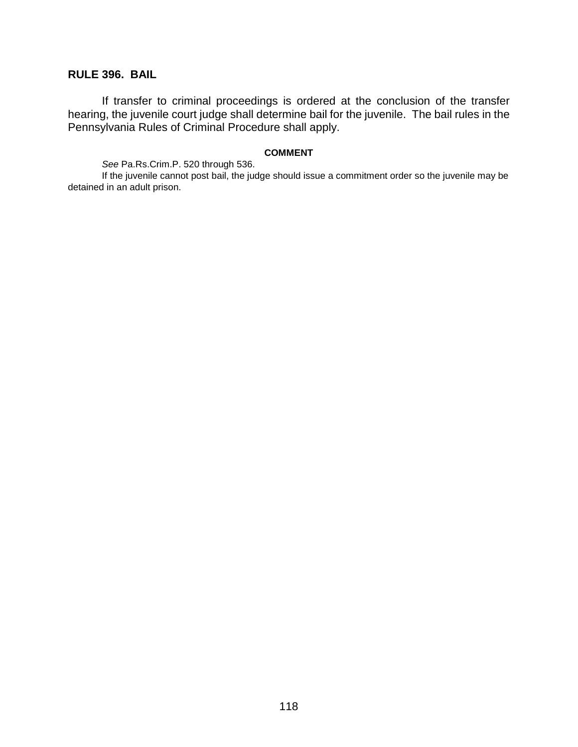## **RULE 396. BAIL**

If transfer to criminal proceedings is ordered at the conclusion of the transfer hearing, the juvenile court judge shall determine bail for the juvenile. The bail rules in the Pennsylvania Rules of Criminal Procedure shall apply.

#### **COMMENT**

*See* Pa.Rs.Crim.P. 520 through 536.

If the juvenile cannot post bail, the judge should issue a commitment order so the juvenile may be detained in an adult prison.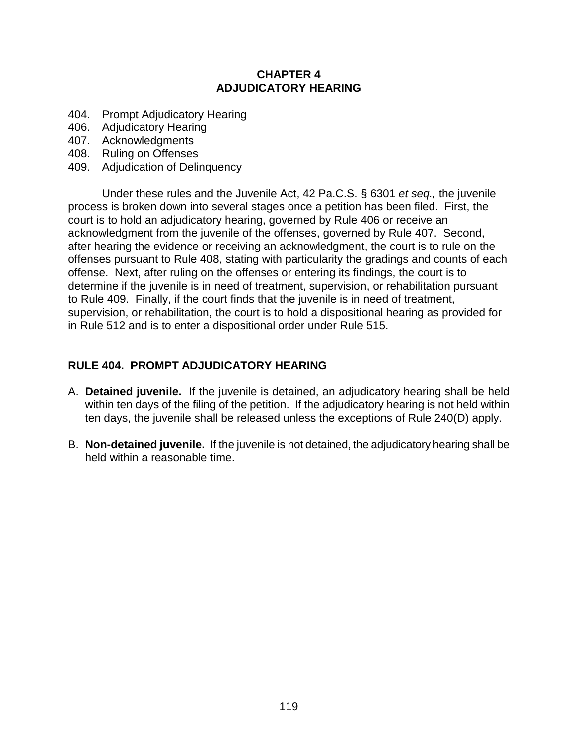## **CHAPTER 4 ADJUDICATORY HEARING**

- 404. Prompt Adjudicatory Hearing
- 406. Adjudicatory Hearing
- 407. Acknowledgments
- 408. Ruling on Offenses
- 409. Adjudication of Delinquency

Under these rules and the Juvenile Act, 42 Pa.C.S. § 6301 *et seq.,* the juvenile process is broken down into several stages once a petition has been filed. First, the court is to hold an adjudicatory hearing, governed by Rule 406 or receive an acknowledgment from the juvenile of the offenses, governed by Rule 407. Second, after hearing the evidence or receiving an acknowledgment, the court is to rule on the offenses pursuant to Rule 408, stating with particularity the gradings and counts of each offense. Next, after ruling on the offenses or entering its findings, the court is to determine if the juvenile is in need of treatment, supervision, or rehabilitation pursuant to Rule 409. Finally, if the court finds that the juvenile is in need of treatment, supervision, or rehabilitation, the court is to hold a dispositional hearing as provided for in Rule 512 and is to enter a dispositional order under Rule 515.

## **RULE 404. PROMPT ADJUDICATORY HEARING**

- A. **Detained juvenile.** If the juvenile is detained, an adjudicatory hearing shall be held within ten days of the filing of the petition. If the adjudicatory hearing is not held within ten days, the juvenile shall be released unless the exceptions of Rule 240(D) apply.
- B. **Non-detained juvenile.** If the juvenile is not detained, the adjudicatory hearing shall be held within a reasonable time.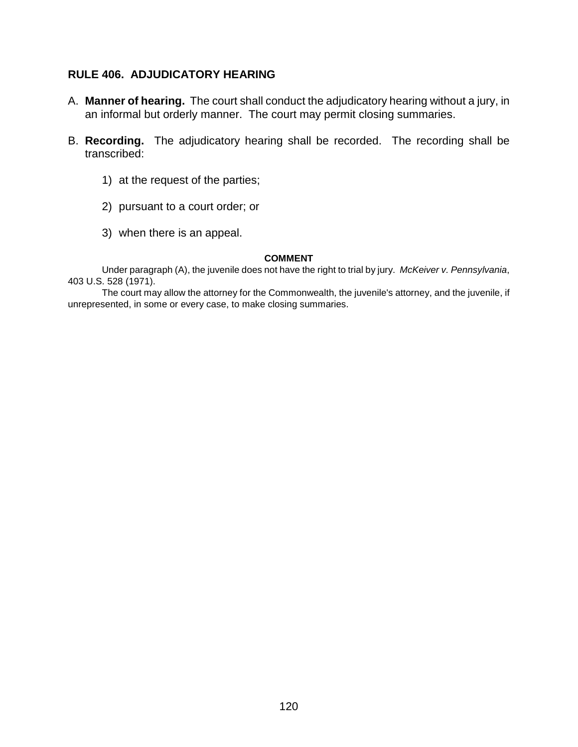## **RULE 406. ADJUDICATORY HEARING**

- A. **Manner of hearing.** The court shall conduct the adjudicatory hearing without a jury, in an informal but orderly manner. The court may permit closing summaries.
- B. **Recording.** The adjudicatory hearing shall be recorded. The recording shall be transcribed:
	- 1) at the request of the parties;
	- 2) pursuant to a court order; or
	- 3) when there is an appeal.

#### **COMMENT**

Under paragraph (A), the juvenile does not have the right to trial by jury. *McKeiver v. Pennsylvania*, 403 U.S. 528 (1971).

The court may allow the attorney for the Commonwealth, the juvenile's attorney, and the juvenile, if unrepresented, in some or every case, to make closing summaries.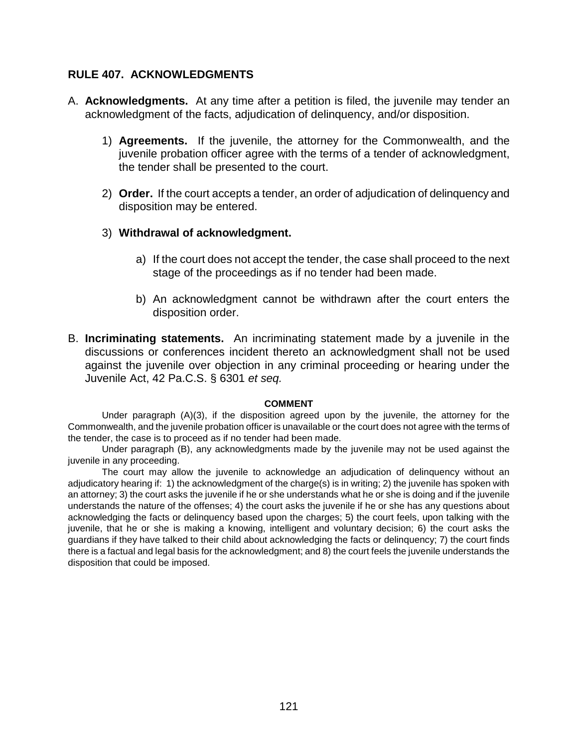### **RULE 407. ACKNOWLEDGMENTS**

- A. **Acknowledgments.** At any time after a petition is filed, the juvenile may tender an acknowledgment of the facts, adjudication of delinquency, and/or disposition.
	- 1) **Agreements.** If the juvenile, the attorney for the Commonwealth, and the juvenile probation officer agree with the terms of a tender of acknowledgment, the tender shall be presented to the court.
	- 2) **Order.** If the court accepts a tender, an order of adjudication of delinquency and disposition may be entered.
	- 3) **Withdrawal of acknowledgment.** 
		- a) If the court does not accept the tender, the case shall proceed to the next stage of the proceedings as if no tender had been made.
		- b) An acknowledgment cannot be withdrawn after the court enters the disposition order.
- B. **Incriminating statements.** An incriminating statement made by a juvenile in the discussions or conferences incident thereto an acknowledgment shall not be used against the juvenile over objection in any criminal proceeding or hearing under the Juvenile Act, 42 Pa.C.S. § 6301 *et seq.*

#### **COMMENT**

Under paragraph (A)(3), if the disposition agreed upon by the juvenile, the attorney for the Commonwealth, and the juvenile probation officer is unavailable or the court does not agree with the terms of the tender, the case is to proceed as if no tender had been made.

Under paragraph (B), any acknowledgments made by the juvenile may not be used against the juvenile in any proceeding.

The court may allow the juvenile to acknowledge an adjudication of delinquency without an adjudicatory hearing if: 1) the acknowledgment of the charge(s) is in writing; 2) the juvenile has spoken with an attorney; 3) the court asks the juvenile if he or she understands what he or she is doing and if the juvenile understands the nature of the offenses; 4) the court asks the juvenile if he or she has any questions about acknowledging the facts or delinquency based upon the charges; 5) the court feels, upon talking with the juvenile, that he or she is making a knowing, intelligent and voluntary decision; 6) the court asks the guardians if they have talked to their child about acknowledging the facts or delinquency; 7) the court finds there is a factual and legal basis for the acknowledgment; and 8) the court feels the juvenile understands the disposition that could be imposed.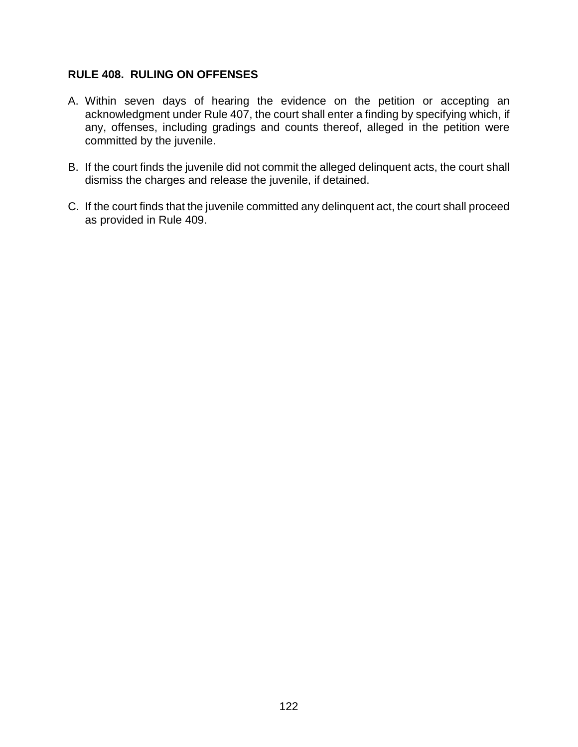## **RULE 408. RULING ON OFFENSES**

- A. Within seven days of hearing the evidence on the petition or accepting an acknowledgment under Rule 407, the court shall enter a finding by specifying which, if any, offenses, including gradings and counts thereof, alleged in the petition were committed by the juvenile.
- B. If the court finds the juvenile did not commit the alleged delinquent acts, the court shall dismiss the charges and release the juvenile, if detained.
- C. If the court finds that the juvenile committed any delinquent act, the court shall proceed as provided in Rule 409.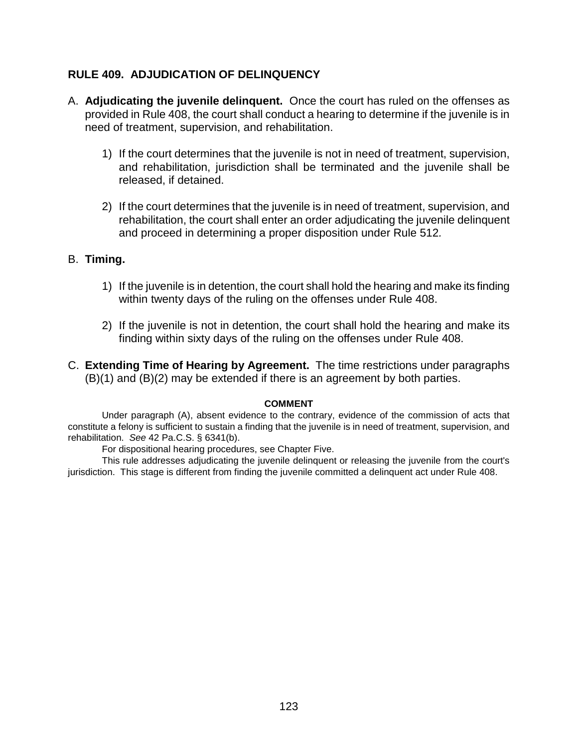## **RULE 409. ADJUDICATION OF DELINQUENCY**

- A. **Adjudicating the juvenile delinquent.** Once the court has ruled on the offenses as provided in Rule 408, the court shall conduct a hearing to determine if the juvenile is in need of treatment, supervision, and rehabilitation.
	- 1) If the court determines that the juvenile is not in need of treatment, supervision, and rehabilitation, jurisdiction shall be terminated and the juvenile shall be released, if detained.
	- 2) If the court determines that the juvenile is in need of treatment, supervision, and rehabilitation, the court shall enter an order adjudicating the juvenile delinquent and proceed in determining a proper disposition under Rule 512*.*

### B. **Timing.**

- 1) If the juvenile is in detention, the court shall hold the hearing and make its finding within twenty days of the ruling on the offenses under Rule 408.
- 2) If the juvenile is not in detention, the court shall hold the hearing and make its finding within sixty days of the ruling on the offenses under Rule 408.
- C. **Extending Time of Hearing by Agreement.** The time restrictions under paragraphs (B)(1) and (B)(2) may be extended if there is an agreement by both parties.

#### **COMMENT**

Under paragraph (A), absent evidence to the contrary, evidence of the commission of acts that constitute a felony is sufficient to sustain a finding that the juvenile is in need of treatment, supervision, and rehabilitation. *See* 42 Pa.C.S. § 6341(b).

For dispositional hearing procedures, see Chapter Five.

This rule addresses adjudicating the juvenile delinquent or releasing the juvenile from the court's jurisdiction. This stage is different from finding the juvenile committed a delinquent act under Rule 408.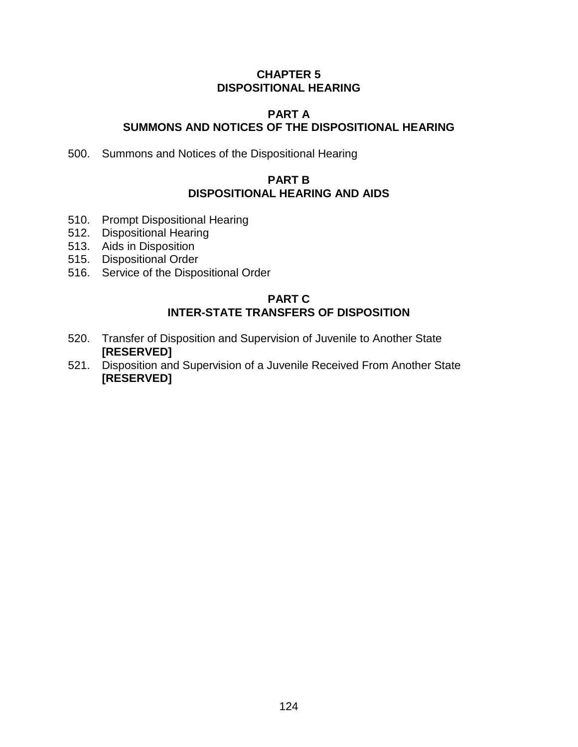## **CHAPTER 5 DISPOSITIONAL HEARING**

## **PART A SUMMONS AND NOTICES OF THE DISPOSITIONAL HEARING**

500. Summons and Notices of the Dispositional Hearing

## **PART B DISPOSITIONAL HEARING AND AIDS**

- 510. Prompt Dispositional Hearing
- 512. Dispositional Hearing
- 513. Aids in Disposition
- 515. Dispositional Order
- 516. Service of the Dispositional Order

## **PART C INTER-STATE TRANSFERS OF DISPOSITION**

- 520. Transfer of Disposition and Supervision of Juvenile to Another State **[RESERVED]**
- 521. Disposition and Supervision of a Juvenile Received From Another State **[RESERVED]**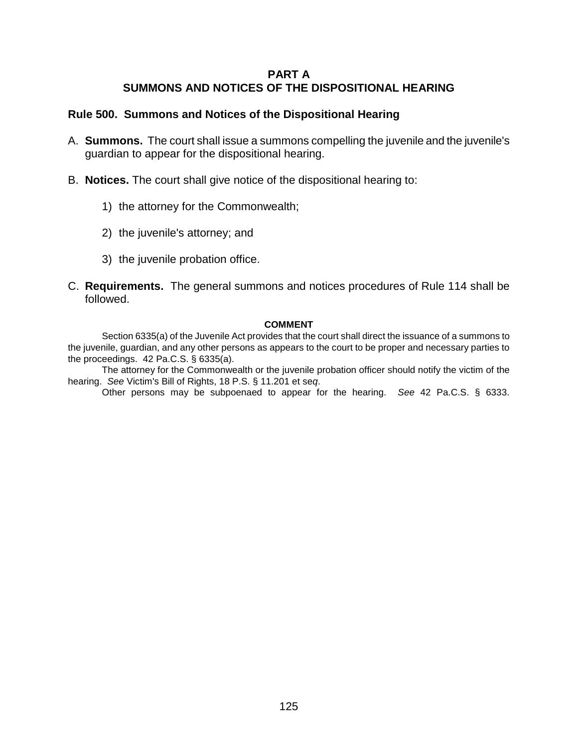## **PART A SUMMONS AND NOTICES OF THE DISPOSITIONAL HEARING**

## **Rule 500. Summons and Notices of the Dispositional Hearing**

- A. **Summons.** The court shall issue a summons compelling the juvenile and the juvenile's guardian to appear for the dispositional hearing.
- B. **Notices.** The court shall give notice of the dispositional hearing to:
	- 1) the attorney for the Commonwealth;
	- 2) the juvenile's attorney; and
	- 3) the juvenile probation office.
- C. **Requirements.** The general summons and notices procedures of Rule 114 shall be followed.

#### **COMMENT**

Section 6335(a) of the Juvenile Act provides that the court shall direct the issuance of a summons to the juvenile, guardian, and any other persons as appears to the court to be proper and necessary parties to the proceedings. 42 Pa.C.S. § 6335(a).

The attorney for the Commonwealth or the juvenile probation officer should notify the victim of the hearing. *See* Victim's Bill of Rights, 18 P.S. § 11.201 et se*q*.

Other persons may be subpoenaed to appear for the hearing. *See* 42 Pa.C.S. § 6333.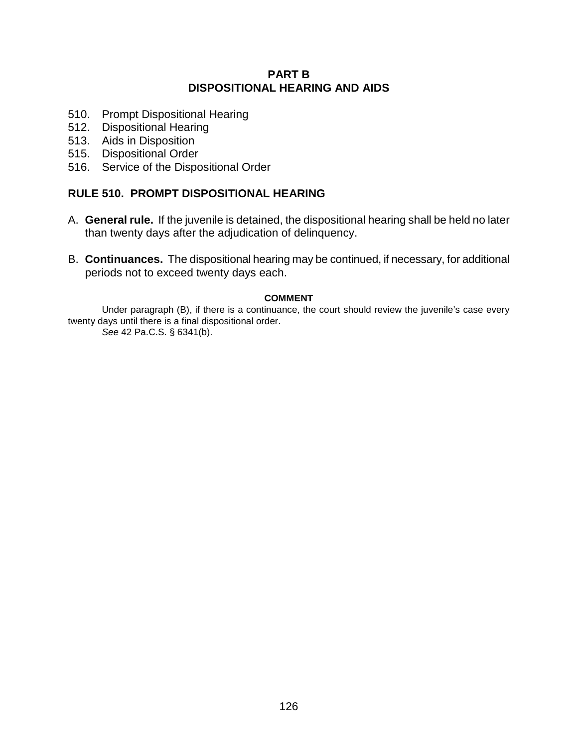## **PART B DISPOSITIONAL HEARING AND AIDS**

- 510. Prompt Dispositional Hearing
- 512. Dispositional Hearing
- 513. Aids in Disposition
- 515. Dispositional Order
- 516. Service of the Dispositional Order

## **RULE 510. PROMPT DISPOSITIONAL HEARING**

- A. **General rule.** If the juvenile is detained, the dispositional hearing shall be held no later than twenty days after the adjudication of delinquency.
- B. **Continuances.** The dispositional hearing may be continued, if necessary, for additional periods not to exceed twenty days each.

#### **COMMENT**

Under paragraph (B), if there is a continuance, the court should review the juvenile's case every twenty days until there is a final dispositional order.

*See* 42 Pa.C.S. § 6341(b).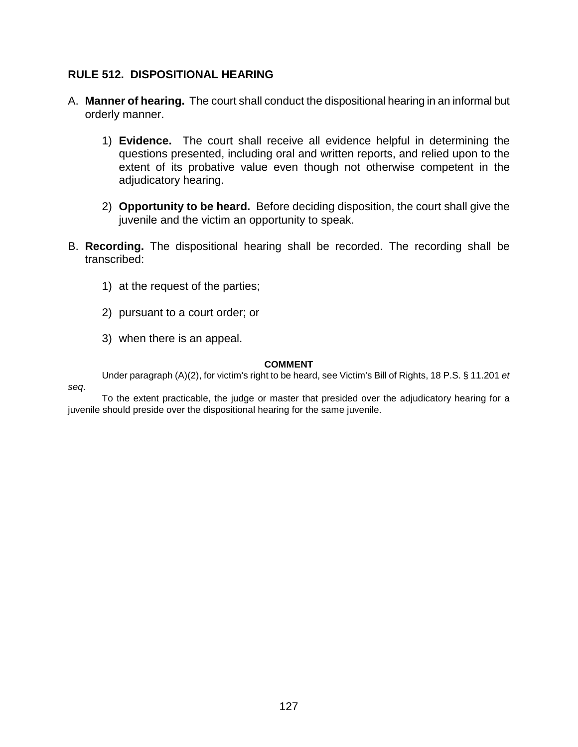## **RULE 512. DISPOSITIONAL HEARING**

- A. **Manner of hearing.** The court shall conduct the dispositional hearing in an informal but orderly manner.
	- 1) **Evidence.** The court shall receive all evidence helpful in determining the questions presented, including oral and written reports, and relied upon to the extent of its probative value even though not otherwise competent in the adjudicatory hearing.
	- 2) **Opportunity to be heard.** Before deciding disposition, the court shall give the juvenile and the victim an opportunity to speak.
- B. **Recording.** The dispositional hearing shall be recorded. The recording shall be transcribed:
	- 1) at the request of the parties;
	- 2) pursuant to a court order; or
	- 3) when there is an appeal.

#### **COMMENT**

Under paragraph (A)(2), for victim's right to be heard, see Victim's Bill of Rights, 18 P.S. § 11.201 *et* 

*seq*.

To the extent practicable, the judge or master that presided over the adjudicatory hearing for a juvenile should preside over the dispositional hearing for the same juvenile.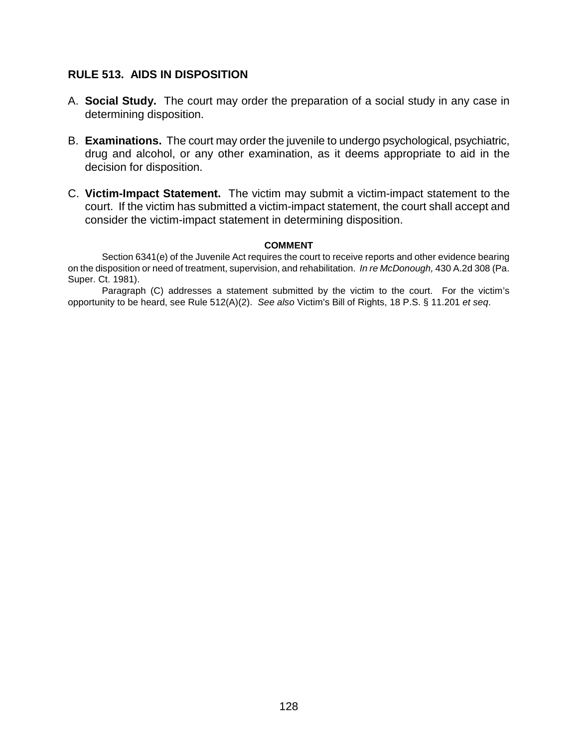### **RULE 513. AIDS IN DISPOSITION**

- A. **Social Study.** The court may order the preparation of a social study in any case in determining disposition.
- B. **Examinations.** The court may order the juvenile to undergo psychological, psychiatric, drug and alcohol, or any other examination, as it deems appropriate to aid in the decision for disposition.
- C. **Victim-Impact Statement.** The victim may submit a victim-impact statement to the court. If the victim has submitted a victim-impact statement, the court shall accept and consider the victim-impact statement in determining disposition.

#### **COMMENT**

Section 6341(e) of the Juvenile Act requires the court to receive reports and other evidence bearing on the disposition or need of treatment, supervision, and rehabilitation. *In re McDonough,* 430 A.2d 308 (Pa. Super. Ct. 1981).

Paragraph (C) addresses a statement submitted by the victim to the court. For the victim's opportunity to be heard, see Rule 512(A)(2). *See also* Victim's Bill of Rights, 18 P.S. § 11.201 *et seq*.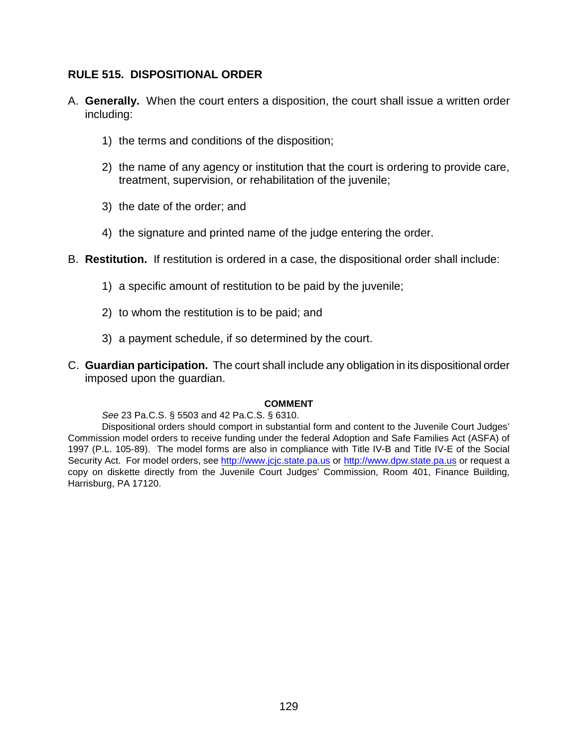## **RULE 515. DISPOSITIONAL ORDER**

- A. **Generally.** When the court enters a disposition, the court shall issue a written order including:
	- 1) the terms and conditions of the disposition;
	- 2) the name of any agency or institution that the court is ordering to provide care, treatment, supervision, or rehabilitation of the juvenile;
	- 3) the date of the order; and
	- 4) the signature and printed name of the judge entering the order.
- B. **Restitution.** If restitution is ordered in a case, the dispositional order shall include:
	- 1) a specific amount of restitution to be paid by the juvenile;
	- 2) to whom the restitution is to be paid; and
	- 3) a payment schedule, if so determined by the court.
- C. **Guardian participation.** The court shall include any obligation in its dispositional order imposed upon the guardian.

#### **COMMENT**

#### *See* 23 Pa.C.S. § 5503 and 42 Pa.C.S. § 6310.

Dispositional orders should comport in substantial form and content to the Juvenile Court Judges' Commission model orders to receive funding under the federal Adoption and Safe Families Act (ASFA) of 1997 (P.L. 105-89). The model forms are also in compliance with Title IV-B and Title IV-E of the Social Security Act. For model orders, see http://www.jcjc.state.pa.us or http://www.dpw.state.pa.us or request a copy on diskette directly from the Juvenile Court Judges' Commission, Room 401, Finance Building, Harrisburg, PA 17120.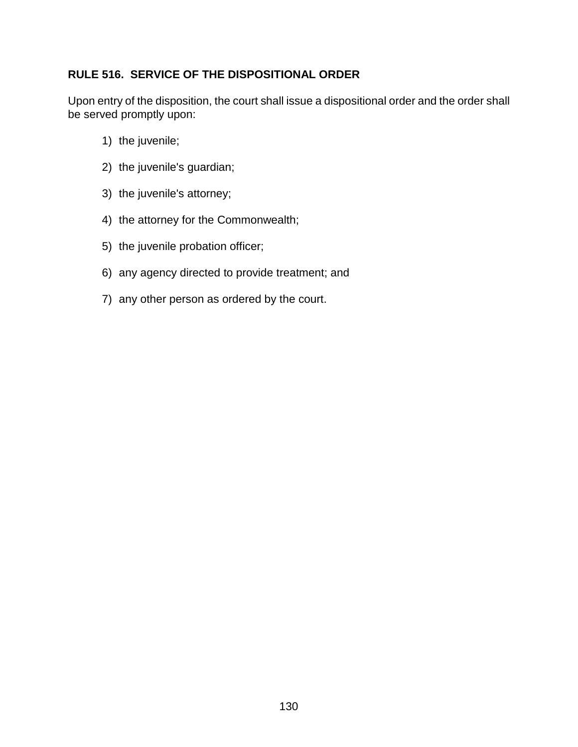## **RULE 516. SERVICE OF THE DISPOSITIONAL ORDER**

Upon entry of the disposition, the court shall issue a dispositional order and the order shall be served promptly upon:

- 1) the juvenile;
- 2) the juvenile's guardian;
- 3) the juvenile's attorney;
- 4) the attorney for the Commonwealth;
- 5) the juvenile probation officer;
- 6) any agency directed to provide treatment; and
- 7) any other person as ordered by the court.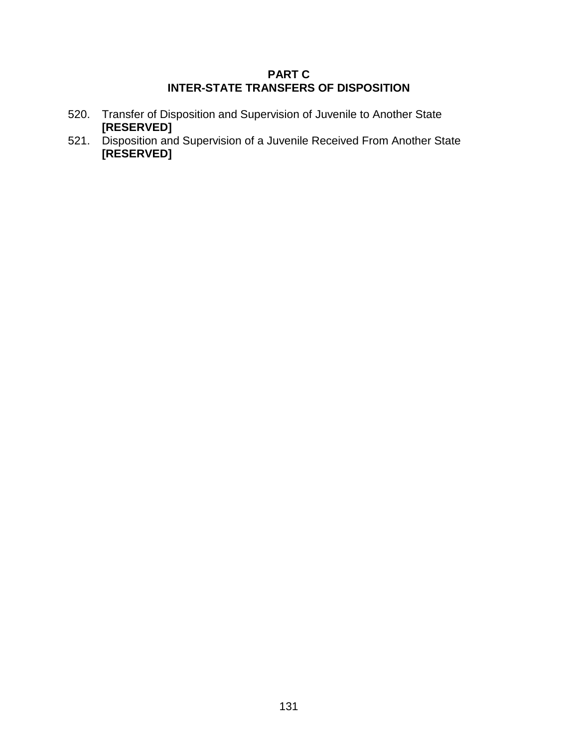## **PART C INTER-STATE TRANSFERS OF DISPOSITION**

- 520. Transfer of Disposition and Supervision of Juvenile to Another State **[RESERVED]**
- 521. Disposition and Supervision of a Juvenile Received From Another State **[RESERVED]**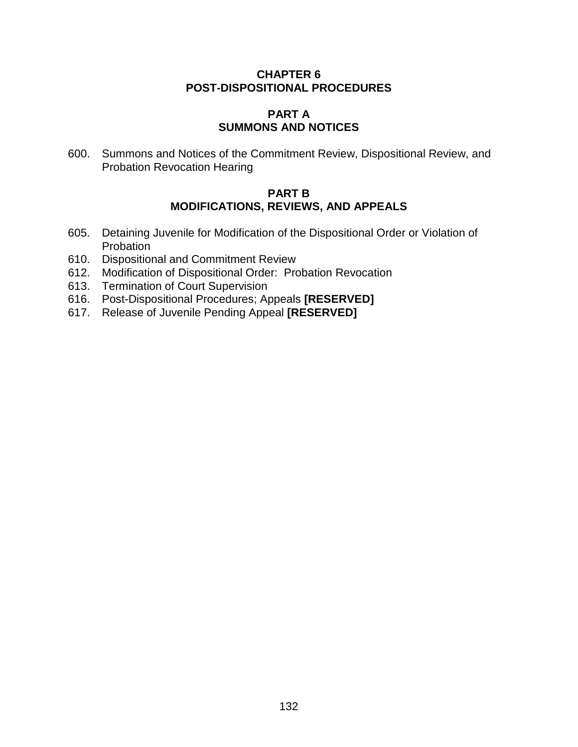## **CHAPTER 6 POST-DISPOSITIONAL PROCEDURES**

#### **PART A SUMMONS AND NOTICES**

600. Summons and Notices of the Commitment Review, Dispositional Review, and Probation Revocation Hearing

## **PART B MODIFICATIONS, REVIEWS, AND APPEALS**

- 605. Detaining Juvenile for Modification of the Dispositional Order or Violation of **Probation**
- 610. Dispositional and Commitment Review
- 612. Modification of Dispositional Order: Probation Revocation
- 613. Termination of Court Supervision
- 616. Post-Dispositional Procedures; Appeals **[RESERVED]**
- 617. Release of Juvenile Pending Appeal **[RESERVED]**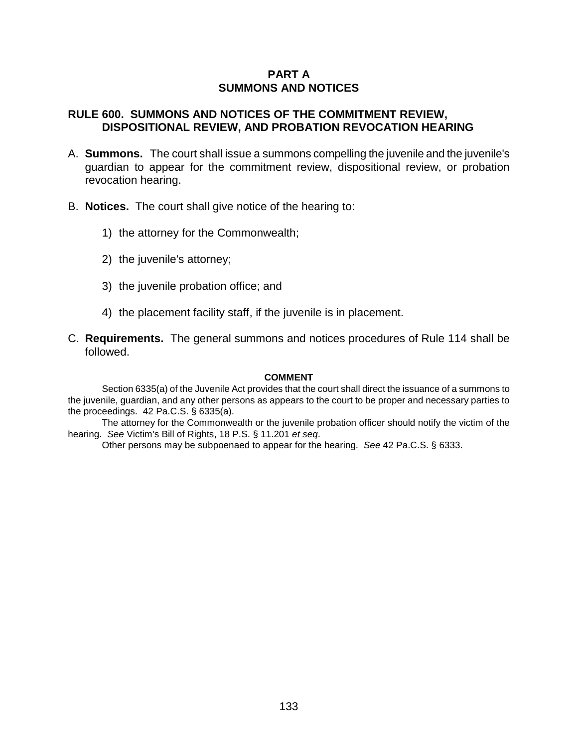## **PART A SUMMONS AND NOTICES**

### **RULE 600. SUMMONS AND NOTICES OF THE COMMITMENT REVIEW, DISPOSITIONAL REVIEW, AND PROBATION REVOCATION HEARING**

- A. **Summons.** The court shall issue a summons compelling the juvenile and the juvenile's guardian to appear for the commitment review, dispositional review, or probation revocation hearing.
- B. **Notices.** The court shall give notice of the hearing to:
	- 1) the attorney for the Commonwealth;
	- 2) the juvenile's attorney;
	- 3) the juvenile probation office; and
	- 4) the placement facility staff, if the juvenile is in placement.
- C. **Requirements.** The general summons and notices procedures of Rule 114 shall be followed.

#### **COMMENT**

Section 6335(a) of the Juvenile Act provides that the court shall direct the issuance of a summons to the juvenile, guardian, and any other persons as appears to the court to be proper and necessary parties to the proceedings. 42 Pa.C.S. § 6335(a).

The attorney for the Commonwealth or the juvenile probation officer should notify the victim of the hearing. *See* Victim's Bill of Rights, 18 P.S. § 11.201 *et seq*.

Other persons may be subpoenaed to appear for the hearing. *See* 42 Pa.C.S. § 6333.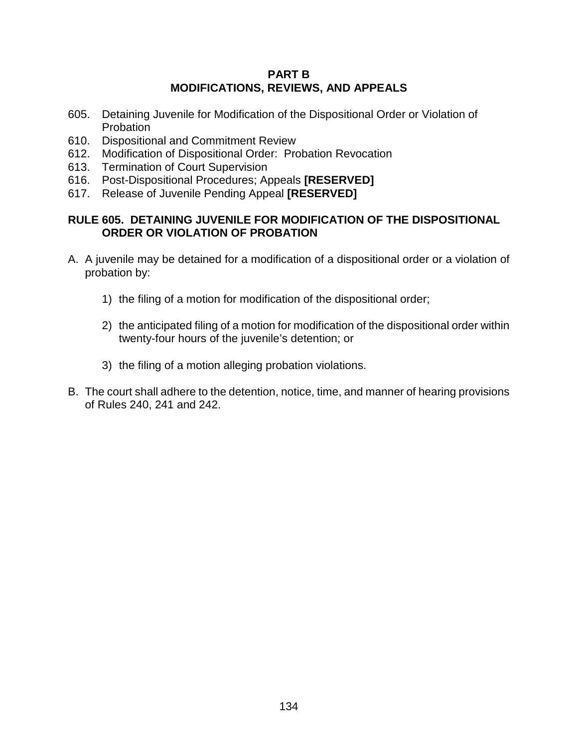## **PART B MODIFICATIONS, REVIEWS, AND APPEALS**

- 605. Detaining Juvenile for Modification of the Dispositional Order or Violation of Probation
- 610. Dispositional and Commitment Review
- 612. Modification of Dispositional Order: Probation Revocation
- 613. Termination of Court Supervision
- 616. Post-Dispositional Procedures; Appeals **[RESERVED]**
- 617. Release of Juvenile Pending Appeal **[RESERVED]**

## **RULE 605. DETAINING JUVENILE FOR MODIFICATION OF THE DISPOSITIONAL ORDER OR VIOLATION OF PROBATION**

- A. A juvenile may be detained for a modification of a dispositional order or a violation of probation by:
	- 1) the filing of a motion for modification of the dispositional order;
	- 2) the anticipated filing of a motion for modification of the dispositional order within twenty-four hours of the juvenile's detention; or
	- 3) the filing of a motion alleging probation violations.
- B. The court shall adhere to the detention, notice, time, and manner of hearing provisions of Rules 240, 241 and 242.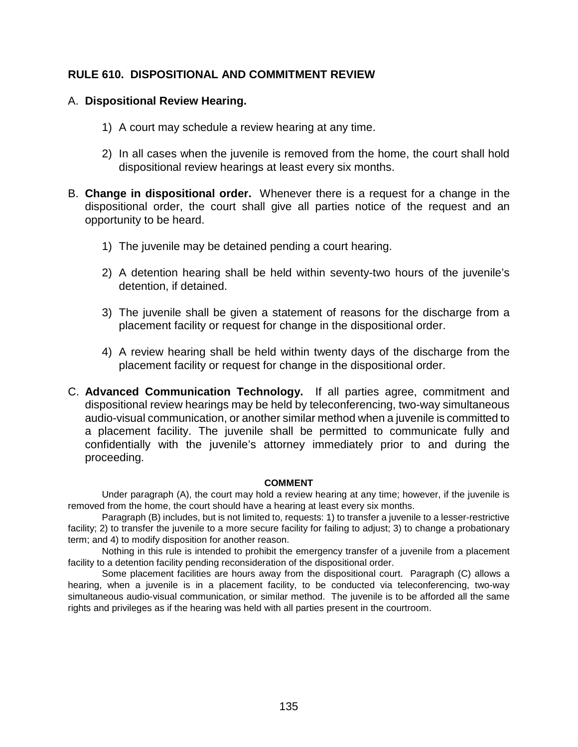## **RULE 610. DISPOSITIONAL AND COMMITMENT REVIEW**

## A. **Dispositional Review Hearing.**

- 1) A court may schedule a review hearing at any time.
- 2) In all cases when the juvenile is removed from the home, the court shall hold dispositional review hearings at least every six months.
- B. **Change in dispositional order.** Whenever there is a request for a change in the dispositional order, the court shall give all parties notice of the request and an opportunity to be heard.
	- 1) The juvenile may be detained pending a court hearing.
	- 2) A detention hearing shall be held within seventy-two hours of the juvenile's detention, if detained.
	- 3) The juvenile shall be given a statement of reasons for the discharge from a placement facility or request for change in the dispositional order.
	- 4) A review hearing shall be held within twenty days of the discharge from the placement facility or request for change in the dispositional order.

C. **Advanced Communication Technology.** If all parties agree, commitment and dispositional review hearings may be held by teleconferencing, two-way simultaneous audio-visual communication, or another similar method when a juvenile is committed to a placement facility. The juvenile shall be permitted to communicate fully and confidentially with the juvenile's attorney immediately prior to and during the proceeding.

#### **COMMENT**

Under paragraph (A), the court may hold a review hearing at any time; however, if the juvenile is removed from the home, the court should have a hearing at least every six months.

Paragraph (B) includes, but is not limited to, requests: 1) to transfer a juvenile to a lesser-restrictive facility; 2) to transfer the juvenile to a more secure facility for failing to adjust; 3) to change a probationary term; and 4) to modify disposition for another reason.

Nothing in this rule is intended to prohibit the emergency transfer of a juvenile from a placement facility to a detention facility pending reconsideration of the dispositional order.

Some placement facilities are hours away from the dispositional court. Paragraph (C) allows a hearing, when a juvenile is in a placement facility, to be conducted via teleconferencing, two-way simultaneous audio-visual communication, or similar method. The juvenile is to be afforded all the same rights and privileges as if the hearing was held with all parties present in the courtroom.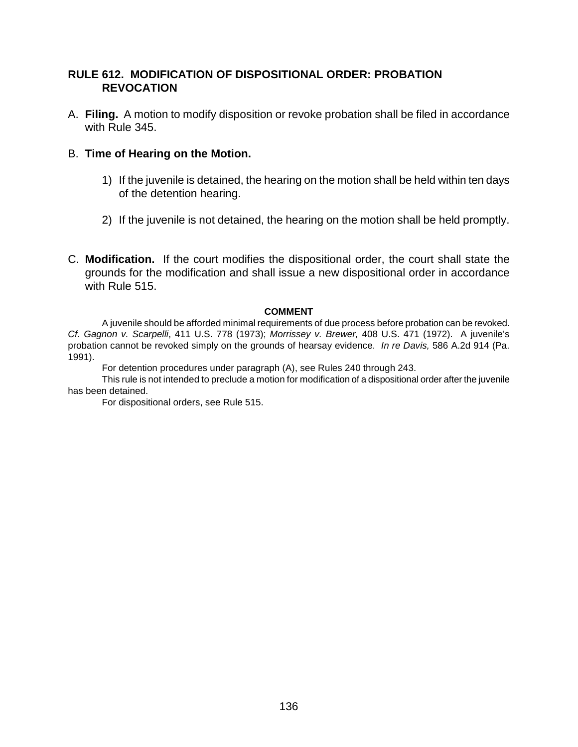## **RULE 612. MODIFICATION OF DISPOSITIONAL ORDER: PROBATION REVOCATION**

A. **Filing.** A motion to modify disposition or revoke probation shall be filed in accordance with Rule 345.

### B. **Time of Hearing on the Motion.**

- 1) If the juvenile is detained, the hearing on the motion shall be held within ten days of the detention hearing.
- 2) If the juvenile is not detained, the hearing on the motion shall be held promptly.

C. **Modification.** If the court modifies the dispositional order, the court shall state the grounds for the modification and shall issue a new dispositional order in accordance with Rule 515.

#### **COMMENT**

A juvenile should be afforded minimal requirements of due process before probation can be revoked. *Cf. Gagnon v. Scarpelli*, 411 U.S. 778 (1973); *Morrissey v. Brewer,* 408 U.S. 471 (1972). A juvenile's probation cannot be revoked simply on the grounds of hearsay evidence. *In re Davis,* 586 A.2d 914 (Pa. 1991).

For detention procedures under paragraph (A), see Rules 240 through 243.

This rule is not intended to preclude a motion for modification of a dispositional order after the juvenile has been detained.

For dispositional orders, see Rule 515.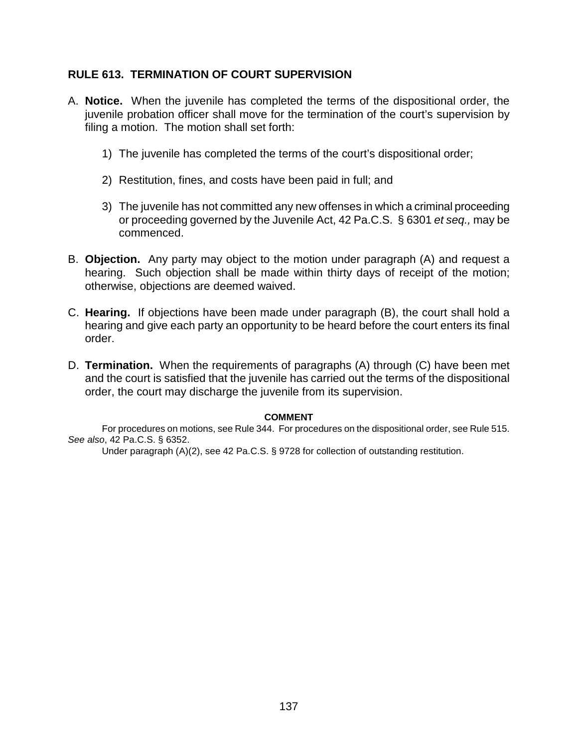## **RULE 613. TERMINATION OF COURT SUPERVISION**

- A. **Notice.** When the juvenile has completed the terms of the dispositional order, the juvenile probation officer shall move for the termination of the court's supervision by filing a motion. The motion shall set forth:
	- 1) The juvenile has completed the terms of the court's dispositional order;
	- 2) Restitution, fines, and costs have been paid in full; and
	- 3) The juvenile has not committed any new offenses in which a criminal proceeding or proceeding governed by the Juvenile Act, 42 Pa.C.S. § 6301 *et seq.,* may be commenced.
- B. **Objection.** Any party may object to the motion under paragraph (A) and request a hearing. Such objection shall be made within thirty days of receipt of the motion; otherwise, objections are deemed waived.
- C. **Hearing.** If objections have been made under paragraph (B), the court shall hold a hearing and give each party an opportunity to be heard before the court enters its final order.
- D. **Termination.** When the requirements of paragraphs (A) through (C) have been met and the court is satisfied that the juvenile has carried out the terms of the dispositional order, the court may discharge the juvenile from its supervision.

#### **COMMENT**

For procedures on motions, see Rule 344. For procedures on the dispositional order, see Rule 515. *See also*, 42 Pa.C.S. § 6352.

Under paragraph (A)(2), see 42 Pa.C.S. § 9728 for collection of outstanding restitution.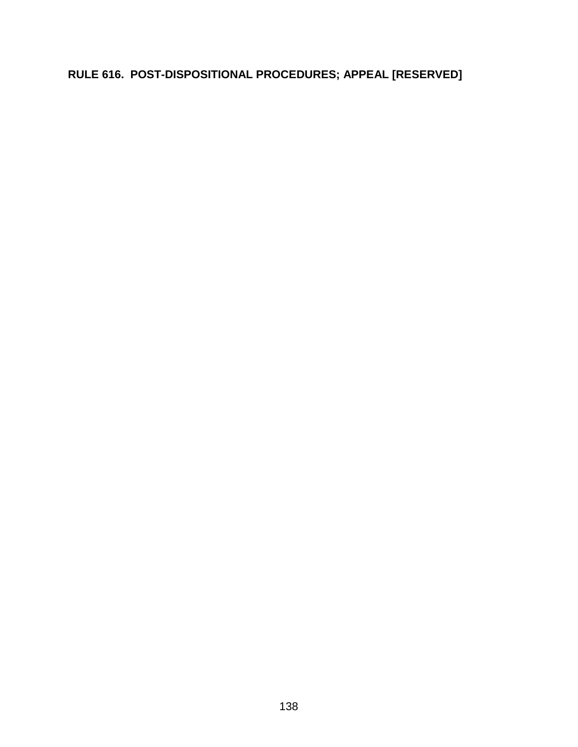# **RULE 616. POST-DISPOSITIONAL PROCEDURES; APPEAL [RESERVED]**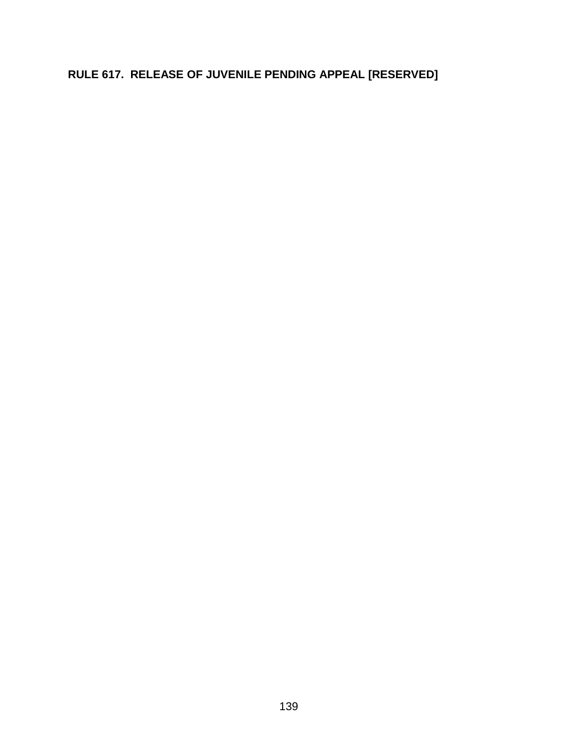# **RULE 617. RELEASE OF JUVENILE PENDING APPEAL [RESERVED]**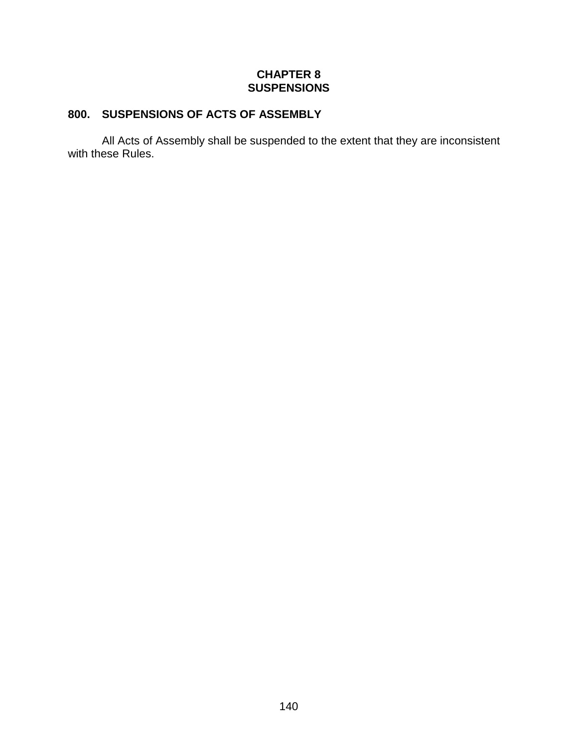## **CHAPTER 8 SUSPENSIONS**

## **800. SUSPENSIONS OF ACTS OF ASSEMBLY**

All Acts of Assembly shall be suspended to the extent that they are inconsistent with these Rules.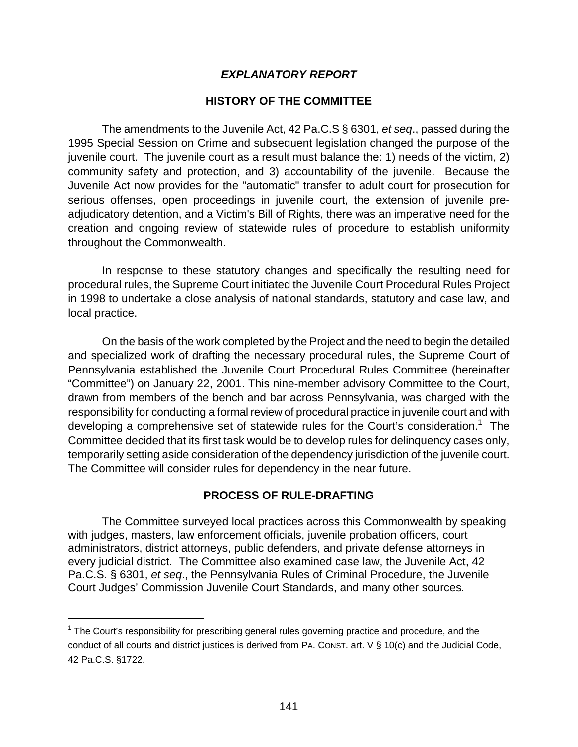## *EXPLANATORY REPORT*

### **HISTORY OF THE COMMITTEE**

The amendments to the Juvenile Act, 42 Pa.C.S § 6301, *et seq*., passed during the 1995 Special Session on Crime and subsequent legislation changed the purpose of the juvenile court. The juvenile court as a result must balance the: 1) needs of the victim, 2) community safety and protection, and 3) accountability of the juvenile. Because the Juvenile Act now provides for the "automatic" transfer to adult court for prosecution for serious offenses, open proceedings in juvenile court, the extension of juvenile preadjudicatory detention, and a Victim's Bill of Rights, there was an imperative need for the creation and ongoing review of statewide rules of procedure to establish uniformity throughout the Commonwealth.

In response to these statutory changes and specifically the resulting need for procedural rules, the Supreme Court initiated the Juvenile Court Procedural Rules Project in 1998 to undertake a close analysis of national standards, statutory and case law, and local practice.

On the basis of the work completed by the Project and the need to begin the detailed and specialized work of drafting the necessary procedural rules, the Supreme Court of Pennsylvania established the Juvenile Court Procedural Rules Committee (hereinafter "Committee") on January 22, 2001. This nine-member advisory Committee to the Court, drawn from members of the bench and bar across Pennsylvania, was charged with the responsibility for conducting a formal review of procedural practice in juvenile court and with developing a comprehensive set of statewide rules for the Court's consideration.<sup>1</sup> The Committee decided that its first task would be to develop rules for delinquency cases only, temporarily setting aside consideration of the dependency jurisdiction of the juvenile court. The Committee will consider rules for dependency in the near future.

## **PROCESS OF RULE-DRAFTING**

The Committee surveyed local practices across this Commonwealth by speaking with judges, masters, law enforcement officials, juvenile probation officers, court administrators, district attorneys, public defenders, and private defense attorneys in every judicial district. The Committee also examined case law, the Juvenile Act, 42 Pa.C.S. § 6301, *et seq*., the Pennsylvania Rules of Criminal Procedure, the Juvenile Court Judges' Commission Juvenile Court Standards, and many other sources*.* 

l

 $1$  The Court's responsibility for prescribing general rules governing practice and procedure, and the conduct of all courts and district justices is derived from PA. CONST. art. V § 10(c) and the Judicial Code, 42 Pa.C.S. §1722.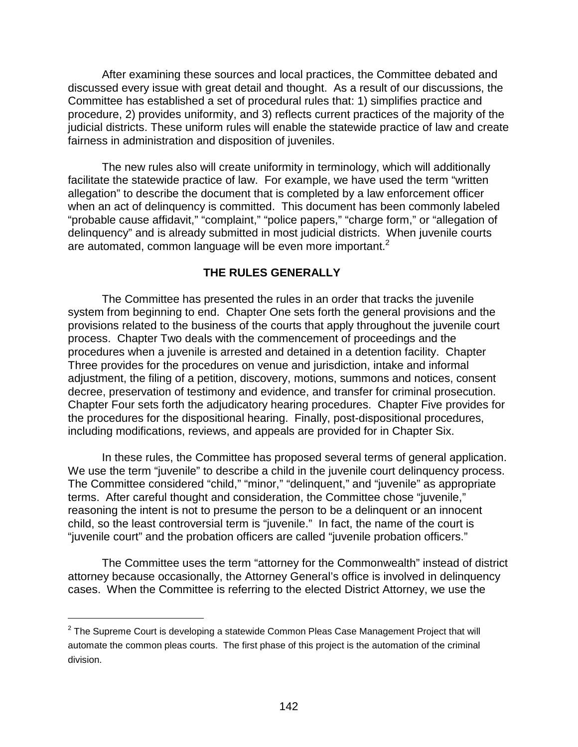After examining these sources and local practices, the Committee debated and discussed every issue with great detail and thought. As a result of our discussions, the Committee has established a set of procedural rules that: 1) simplifies practice and procedure, 2) provides uniformity, and 3) reflects current practices of the majority of the judicial districts. These uniform rules will enable the statewide practice of law and create fairness in administration and disposition of juveniles.

The new rules also will create uniformity in terminology, which will additionally facilitate the statewide practice of law. For example, we have used the term "written allegation" to describe the document that is completed by a law enforcement officer when an act of delinquency is committed. This document has been commonly labeled "probable cause affidavit," "complaint," "police papers," "charge form," or "allegation of delinquency" and is already submitted in most judicial districts. When juvenile courts are automated, common language will be even more important.<sup>2</sup>

## **THE RULES GENERALLY**

The Committee has presented the rules in an order that tracks the juvenile system from beginning to end. Chapter One sets forth the general provisions and the provisions related to the business of the courts that apply throughout the juvenile court process. Chapter Two deals with the commencement of proceedings and the procedures when a juvenile is arrested and detained in a detention facility. Chapter Three provides for the procedures on venue and jurisdiction, intake and informal adjustment, the filing of a petition, discovery, motions, summons and notices, consent decree, preservation of testimony and evidence, and transfer for criminal prosecution. Chapter Four sets forth the adjudicatory hearing procedures. Chapter Five provides for the procedures for the dispositional hearing. Finally, post-dispositional procedures, including modifications, reviews, and appeals are provided for in Chapter Six.

In these rules, the Committee has proposed several terms of general application. We use the term "juvenile" to describe a child in the juvenile court delinguency process. The Committee considered "child," "minor," "delinquent," and "juvenile" as appropriate terms. After careful thought and consideration, the Committee chose "juvenile," reasoning the intent is not to presume the person to be a delinquent or an innocent child, so the least controversial term is "juvenile." In fact, the name of the court is "juvenile court" and the probation officers are called "juvenile probation officers."

The Committee uses the term "attorney for the Commonwealth" instead of district attorney because occasionally, the Attorney General's office is involved in delinquency cases. When the Committee is referring to the elected District Attorney, we use the

l

 $2$  The Supreme Court is developing a statewide Common Pleas Case Management Project that will automate the common pleas courts. The first phase of this project is the automation of the criminal division.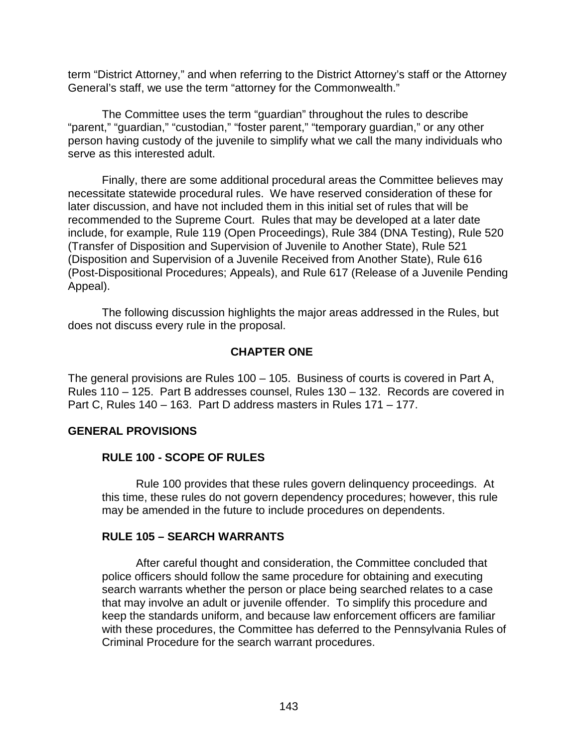term "District Attorney," and when referring to the District Attorney's staff or the Attorney General's staff, we use the term "attorney for the Commonwealth."

The Committee uses the term "guardian" throughout the rules to describe "parent," "guardian," "custodian," "foster parent," "temporary guardian," or any other person having custody of the juvenile to simplify what we call the many individuals who serve as this interested adult.

Finally, there are some additional procedural areas the Committee believes may necessitate statewide procedural rules. We have reserved consideration of these for later discussion, and have not included them in this initial set of rules that will be recommended to the Supreme Court. Rules that may be developed at a later date include, for example, Rule 119 (Open Proceedings), Rule 384 (DNA Testing), Rule 520 (Transfer of Disposition and Supervision of Juvenile to Another State), Rule 521 (Disposition and Supervision of a Juvenile Received from Another State), Rule 616 (Post-Dispositional Procedures; Appeals), and Rule 617 (Release of a Juvenile Pending Appeal).

The following discussion highlights the major areas addressed in the Rules, but does not discuss every rule in the proposal.

## **CHAPTER ONE**

The general provisions are Rules 100 – 105. Business of courts is covered in Part A, Rules 110 – 125. Part B addresses counsel, Rules 130 – 132. Records are covered in Part C, Rules 140 – 163. Part D address masters in Rules 171 – 177.

## **GENERAL PROVISIONS**

## **RULE 100 - SCOPE OF RULES**

Rule 100 provides that these rules govern delinquency proceedings. At this time, these rules do not govern dependency procedures; however, this rule may be amended in the future to include procedures on dependents.

## **RULE 105 – SEARCH WARRANTS**

After careful thought and consideration, the Committee concluded that police officers should follow the same procedure for obtaining and executing search warrants whether the person or place being searched relates to a case that may involve an adult or juvenile offender. To simplify this procedure and keep the standards uniform, and because law enforcement officers are familiar with these procedures, the Committee has deferred to the Pennsylvania Rules of Criminal Procedure for the search warrant procedures.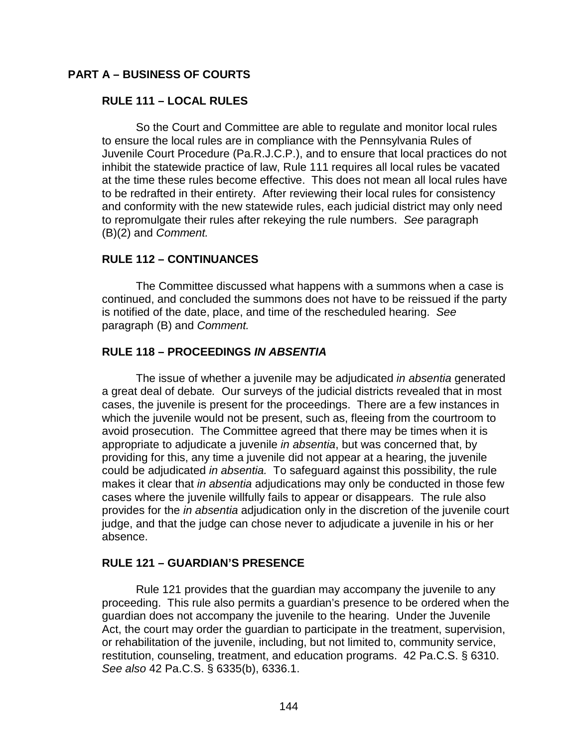## **PART A – BUSINESS OF COURTS**

## **RULE 111 – LOCAL RULES**

So the Court and Committee are able to regulate and monitor local rules to ensure the local rules are in compliance with the Pennsylvania Rules of Juvenile Court Procedure (Pa.R.J.C.P.), and to ensure that local practices do not inhibit the statewide practice of law, Rule 111 requires all local rules be vacated at the time these rules become effective. This does not mean all local rules have to be redrafted in their entirety. After reviewing their local rules for consistency and conformity with the new statewide rules, each judicial district may only need to repromulgate their rules after rekeying the rule numbers. *See* paragraph (B)(2) and *Comment.* 

## **RULE 112 – CONTINUANCES**

The Committee discussed what happens with a summons when a case is continued, and concluded the summons does not have to be reissued if the party is notified of the date, place, and time of the rescheduled hearing. *See* paragraph (B) and *Comment.* 

#### **RULE 118 – PROCEEDINGS** *IN ABSENTIA*

The issue of whether a juvenile may be adjudicated *in absentia* generated a great deal of debate*.* Our surveys of the judicial districts revealed that in most cases, the juvenile is present for the proceedings. There are a few instances in which the juvenile would not be present, such as, fleeing from the courtroom to avoid prosecution. The Committee agreed that there may be times when it is appropriate to adjudicate a juvenile *in absentia*, but was concerned that, by providing for this, any time a juvenile did not appear at a hearing, the juvenile could be adjudicated *in absentia.* To safeguard against this possibility, the rule makes it clear that *in absentia* adjudications may only be conducted in those few cases where the juvenile willfully fails to appear or disappears. The rule also provides for the *in absentia* adjudication only in the discretion of the juvenile court judge, and that the judge can chose never to adjudicate a juvenile in his or her absence.

#### **RULE 121 – GUARDIAN'S PRESENCE**

Rule 121 provides that the guardian may accompany the juvenile to any proceeding. This rule also permits a guardian's presence to be ordered when the guardian does not accompany the juvenile to the hearing. Under the Juvenile Act, the court may order the guardian to participate in the treatment, supervision, or rehabilitation of the juvenile, including, but not limited to, community service, restitution, counseling, treatment, and education programs. 42 Pa.C.S. § 6310. *See also* 42 Pa.C.S. § 6335(b), 6336.1.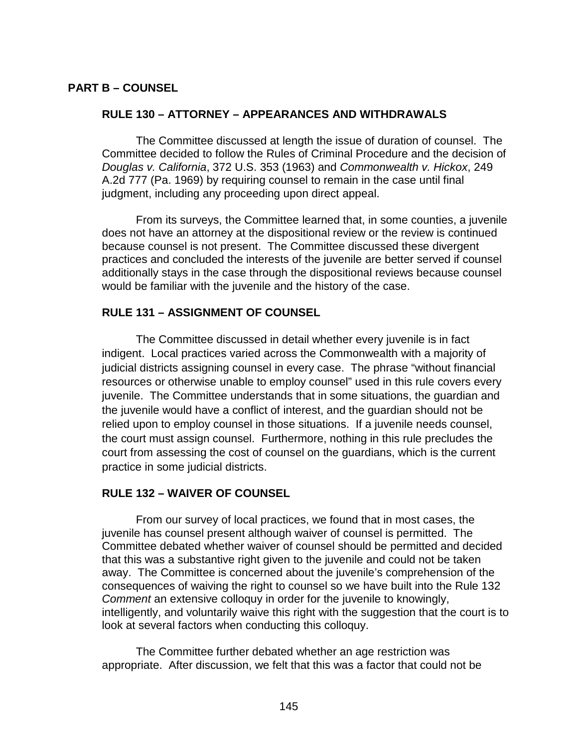## **PART B – COUNSEL**

#### **RULE 130 – ATTORNEY – APPEARANCES AND WITHDRAWALS**

The Committee discussed at length the issue of duration of counsel. The Committee decided to follow the Rules of Criminal Procedure and the decision of *Douglas v. California*, 372 U.S. 353 (1963) and *Commonwealth v. Hickox*, 249 A.2d 777 (Pa. 1969) by requiring counsel to remain in the case until final judgment, including any proceeding upon direct appeal.

From its surveys, the Committee learned that, in some counties, a juvenile does not have an attorney at the dispositional review or the review is continued because counsel is not present. The Committee discussed these divergent practices and concluded the interests of the juvenile are better served if counsel additionally stays in the case through the dispositional reviews because counsel would be familiar with the juvenile and the history of the case.

### **RULE 131 – ASSIGNMENT OF COUNSEL**

The Committee discussed in detail whether every juvenile is in fact indigent. Local practices varied across the Commonwealth with a majority of judicial districts assigning counsel in every case. The phrase "without financial resources or otherwise unable to employ counsel" used in this rule covers every juvenile. The Committee understands that in some situations, the guardian and the juvenile would have a conflict of interest, and the guardian should not be relied upon to employ counsel in those situations. If a juvenile needs counsel, the court must assign counsel. Furthermore, nothing in this rule precludes the court from assessing the cost of counsel on the guardians, which is the current practice in some judicial districts.

## **RULE 132 – WAIVER OF COUNSEL**

From our survey of local practices, we found that in most cases, the juvenile has counsel present although waiver of counsel is permitted. The Committee debated whether waiver of counsel should be permitted and decided that this was a substantive right given to the juvenile and could not be taken away. The Committee is concerned about the juvenile's comprehension of the consequences of waiving the right to counsel so we have built into the Rule 132 *Comment* an extensive colloquy in order for the juvenile to knowingly, intelligently, and voluntarily waive this right with the suggestion that the court is to look at several factors when conducting this colloquy.

The Committee further debated whether an age restriction was appropriate. After discussion, we felt that this was a factor that could not be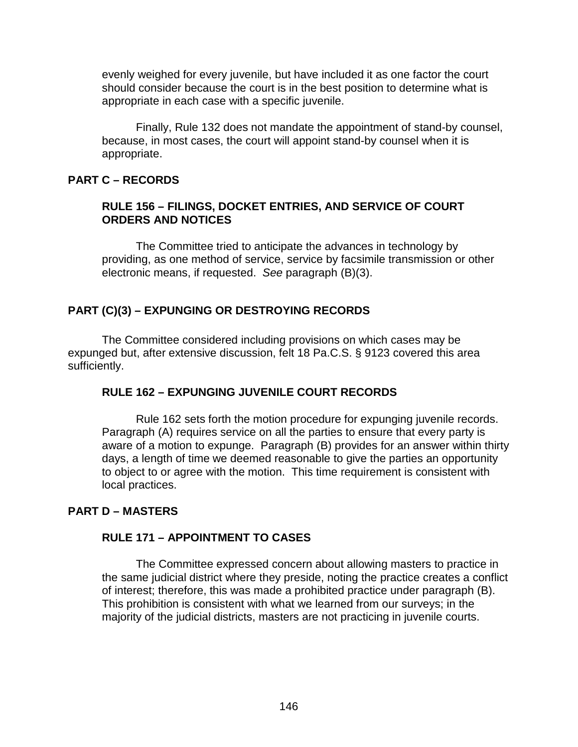evenly weighed for every juvenile, but have included it as one factor the court should consider because the court is in the best position to determine what is appropriate in each case with a specific juvenile.

Finally, Rule 132 does not mandate the appointment of stand-by counsel, because, in most cases, the court will appoint stand-by counsel when it is appropriate.

## **PART C – RECORDS**

## **RULE 156 – FILINGS, DOCKET ENTRIES, AND SERVICE OF COURT ORDERS AND NOTICES**

The Committee tried to anticipate the advances in technology by providing, as one method of service, service by facsimile transmission or other electronic means, if requested. *See* paragraph (B)(3).

# **PART (C)(3) – EXPUNGING OR DESTROYING RECORDS**

The Committee considered including provisions on which cases may be expunged but, after extensive discussion, felt 18 Pa.C.S. § 9123 covered this area sufficiently.

## **RULE 162 – EXPUNGING JUVENILE COURT RECORDS**

Rule 162 sets forth the motion procedure for expunging juvenile records. Paragraph (A) requires service on all the parties to ensure that every party is aware of a motion to expunge. Paragraph (B) provides for an answer within thirty days, a length of time we deemed reasonable to give the parties an opportunity to object to or agree with the motion. This time requirement is consistent with local practices.

# **PART D – MASTERS**

## **RULE 171 – APPOINTMENT TO CASES**

The Committee expressed concern about allowing masters to practice in the same judicial district where they preside, noting the practice creates a conflict of interest; therefore, this was made a prohibited practice under paragraph (B). This prohibition is consistent with what we learned from our surveys; in the majority of the judicial districts, masters are not practicing in juvenile courts.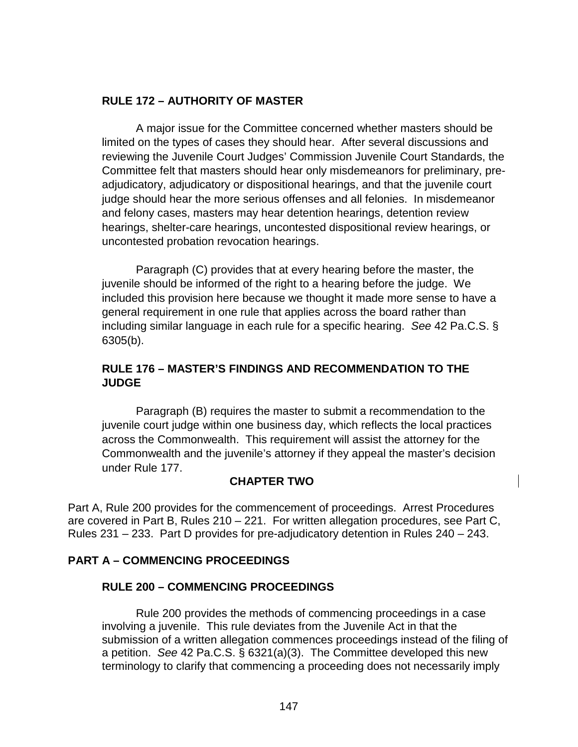# **RULE 172 – AUTHORITY OF MASTER**

A major issue for the Committee concerned whether masters should be limited on the types of cases they should hear. After several discussions and reviewing the Juvenile Court Judges' Commission Juvenile Court Standards, the Committee felt that masters should hear only misdemeanors for preliminary, preadjudicatory, adjudicatory or dispositional hearings, and that the juvenile court judge should hear the more serious offenses and all felonies. In misdemeanor and felony cases, masters may hear detention hearings, detention review hearings, shelter-care hearings, uncontested dispositional review hearings, or uncontested probation revocation hearings.

Paragraph (C) provides that at every hearing before the master, the juvenile should be informed of the right to a hearing before the judge. We included this provision here because we thought it made more sense to have a general requirement in one rule that applies across the board rather than including similar language in each rule for a specific hearing. *See* 42 Pa.C.S. § 6305(b).

# **RULE 176 – MASTER'S FINDINGS AND RECOMMENDATION TO THE JUDGE**

Paragraph (B) requires the master to submit a recommendation to the juvenile court judge within one business day, which reflects the local practices across the Commonwealth. This requirement will assist the attorney for the Commonwealth and the juvenile's attorney if they appeal the master's decision under Rule 177.

## **CHAPTER TWO**

Part A, Rule 200 provides for the commencement of proceedings. Arrest Procedures are covered in Part B, Rules 210 – 221. For written allegation procedures, see Part C, Rules 231 – 233. Part D provides for pre-adjudicatory detention in Rules 240 – 243.

## **PART A – COMMENCING PROCEEDINGS**

## **RULE 200 – COMMENCING PROCEEDINGS**

Rule 200 provides the methods of commencing proceedings in a case involving a juvenile. This rule deviates from the Juvenile Act in that the submission of a written allegation commences proceedings instead of the filing of a petition. *See* 42 Pa.C.S. § 6321(a)(3). The Committee developed this new terminology to clarify that commencing a proceeding does not necessarily imply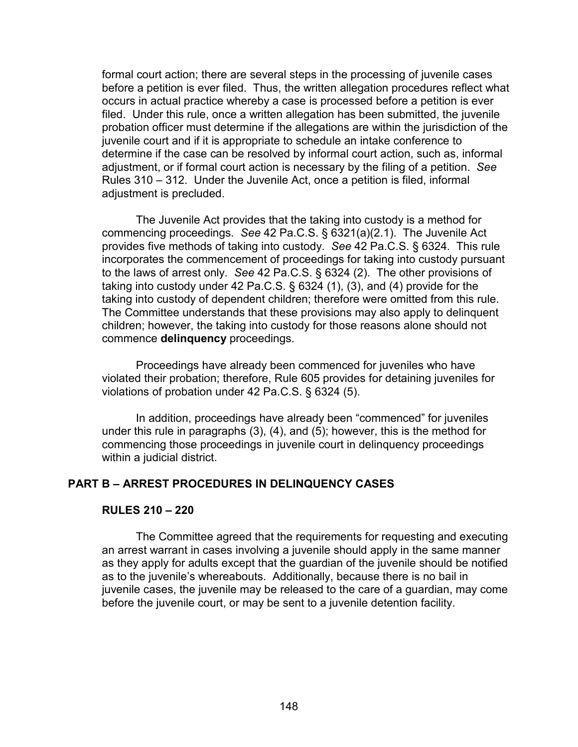formal court action; there are several steps in the processing of juvenile cases before a petition is ever filed. Thus, the written allegation procedures reflect what occurs in actual practice whereby a case is processed before a petition is ever filed. Under this rule, once a written allegation has been submitted, the juvenile probation officer must determine if the allegations are within the jurisdiction of the juvenile court and if it is appropriate to schedule an intake conference to determine if the case can be resolved by informal court action, such as, informal adjustment, or if formal court action is necessary by the filing of a petition. *See*  Rules 310 – 312. Under the Juvenile Act, once a petition is filed, informal adjustment is precluded.

The Juvenile Act provides that the taking into custody is a method for commencing proceedings. *See* 42 Pa.C.S. § 6321(a)(2.1). The Juvenile Act provides five methods of taking into custody. *See* 42 Pa.C.S. § 6324. This rule incorporates the commencement of proceedings for taking into custody pursuant to the laws of arrest only. *See* 42 Pa.C.S. § 6324 (2). The other provisions of taking into custody under 42 Pa.C.S. § 6324 (1), (3), and (4) provide for the taking into custody of dependent children; therefore were omitted from this rule. The Committee understands that these provisions may also apply to delinquent children; however, the taking into custody for those reasons alone should not commence **delinquency** proceedings.

Proceedings have already been commenced for juveniles who have violated their probation; therefore, Rule 605 provides for detaining juveniles for violations of probation under 42 Pa.C.S. § 6324 (5).

In addition, proceedings have already been "commenced" for juveniles under this rule in paragraphs (3), (4), and (5); however, this is the method for commencing those proceedings in juvenile court in delinquency proceedings within a judicial district.

#### **PART B – ARREST PROCEDURES IN DELINQUENCY CASES**

#### **RULES 210 – 220**

The Committee agreed that the requirements for requesting and executing an arrest warrant in cases involving a juvenile should apply in the same manner as they apply for adults except that the guardian of the juvenile should be notified as to the juvenile's whereabouts. Additionally, because there is no bail in juvenile cases, the juvenile may be released to the care of a guardian, may come before the juvenile court, or may be sent to a juvenile detention facility.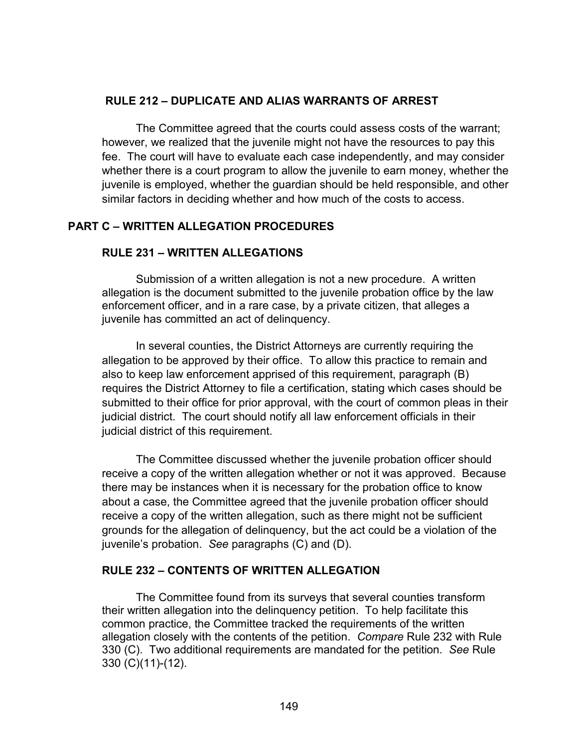## **RULE 212 – DUPLICATE AND ALIAS WARRANTS OF ARREST**

The Committee agreed that the courts could assess costs of the warrant; however, we realized that the juvenile might not have the resources to pay this fee. The court will have to evaluate each case independently, and may consider whether there is a court program to allow the juvenile to earn money, whether the juvenile is employed, whether the guardian should be held responsible, and other similar factors in deciding whether and how much of the costs to access.

## **PART C – WRITTEN ALLEGATION PROCEDURES**

## **RULE 231 – WRITTEN ALLEGATIONS**

Submission of a written allegation is not a new procedure. A written allegation is the document submitted to the juvenile probation office by the law enforcement officer, and in a rare case, by a private citizen, that alleges a juvenile has committed an act of delinquency.

In several counties, the District Attorneys are currently requiring the allegation to be approved by their office. To allow this practice to remain and also to keep law enforcement apprised of this requirement, paragraph (B) requires the District Attorney to file a certification, stating which cases should be submitted to their office for prior approval, with the court of common pleas in their judicial district. The court should notify all law enforcement officials in their judicial district of this requirement.

The Committee discussed whether the juvenile probation officer should receive a copy of the written allegation whether or not it was approved. Because there may be instances when it is necessary for the probation office to know about a case, the Committee agreed that the juvenile probation officer should receive a copy of the written allegation, such as there might not be sufficient grounds for the allegation of delinquency, but the act could be a violation of the juvenile's probation. *See* paragraphs (C) and (D).

## **RULE 232 – CONTENTS OF WRITTEN ALLEGATION**

The Committee found from its surveys that several counties transform their written allegation into the delinquency petition. To help facilitate this common practice, the Committee tracked the requirements of the written allegation closely with the contents of the petition. *Compare* Rule 232 with Rule 330 (C). Two additional requirements are mandated for the petition. *See* Rule 330 (C)(11)-(12).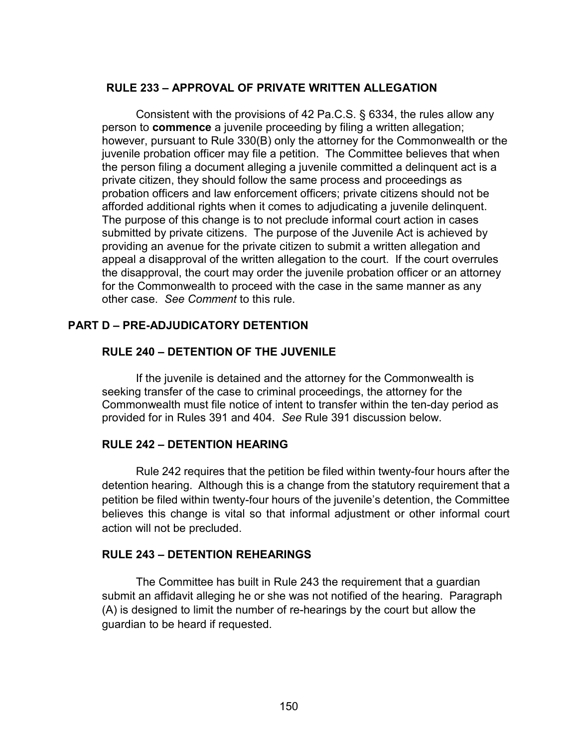## **RULE 233 – APPROVAL OF PRIVATE WRITTEN ALLEGATION**

Consistent with the provisions of 42 Pa.C.S. § 6334, the rules allow any person to **commence** a juvenile proceeding by filing a written allegation; however, pursuant to Rule 330(B) only the attorney for the Commonwealth or the juvenile probation officer may file a petition. The Committee believes that when the person filing a document alleging a juvenile committed a delinquent act is a private citizen, they should follow the same process and proceedings as probation officers and law enforcement officers; private citizens should not be afforded additional rights when it comes to adjudicating a juvenile delinquent. The purpose of this change is to not preclude informal court action in cases submitted by private citizens. The purpose of the Juvenile Act is achieved by providing an avenue for the private citizen to submit a written allegation and appeal a disapproval of the written allegation to the court. If the court overrules the disapproval, the court may order the juvenile probation officer or an attorney for the Commonwealth to proceed with the case in the same manner as any other case. *See Comment* to this rule.

# **PART D – PRE-ADJUDICATORY DETENTION**

## **RULE 240 – DETENTION OF THE JUVENILE**

If the juvenile is detained and the attorney for the Commonwealth is seeking transfer of the case to criminal proceedings, the attorney for the Commonwealth must file notice of intent to transfer within the ten-day period as provided for in Rules 391 and 404. *See* Rule 391 discussion below.

## **RULE 242 – DETENTION HEARING**

Rule 242 requires that the petition be filed within twenty-four hours after the detention hearing. Although this is a change from the statutory requirement that a petition be filed within twenty-four hours of the juvenile's detention, the Committee believes this change is vital so that informal adjustment or other informal court action will not be precluded.

## **RULE 243 – DETENTION REHEARINGS**

The Committee has built in Rule 243 the requirement that a guardian submit an affidavit alleging he or she was not notified of the hearing. Paragraph (A) is designed to limit the number of re-hearings by the court but allow the guardian to be heard if requested.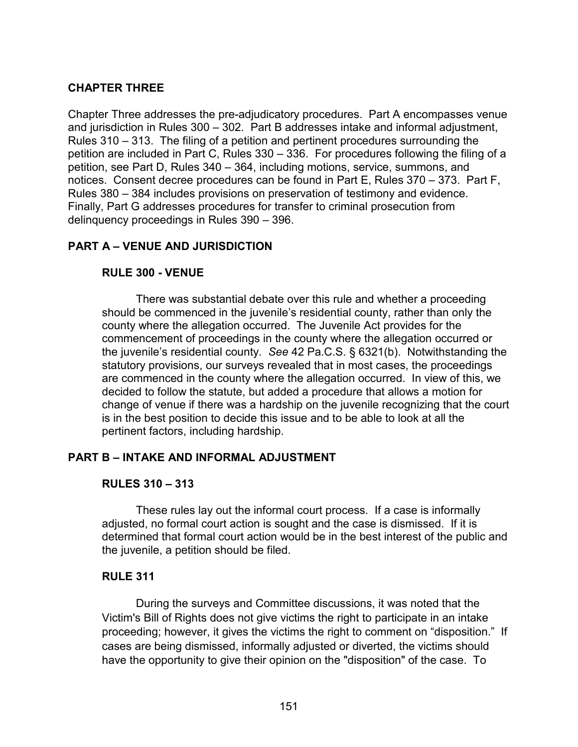# **CHAPTER THREE**

Chapter Three addresses the pre-adjudicatory procedures. Part A encompasses venue and jurisdiction in Rules 300 – 302. Part B addresses intake and informal adjustment, Rules 310 – 313. The filing of a petition and pertinent procedures surrounding the petition are included in Part C, Rules 330 – 336. For procedures following the filing of a petition, see Part D, Rules 340 – 364, including motions, service, summons, and notices. Consent decree procedures can be found in Part E, Rules 370 – 373. Part F, Rules 380 – 384 includes provisions on preservation of testimony and evidence. Finally, Part G addresses procedures for transfer to criminal prosecution from delinquency proceedings in Rules 390 – 396.

## **PART A – VENUE AND JURISDICTION**

## **RULE 300 - VENUE**

There was substantial debate over this rule and whether a proceeding should be commenced in the juvenile's residential county, rather than only the county where the allegation occurred. The Juvenile Act provides for the commencement of proceedings in the county where the allegation occurred or the juvenile's residential county. *See* 42 Pa.C.S. § 6321(b). Notwithstanding the statutory provisions, our surveys revealed that in most cases, the proceedings are commenced in the county where the allegation occurred. In view of this, we decided to follow the statute, but added a procedure that allows a motion for change of venue if there was a hardship on the juvenile recognizing that the court is in the best position to decide this issue and to be able to look at all the pertinent factors, including hardship.

## **PART B – INTAKE AND INFORMAL ADJUSTMENT**

#### **RULES 310 – 313**

These rules lay out the informal court process. If a case is informally adjusted, no formal court action is sought and the case is dismissed. If it is determined that formal court action would be in the best interest of the public and the juvenile, a petition should be filed.

## **RULE 311**

During the surveys and Committee discussions, it was noted that the Victim's Bill of Rights does not give victims the right to participate in an intake proceeding; however, it gives the victims the right to comment on "disposition." If cases are being dismissed, informally adjusted or diverted, the victims should have the opportunity to give their opinion on the "disposition" of the case. To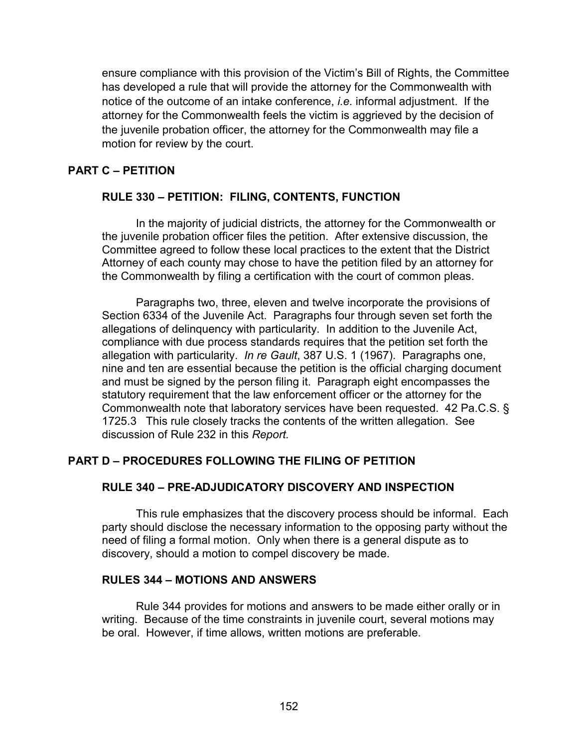ensure compliance with this provision of the Victim's Bill of Rights, the Committee has developed a rule that will provide the attorney for the Commonwealth with notice of the outcome of an intake conference, *i.e.* informal adjustment. If the attorney for the Commonwealth feels the victim is aggrieved by the decision of the juvenile probation officer, the attorney for the Commonwealth may file a motion for review by the court.

## **PART C – PETITION**

## **RULE 330 – PETITION: FILING, CONTENTS, FUNCTION**

In the majority of judicial districts, the attorney for the Commonwealth or the juvenile probation officer files the petition. After extensive discussion, the Committee agreed to follow these local practices to the extent that the District Attorney of each county may chose to have the petition filed by an attorney for the Commonwealth by filing a certification with the court of common pleas.

Paragraphs two, three, eleven and twelve incorporate the provisions of Section 6334 of the Juvenile Act. Paragraphs four through seven set forth the allegations of delinquency with particularity. In addition to the Juvenile Act, compliance with due process standards requires that the petition set forth the allegation with particularity. *In re Gault*, 387 U.S. 1 (1967). Paragraphs one, nine and ten are essential because the petition is the official charging document and must be signed by the person filing it. Paragraph eight encompasses the statutory requirement that the law enforcement officer or the attorney for the Commonwealth note that laboratory services have been requested. 42 Pa.C.S. § 1725.3 This rule closely tracks the contents of the written allegation. See discussion of Rule 232 in this *Report.* 

# **PART D – PROCEDURES FOLLOWING THE FILING OF PETITION**

# **RULE 340 – PRE-ADJUDICATORY DISCOVERY AND INSPECTION**

This rule emphasizes that the discovery process should be informal. Each party should disclose the necessary information to the opposing party without the need of filing a formal motion. Only when there is a general dispute as to discovery, should a motion to compel discovery be made.

## **RULES 344 – MOTIONS AND ANSWERS**

Rule 344 provides for motions and answers to be made either orally or in writing. Because of the time constraints in juvenile court, several motions may be oral. However, if time allows, written motions are preferable.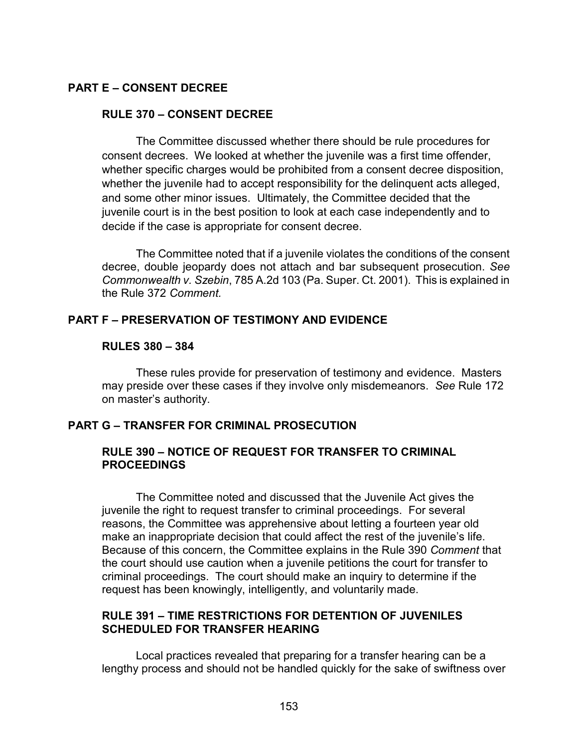## **PART E – CONSENT DECREE**

### **RULE 370 – CONSENT DECREE**

The Committee discussed whether there should be rule procedures for consent decrees. We looked at whether the juvenile was a first time offender, whether specific charges would be prohibited from a consent decree disposition, whether the juvenile had to accept responsibility for the delinguent acts alleged, and some other minor issues. Ultimately, the Committee decided that the juvenile court is in the best position to look at each case independently and to decide if the case is appropriate for consent decree.

The Committee noted that if a juvenile violates the conditions of the consent decree, double jeopardy does not attach and bar subsequent prosecution. *See Commonwealth v. Szebin*, 785 A.2d 103 (Pa. Super. Ct. 2001). This is explained in the Rule 372 *Comment.*

## **PART F – PRESERVATION OF TESTIMONY AND EVIDENCE**

#### **RULES 380 – 384**

 These rules provide for preservation of testimony and evidence. Masters may preside over these cases if they involve only misdemeanors. *See* Rule 172 on master's authority.

## **PART G – TRANSFER FOR CRIMINAL PROSECUTION**

## **RULE 390 – NOTICE OF REQUEST FOR TRANSFER TO CRIMINAL PROCEEDINGS**

The Committee noted and discussed that the Juvenile Act gives the juvenile the right to request transfer to criminal proceedings. For several reasons, the Committee was apprehensive about letting a fourteen year old make an inappropriate decision that could affect the rest of the juvenile's life. Because of this concern, the Committee explains in the Rule 390 *Comment* that the court should use caution when a juvenile petitions the court for transfer to criminal proceedings. The court should make an inquiry to determine if the request has been knowingly, intelligently, and voluntarily made.

## **RULE 391 – TIME RESTRICTIONS FOR DETENTION OF JUVENILES SCHEDULED FOR TRANSFER HEARING**

Local practices revealed that preparing for a transfer hearing can be a lengthy process and should not be handled quickly for the sake of swiftness over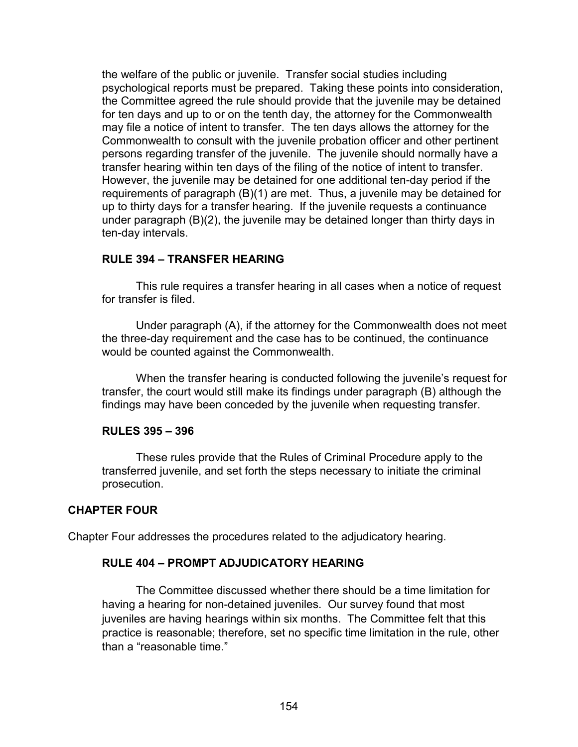the welfare of the public or juvenile. Transfer social studies including psychological reports must be prepared. Taking these points into consideration, the Committee agreed the rule should provide that the juvenile may be detained for ten days and up to or on the tenth day, the attorney for the Commonwealth may file a notice of intent to transfer. The ten days allows the attorney for the Commonwealth to consult with the juvenile probation officer and other pertinent persons regarding transfer of the juvenile. The juvenile should normally have a transfer hearing within ten days of the filing of the notice of intent to transfer. However, the juvenile may be detained for one additional ten-day period if the requirements of paragraph (B)(1) are met. Thus, a juvenile may be detained for up to thirty days for a transfer hearing. If the juvenile requests a continuance under paragraph (B)(2), the juvenile may be detained longer than thirty days in ten-day intervals.

### **RULE 394 – TRANSFER HEARING**

This rule requires a transfer hearing in all cases when a notice of request for transfer is filed.

Under paragraph (A), if the attorney for the Commonwealth does not meet the three-day requirement and the case has to be continued, the continuance would be counted against the Commonwealth.

When the transfer hearing is conducted following the juvenile's request for transfer, the court would still make its findings under paragraph (B) although the findings may have been conceded by the juvenile when requesting transfer.

#### **RULES 395 – 396**

These rules provide that the Rules of Criminal Procedure apply to the transferred juvenile, and set forth the steps necessary to initiate the criminal prosecution.

#### **CHAPTER FOUR**

Chapter Four addresses the procedures related to the adjudicatory hearing.

#### **RULE 404 – PROMPT ADJUDICATORY HEARING**

The Committee discussed whether there should be a time limitation for having a hearing for non-detained juveniles. Our survey found that most juveniles are having hearings within six months. The Committee felt that this practice is reasonable; therefore, set no specific time limitation in the rule, other than a "reasonable time."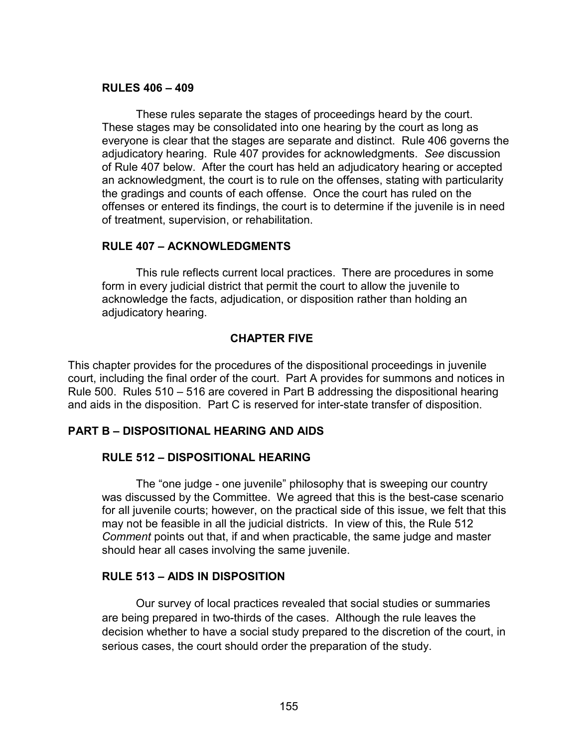### **RULES 406 – 409**

These rules separate the stages of proceedings heard by the court. These stages may be consolidated into one hearing by the court as long as everyone is clear that the stages are separate and distinct. Rule 406 governs the adjudicatory hearing. Rule 407 provides for acknowledgments. *See* discussion of Rule 407 below. After the court has held an adjudicatory hearing or accepted an acknowledgment, the court is to rule on the offenses, stating with particularity the gradings and counts of each offense. Once the court has ruled on the offenses or entered its findings, the court is to determine if the juvenile is in need of treatment, supervision, or rehabilitation.

## **RULE 407 – ACKNOWLEDGMENTS**

This rule reflects current local practices. There are procedures in some form in every judicial district that permit the court to allow the juvenile to acknowledge the facts, adjudication, or disposition rather than holding an adjudicatory hearing.

# **CHAPTER FIVE**

This chapter provides for the procedures of the dispositional proceedings in juvenile court, including the final order of the court. Part A provides for summons and notices in Rule 500. Rules 510 – 516 are covered in Part B addressing the dispositional hearing and aids in the disposition. Part C is reserved for inter-state transfer of disposition.

# **PART B – DISPOSITIONAL HEARING AND AIDS**

## **RULE 512 – DISPOSITIONAL HEARING**

The "one judge - one juvenile" philosophy that is sweeping our country was discussed by the Committee. We agreed that this is the best-case scenario for all juvenile courts; however, on the practical side of this issue, we felt that this may not be feasible in all the judicial districts. In view of this, the Rule 512 *Comment* points out that, if and when practicable, the same judge and master should hear all cases involving the same juvenile.

## **RULE 513 – AIDS IN DISPOSITION**

Our survey of local practices revealed that social studies or summaries are being prepared in two-thirds of the cases. Although the rule leaves the decision whether to have a social study prepared to the discretion of the court, in serious cases, the court should order the preparation of the study.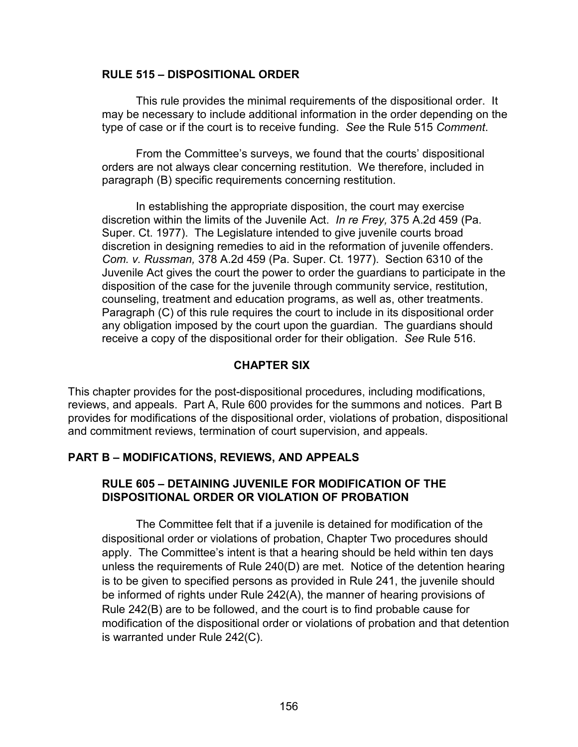#### **RULE 515 – DISPOSITIONAL ORDER**

This rule provides the minimal requirements of the dispositional order. It may be necessary to include additional information in the order depending on the type of case or if the court is to receive funding. *See* the Rule 515 *Comment*.

From the Committee's surveys, we found that the courts' dispositional orders are not always clear concerning restitution. We therefore, included in paragraph (B) specific requirements concerning restitution.

In establishing the appropriate disposition, the court may exercise discretion within the limits of the Juvenile Act. *In re Frey,* 375 A.2d 459 (Pa. Super. Ct. 1977). The Legislature intended to give juvenile courts broad discretion in designing remedies to aid in the reformation of juvenile offenders. *Com. v. Russman,* 378 A.2d 459 (Pa. Super. Ct. 1977). Section 6310 of the Juvenile Act gives the court the power to order the guardians to participate in the disposition of the case for the juvenile through community service, restitution, counseling, treatment and education programs, as well as, other treatments. Paragraph (C) of this rule requires the court to include in its dispositional order any obligation imposed by the court upon the guardian. The guardians should receive a copy of the dispositional order for their obligation. *See* Rule 516.

## **CHAPTER SIX**

This chapter provides for the post-dispositional procedures, including modifications, reviews, and appeals. Part A, Rule 600 provides for the summons and notices. Part B provides for modifications of the dispositional order, violations of probation, dispositional and commitment reviews, termination of court supervision, and appeals.

## **PART B – MODIFICATIONS, REVIEWS, AND APPEALS**

## **RULE 605 – DETAINING JUVENILE FOR MODIFICATION OF THE DISPOSITIONAL ORDER OR VIOLATION OF PROBATION**

The Committee felt that if a juvenile is detained for modification of the dispositional order or violations of probation, Chapter Two procedures should apply. The Committee's intent is that a hearing should be held within ten days unless the requirements of Rule 240(D) are met. Notice of the detention hearing is to be given to specified persons as provided in Rule 241, the juvenile should be informed of rights under Rule 242(A), the manner of hearing provisions of Rule 242(B) are to be followed, and the court is to find probable cause for modification of the dispositional order or violations of probation and that detention is warranted under Rule 242(C).